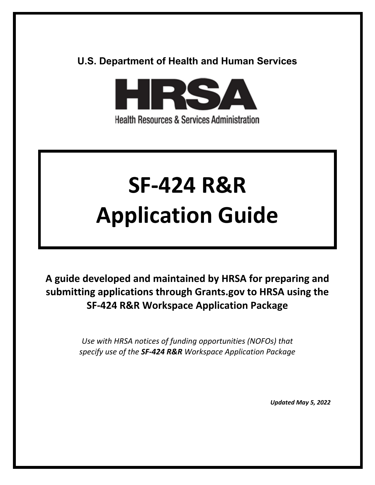# **U.S. Department of Health and Human Services**



**Health Resources & Services Administration** 

# **SF-424 R&R Application Guide**

**A guide developed and maintained by HRSA for preparing and submitting applications through Grants.gov to HRSA using the SF-424 R&R Workspace Application Package** 

> *Use with HRSA notices of funding opportunities (NOFOs) that specify use of the SF-424 R&R Workspace Application Package*

> > *Updated May 5, 2022*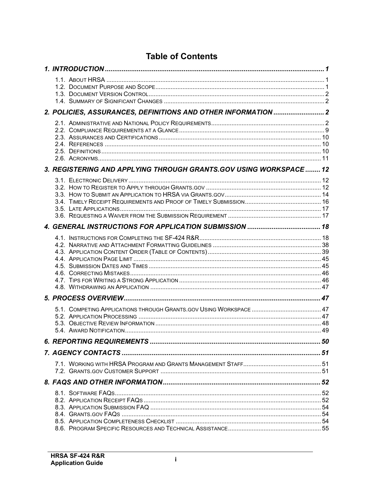|  | 2. POLICIES, ASSURANCES, DEFINITIONS AND OTHER INFORMATION  2      |  |
|--|--------------------------------------------------------------------|--|
|  |                                                                    |  |
|  | 3. REGISTERING AND APPLYING THROUGH GRANTS.GOV USING WORKSPACE  12 |  |
|  |                                                                    |  |
|  |                                                                    |  |
|  |                                                                    |  |
|  |                                                                    |  |
|  |                                                                    |  |
|  |                                                                    |  |
|  |                                                                    |  |
|  |                                                                    |  |
|  |                                                                    |  |
|  |                                                                    |  |
|  |                                                                    |  |

## **Table of Contents**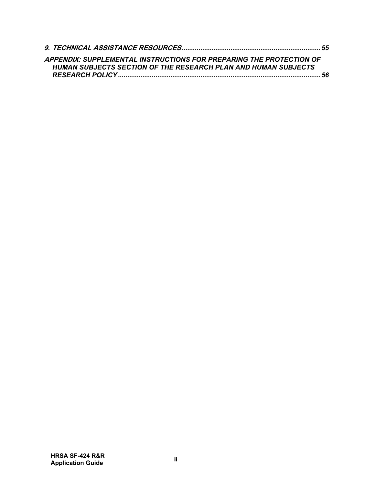| APPENDIX: SUPPLEMENTAL INSTRUCTIONS FOR PREPARING THE PROTECTION OF |  |
|---------------------------------------------------------------------|--|
| HUMAN SUBJECTS SECTION OF THE RESEARCH PLAN AND HUMAN SUBJECTS      |  |
|                                                                     |  |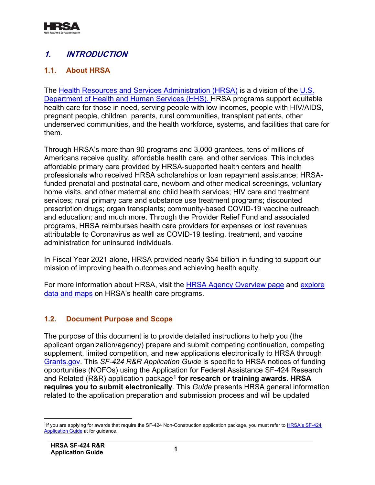

## <span id="page-3-0"></span>**1. INTRODUCTION**

## <span id="page-3-1"></span>**1.1. About HRSA**

The [Health Resources and Services Administration \(HRSA\)](http://www.hrsa.gov/) is a division of the [U.S.](http://www.hhs.gov/)  [Department of Health and Human Services \(HHS\).](http://www.hhs.gov/) HRSA programs support equitable health care for those in need, serving people with low incomes, people with HIV/AIDS, pregnant people, children, parents, rural communities, transplant patients, other underserved communities, and the health workforce, systems, and facilities that care for them.

Through HRSA's more than 90 programs and 3,000 grantees, tens of millions of Americans receive quality, affordable health care, and other services. This includes affordable primary care provided by HRSA-supported health centers and health professionals who received HRSA scholarships or loan repayment assistance; HRSAfunded prenatal and postnatal care, newborn and other medical screenings, voluntary home visits, and other maternal and child health services; HIV care and treatment services; rural primary care and substance use treatment programs; discounted prescription drugs; organ transplants; community-based COVID-19 vaccine outreach and education; and much more. Through the Provider Relief Fund and associated programs, HRSA reimburses health care providers for expenses or lost revenues attributable to Coronavirus as well as COVID-19 testing, treatment, and vaccine administration for uninsured individuals.

In Fiscal Year 2021 alone, HRSA provided nearly \$54 billion in funding to support our mission of improving health outcomes and achieving health equity.

For more information about HRSA, visit the [HRSA Agency Overview page](https://www.hrsa.gov/about/agency-overview) and [explore](https://data.hrsa.gov/)  [data and maps](https://data.hrsa.gov/) on HRSA's health care programs.

## <span id="page-3-2"></span>**1.2. Document Purpose and Scope**

The purpose of this document is to provide detailed instructions to help you (the applicant organization/agency) prepare and submit competing continuation, competing supplement, limited competition, and new applications electronically to HRSA through [Grants.gov.](https://www.grants.gov/) This *SF-424 R&R Application Guide* is specific to HRSA notices of funding opportunities (NOFOs) using the Application for Federal Assistance SF-424 Research and Related (R&R) application package**[1](#page-3-3) for research or training awards. HRSA requires you to submit electronically**. This *Guide* presents HRSA general information related to the application preparation and submission process and will be updated

 $\overline{a}$ 

<span id="page-3-3"></span><sup>&</sup>lt;sup>1</sup>If you are applying for awards that require the SF-424 Non-Construction application package, you must refer to HRSA's SF-424 [Application Guide a](http://www.hrsa.gov/grants/apply/applicationguide/sf424guide.pdf)t for guidance.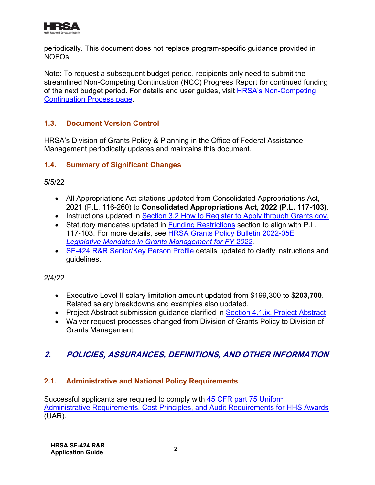

periodically. This document does not replace program-specific guidance provided in NOFOs.

Note: To request a subsequent budget period, recipients only need to submit the streamlined Non-Competing Continuation (NCC) Progress Report for continued funding of the next budget period. For details and user guides, visit [HRSA's Non-Competing](http://www.hrsa.gov/grants/noncompetingcontinuations/index.html)  [Continuation Process](http://www.hrsa.gov/grants/noncompetingcontinuations/index.html) page.

## <span id="page-4-0"></span>**1.3. Document Version Control**

HRSA's Division of Grants Policy & Planning in the Office of Federal Assistance Management periodically updates and maintains this document.

## <span id="page-4-1"></span>**1.4. Summary of Significant Changes**

5/5/22

- All Appropriations Act citations updated from Consolidated Appropriations Act, 2021 (P.L. 116-260) to **Consolidated Appropriations Act, 2022 (P.L. 117-103)**.
- Instructions updated in [Section 3.2 How to Register to Apply through Grants.gov.](#page-14-2)
- Statutory mandates updated in [Funding Restrictions](#page-26-0) section to align with P.L. 117-103. For more details, see [HRSA Grants Policy Bulletin 2022-05E](https://www.hrsa.gov/sites/default/files/hrsa/grants/manage/grants-policy-bulletin-2022-apr.pdf) *[Legislative Mandates in Grants Management for FY 2022.](https://www.hrsa.gov/sites/default/files/hrsa/grants/manage/grants-policy-bulletin-2022-apr.pdf)*
- [SF-424 R&R Senior/Key Person Profile](#page-42-0) details updated to clarify instructions and guidelines.

2/4/22

- Executive Level II salary limitation amount updated from \$199,300 to \$**203,700**. Related salary breakdowns and examples also updated.
- Project Abstract submission guidance clarified in [Section 4.1.ix. Project Abstract.](#page-39-0)
- Waiver request processes changed from Division of Grants Policy to Division of Grants Management.

## <span id="page-4-2"></span>**2. POLICIES, ASSURANCES, DEFINITIONS, AND OTHER INFORMATION**

## <span id="page-4-3"></span>**2.1. Administrative and National Policy Requirements**

Successful applicants are required to comply with [45 CFR part 75 Uniform](http://www.ecfr.gov/cgi-bin/retrieveECFR?gp=1&SID=4d52364ec83fab994c665943dadf9cf7&ty=HTML&h=L&r=PART&n=pt45.1.75)  [Administrative Requirements, Cost Principles, and Audit Requirements for HHS Awards](http://www.ecfr.gov/cgi-bin/retrieveECFR?gp=1&SID=4d52364ec83fab994c665943dadf9cf7&ty=HTML&h=L&r=PART&n=pt45.1.75) (UAR).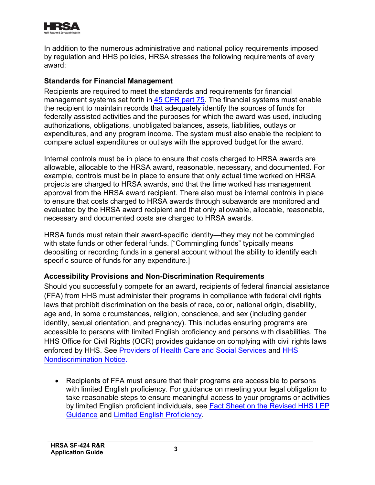

In addition to the numerous administrative and national policy requirements imposed by regulation and HHS policies, HRSA stresses the following requirements of every award:

## **Standards for Financial Management**

Recipients are required to meet the standards and requirements for financial management systems set forth in [45 CFR part 75.](http://www.ecfr.gov/cgi-bin/retrieveECFR?gp=1&SID=4d52364ec83fab994c665943dadf9cf7&ty=HTML&h=L&r=PART&n=pt45.1.75) The financial systems must enable the recipient to maintain records that adequately identify the sources of funds for federally assisted activities and the purposes for which the award was used, including authorizations, obligations, unobligated balances, assets, liabilities, outlays or expenditures, and any program income. The system must also enable the recipient to compare actual expenditures or outlays with the approved budget for the award.

Internal controls must be in place to ensure that costs charged to HRSA awards are allowable, allocable to the HRSA award, reasonable, necessary, and documented. For example, controls must be in place to ensure that only actual time worked on HRSA projects are charged to HRSA awards, and that the time worked has management approval from the HRSA award recipient. There also must be internal controls in place to ensure that costs charged to HRSA awards through subawards are monitored and evaluated by the HRSA award recipient and that only allowable, allocable, reasonable, necessary and documented costs are charged to HRSA awards.

HRSA funds must retain their award-specific identity—they may not be commingled with state funds or other federal funds. ["Commingling funds" typically means depositing or recording funds in a general account without the ability to identify each specific source of funds for any expenditure.]

## **Accessibility Provisions and Non-Discrimination Requirements**

Should you successfully compete for an award, recipients of federal financial assistance (FFA) from HHS must administer their programs in compliance with federal civil rights laws that prohibit discrimination on the basis of race, color, national origin, disability, age and, in some circumstances, religion, conscience, and sex (including gender identity, sexual orientation, and pregnancy). This includes ensuring programs are accessible to persons with limited English proficiency and persons with disabilities. The HHS Office for Civil Rights (OCR) provides guidance on complying with civil rights laws enforced by HHS. See [Providers of Health Care and Social Services](https://www.hhs.gov/civil-rights/for-providers/provider-obligations/index.html) and [HHS](https://www.hhs.gov/civil-rights/for-individuals/nondiscrimination/index.html)  [Nondiscrimination Notice.](https://www.hhs.gov/civil-rights/for-individuals/nondiscrimination/index.html)

• Recipients of FFA must ensure that their programs are accessible to persons with limited English proficiency. For guidance on meeting your legal obligation to take reasonable steps to ensure meaningful access to your programs or activities by limited English proficient individuals, see [Fact Sheet on the Revised HHS LEP](https://www.hhs.gov/civil-rights/for-individuals/special-topics/limited-english-proficiency/fact-sheet-guidance/index.html)  [Guidance](https://www.hhs.gov/civil-rights/for-individuals/special-topics/limited-english-proficiency/fact-sheet-guidance/index.html) and [Limited English Proficiency.](https://www.lep.gov/)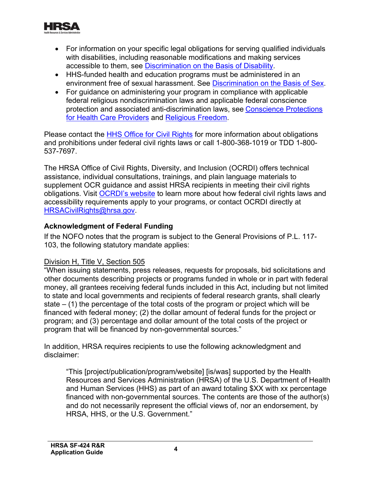

- For information on your specific legal obligations for serving qualified individuals with disabilities, including reasonable modifications and making services accessible to them, see [Discrimination on the Basis of Disability.](http://www.hhs.gov/ocr/civilrights/understanding/disability/index.html)
- HHS-funded health and education programs must be administered in an environment free of sexual harassment. See [Discrimination on the Basis of Sex.](https://www.hhs.gov/civil-rights/for-individuals/sex-discrimination/index.html)
- For guidance on administering your program in compliance with applicable federal religious nondiscrimination laws and applicable federal conscience protection and associated anti-discrimination laws, see [Conscience Protections](https://www.hhs.gov/conscience/conscience-protections/index.html)  [for Health Care Providers](https://www.hhs.gov/conscience/conscience-protections/index.html) and [Religious Freedom.](https://www.hhs.gov/conscience/religious-freedom/index.html)

Please contact the [HHS Office for Civil Rights](https://www.hhs.gov/ocr/about-us/contact-us/index.html) for more information about obligations and prohibitions under federal civil rights laws or call 1-800-368-1019 or TDD 1-800- 537-7697.

The HRSA Office of Civil Rights, Diversity, and Inclusion (OCRDI) offers technical assistance, individual consultations, trainings, and plain language materials to supplement OCR guidance and assist HRSA recipients in meeting their civil rights obligations. Visit [OCRDI's website](https://www.hrsa.gov/about/organization/bureaus/ocrdi#recipients) to learn more about how federal civil rights laws and accessibility requirements apply to your programs, or contact OCRDI directly at [HRSACivilRights@hrsa.gov.](mailto:HRSACivilRights@hrsa.gov)

## **Acknowledgment of Federal Funding**

If the NOFO notes that the program is subject to the General Provisions of P.L. 117- 103, the following statutory mandate applies:

## Division H, Title V, Section 505

"When issuing statements, press releases, requests for proposals, bid solicitations and other documents describing projects or programs funded in whole or in part with federal money, all grantees receiving federal funds included in this Act, including but not limited to state and local governments and recipients of federal research grants, shall clearly state  $-$  (1) the percentage of the total costs of the program or project which will be financed with federal money; (2) the dollar amount of federal funds for the project or program; and (3) percentage and dollar amount of the total costs of the project or program that will be financed by non-governmental sources."

In addition, HRSA requires recipients to use the following acknowledgment and disclaimer:

"This [project/publication/program/website] [is/was] supported by the Health Resources and Services Administration (HRSA) of the U.S. Department of Health and Human Services (HHS) as part of an award totaling \$XX with xx percentage financed with non-governmental sources. The contents are those of the author(s) and do not necessarily represent the official views of, nor an endorsement, by HRSA, HHS, or the U.S. Government."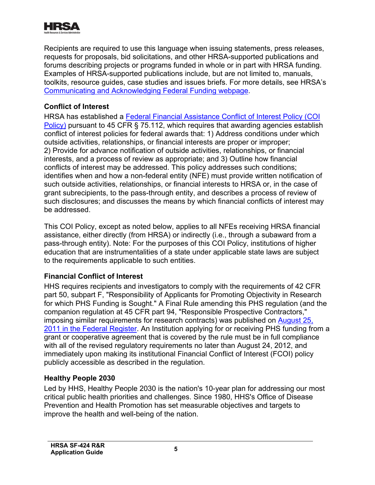

Recipients are required to use this language when issuing statements, press releases, requests for proposals, bid solicitations, and other HRSA-supported publications and forums describing projects or programs funded in whole or in part with HRSA funding. Examples of HRSA-supported publications include, but are not limited to, manuals, toolkits, resource guides, case studies and issues briefs. For more details, see HRSA's [Communicating and Acknowledging Federal Funding webpage.](https://www.hrsa.gov/grants/manage/acknowledge-hrsa-funding)

## **Conflict of Interest**

HRSA has established a [Federal Financial Assistance Conflict of Interest Policy \(COI](https://www.hrsa.gov/sites/default/files/hrsa/grants/manage/HRSA_COI_Policy.pdf)  [Policy\)](https://www.hrsa.gov/sites/default/files/hrsa/grants/manage/HRSA_COI_Policy.pdf) pursuant to 45 CFR § 75.112, which requires that awarding agencies establish conflict of interest policies for federal awards that: 1) Address conditions under which outside activities, relationships, or financial interests are proper or improper; 2) Provide for advance notification of outside activities, relationships, or financial interests, and a process of review as appropriate; and 3) Outline how financial conflicts of interest may be addressed. This policy addresses such conditions; identifies when and how a non-federal entity (NFE) must provide written notification of such outside activities, relationships, or financial interests to HRSA or, in the case of grant subrecipients, to the pass-through entity, and describes a process of review of such disclosures; and discusses the means by which financial conflicts of interest may be addressed.

This COI Policy, except as noted below, applies to all NFEs receiving HRSA financial assistance, either directly (from HRSA) or indirectly (i.e., through a subaward from a pass-through entity). Note: For the purposes of this COI Policy, institutions of higher education that are instrumentalities of a state under applicable state laws are subject to the requirements applicable to such entities.

## **Financial Conflict of Interest**

HHS requires recipients and investigators to comply with the requirements of 42 CFR part 50, subpart F, "Responsibility of Applicants for Promoting Objectivity in Research for which PHS Funding is Sought." A Final Rule amending this PHS regulation (and the companion regulation at 45 CFR part 94, "Responsible Prospective Contractors," imposing similar requirements for research contracts) was published on [August 25,](http://www.gpo.gov/fdsys/pkg/FR-2011-08-25/pdf/2011-21633.pdf)  [2011 in the Federal Register.](http://www.gpo.gov/fdsys/pkg/FR-2011-08-25/pdf/2011-21633.pdf) An Institution applying for or receiving PHS funding from a grant or cooperative agreement that is covered by the rule must be in full compliance with all of the revised regulatory requirements no later than August 24, 2012, and immediately upon making its institutional Financial Conflict of Interest (FCOI) policy publicly accessible as described in the regulation.

## **Healthy People 2030**

Led by HHS, Healthy People 2030 is the nation's 10-year plan for addressing our most critical public health priorities and challenges. Since 1980, HHS's Office of Disease Prevention and Health Promotion has set measurable objectives and targets to improve the health and well-being of the nation.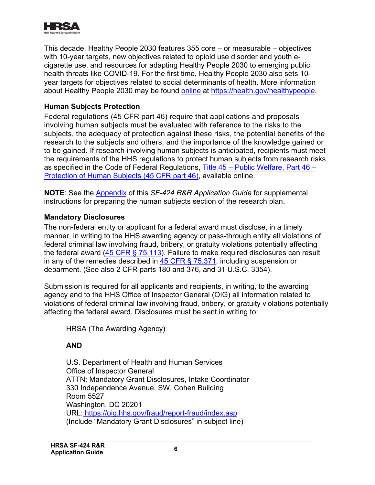

This decade, Healthy People 2030 features 355 core – or measurable – objectives with 10-year targets, new objectives related to opioid use disorder and youth ecigarette use, and resources for adapting Healthy People 2030 to emerging public health threats like COVID-19. For the first time, Healthy People 2030 also sets 10 year targets for objectives related to social determinants of health. More information about Healthy People 2030 may be found [online](https://health.gov/healthypeople) at [https://health.gov/healthypeople.](https://health.gov/healthypeople)

## **Human Subjects Protection**

Federal regulations (45 CFR part 46) require that applications and proposals involving human subjects must be evaluated with reference to the risks to the subjects, the adequacy of protection against these risks, the potential benefits of the research to the subjects and others, and the importance of the knowledge gained or to be gained. If research involving human subjects is anticipated, recipients must meet the requirements of the HHS regulations to protect human subjects from research risks as specified in the Code of Federal Regulations, [Title 45 – Public Welfare, Part 46 –](https://www.hhs.gov/ohrp/regulations-and-policy/regulations/45-cfr-46/index.html)  [Protection of Human Subjects \(45 CFR](https://www.hhs.gov/ohrp/regulations-and-policy/regulations/45-cfr-46/index.html) part 46), available online.

**NOTE**: See the [Appendix](#page-58-0) of this *SF-424 R&R Application Guide* for supplemental instructions for preparing the human subjects section of the research plan.

## **Mandatory Disclosures**

The non-federal entity or applicant for a federal award must disclose, in a timely manner, in writing to the HHS awarding agency or pass-through entity all violations of federal criminal law involving fraud, bribery, or gratuity violations potentially affecting the federal award  $(45 \text{ CFR} \text{S} \, 75.113)$ . Failure to make required disclosures can result in any of the remedies described in  $45$  CFR § 75.371, including suspension or debarment. (See also 2 CFR parts 180 and 376, and 31 U.S.C. 3354).

Submission is required for all applicants and recipients, in writing, to the awarding agency and to the HHS Office of Inspector General (OIG) all information related to violations of federal criminal law involving fraud, bribery, or gratuity violations potentially affecting the federal award. Disclosures must be sent in writing to:

HRSA (The Awarding Agency)

## **AND**

U.S. Department of Health and Human Services Office of Inspector General ATTN: Mandatory Grant Disclosures, Intake Coordinator 330 Independence Avenue, SW, Cohen Building Room 5527 Washington, DC 20201 URL: <https://oig.hhs.gov/fraud/report-fraud/index.asp> (Include "Mandatory Grant Disclosures" in subject line)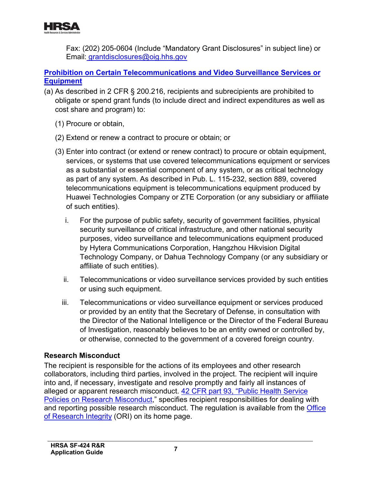

Fax: (202) 205-0604 (Include "Mandatory Grant Disclosures" in subject line) or Email: grantdisclosures@oig.hhs.gov

**[Prohibition on Certain Telecommunications and Video Surveillance Services or](https://www.hrsa.gov/sites/default/files/hrsa/grants/manage/grants-policy-bulletin-2021.pdf)  [Equipment](https://www.hrsa.gov/sites/default/files/hrsa/grants/manage/grants-policy-bulletin-2021.pdf)**

- (a) As described in 2 CFR § 200.216, recipients and subrecipients are prohibited to obligate or spend grant funds (to include direct and indirect expenditures as well as cost share and program) to:
	- (1) Procure or obtain,
	- (2) Extend or renew a contract to procure or obtain; or
	- (3) Enter into contract (or extend or renew contract) to procure or obtain equipment, services, or systems that use covered telecommunications equipment or services as a substantial or essential component of any system, or as critical technology as part of any system. As described in Pub. L. 115-232, section 889, covered telecommunications equipment is telecommunications equipment produced by Huawei Technologies Company or ZTE Corporation (or any subsidiary or affiliate of such entities).
		- i. For the purpose of public safety, security of government facilities, physical security surveillance of critical infrastructure, and other national security purposes, video surveillance and telecommunications equipment produced by Hytera Communications Corporation, Hangzhou Hikvision Digital Technology Company, or Dahua Technology Company (or any subsidiary or affiliate of such entities).
		- ii. Telecommunications or video surveillance services provided by such entities or using such equipment.
		- iii. Telecommunications or video surveillance equipment or services produced or provided by an entity that the Secretary of Defense, in consultation with the Director of the National Intelligence or the Director of the Federal Bureau of Investigation, reasonably believes to be an entity owned or controlled by, or otherwise, connected to the government of a covered foreign country.

## **Research Misconduct**

The recipient is responsible for the actions of its employees and other research collaborators, including third parties, involved in the project. The recipient will inquire into and, if necessary, investigate and resolve promptly and fairly all instances of alleged or apparent research misconduct. [42 CFR part 93, "Public Health Service](http://www.ecfr.gov/cgi-bin/text-idx?c=ecfr&tpl=/ecfrbrowse/Title42/42cfr93_main_02.tpl)  [Policies on Research Misconduct,](http://www.ecfr.gov/cgi-bin/text-idx?c=ecfr&tpl=/ecfrbrowse/Title42/42cfr93_main_02.tpl)" specifies recipient responsibilities for dealing with and reporting possible research misconduct. The regulation is available from the **Office** [of Research Integrity](https://ori.hhs.gov/) (ORI) on its home page.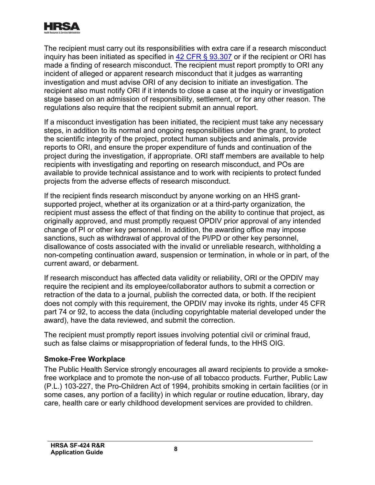

The recipient must carry out its responsibilities with extra care if a research misconduct inquiry has been initiated as specified in  $42$  CFR § 93.307 or if the recipient or ORI has made a finding of research misconduct. The recipient must report promptly to ORI any incident of alleged or apparent research misconduct that it judges as warranting investigation and must advise ORI of any decision to initiate an investigation. The recipient also must notify ORI if it intends to close a case at the inquiry or investigation stage based on an admission of responsibility, settlement, or for any other reason. The regulations also require that the recipient submit an annual report.

If a misconduct investigation has been initiated, the recipient must take any necessary steps, in addition to its normal and ongoing responsibilities under the grant, to protect the scientific integrity of the project, protect human subjects and animals, provide reports to ORI, and ensure the proper expenditure of funds and continuation of the project during the investigation, if appropriate. ORI staff members are available to help recipients with investigating and reporting on research misconduct, and POs are available to provide technical assistance and to work with recipients to protect funded projects from the adverse effects of research misconduct.

If the recipient finds research misconduct by anyone working on an HHS grantsupported project, whether at its organization or at a third-party organization, the recipient must assess the effect of that finding on the ability to continue that project, as originally approved, and must promptly request OPDIV prior approval of any intended change of PI or other key personnel. In addition, the awarding office may impose sanctions, such as withdrawal of approval of the PI/PD or other key personnel, disallowance of costs associated with the invalid or unreliable research, withholding a non-competing continuation award, suspension or termination, in whole or in part, of the current award, or debarment.

If research misconduct has affected data validity or reliability, ORI or the OPDIV may require the recipient and its employee/collaborator authors to submit a correction or retraction of the data to a journal, publish the corrected data, or both. If the recipient does not comply with this requirement, the OPDIV may invoke its rights, under 45 CFR part 74 or 92, to access the data (including copyrightable material developed under the award), have the data reviewed, and submit the correction.

The recipient must promptly report issues involving potential civil or criminal fraud, such as false claims or misappropriation of federal funds, to the HHS OIG.

## **Smoke-Free Workplace**

The Public Health Service strongly encourages all award recipients to provide a smokefree workplace and to promote the non-use of all tobacco products. Further, Public Law (P.L.) 103-227, the Pro-Children Act of 1994, prohibits smoking in certain facilities (or in some cases, any portion of a facility) in which regular or routine education, library, day care, health care or early childhood development services are provided to children.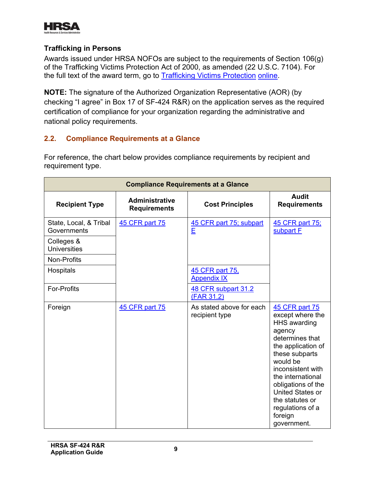

## **Trafficking in Persons**

Awards issued under HRSA NOFOs are subject to the requirements of Section 106(g) of the Trafficking Victims Protection Act of 2000, as amended (22 U.S.C. 7104). For the full text of the award term, go to **[Trafficking Victims Protection](https://www.hrsa.gov/sites/default/files/hrsa/grants/manage/trafficking-in-persons.pdf) online**.

**NOTE:** The signature of the Authorized Organization Representative (AOR) (by checking "I agree" in Box 17 of SF-424 R&R) on the application serves as the required certification of compliance for your organization regarding the administrative and national policy requirements.

## <span id="page-11-0"></span>**2.2. Compliance Requirements at a Glance**

For reference, the chart below provides compliance requirements by recipient and requirement type.

| <b>Compliance Requirements at a Glance</b> |                                              |                                            |                                                                                                                                                                                                                                                                                                               |  |
|--------------------------------------------|----------------------------------------------|--------------------------------------------|---------------------------------------------------------------------------------------------------------------------------------------------------------------------------------------------------------------------------------------------------------------------------------------------------------------|--|
| <b>Recipient Type</b>                      | <b>Administrative</b><br><b>Requirements</b> | <b>Cost Principles</b>                     | <b>Audit</b><br><b>Requirements</b>                                                                                                                                                                                                                                                                           |  |
| State, Local, & Tribal<br>Governments      | 45 CFR part 75                               | 45 CFR part 75; subpart<br>E               | 45 CFR part 75;<br>subpart F                                                                                                                                                                                                                                                                                  |  |
| Colleges &<br><b>Universities</b>          |                                              |                                            |                                                                                                                                                                                                                                                                                                               |  |
| Non-Profits                                |                                              |                                            |                                                                                                                                                                                                                                                                                                               |  |
| Hospitals                                  |                                              | 45 CFR part 75,<br><b>Appendix IX</b>      |                                                                                                                                                                                                                                                                                                               |  |
| <b>For-Profits</b>                         |                                              | 48 CFR subpart 31.2<br>(FAR 31.2)          |                                                                                                                                                                                                                                                                                                               |  |
| Foreign                                    | <b>45 CFR part 75</b>                        | As stated above for each<br>recipient type | <b>45 CFR part 75</b><br>except where the<br><b>HHS</b> awarding<br>agency<br>determines that<br>the application of<br>these subparts<br>would be<br>inconsistent with<br>the international<br>obligations of the<br><b>United States or</b><br>the statutes or<br>regulations of a<br>foreign<br>government. |  |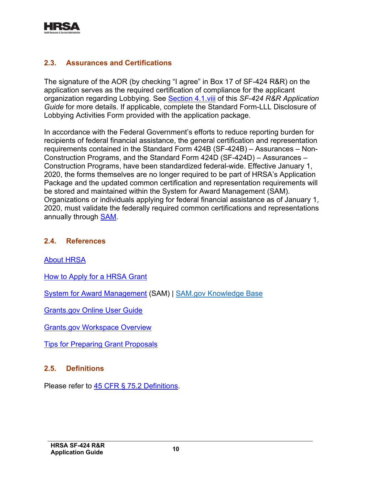

#### <span id="page-12-0"></span>**2.3. Assurances and Certifications**

The signature of the AOR (by checking "I agree" in Box 17 of SF-424 R&R) on the application serves as the required certification of compliance for the applicant organization regarding Lobbying. See [Section 4.1.viii](#page-36-0) of this *SF-424 R&R Application Guide* for more details. If applicable, complete the Standard Form-LLL Disclosure of Lobbying Activities Form provided with the application package.

In accordance with the Federal Government's efforts to reduce reporting burden for recipients of federal financial assistance, the general certification and representation requirements contained in the Standard Form 424B (SF-424B) – Assurances – Non-Construction Programs, and the Standard Form 424D (SF-424D) – Assurances – Construction Programs, have been standardized federal-wide. Effective January 1, 2020, the forms themselves are no longer required to be part of HRSA's Application Package and the updated common certification and representation requirements will be stored and maintained within the System for Award Management (SAM). Organizations or individuals applying for federal financial assistance as of January 1, 2020, must validate the federally required common certifications and representations annually through [SAM.](https://sam.gov/content/home)

#### <span id="page-12-1"></span>**2.4. References**

[About HRSA](http://www.hrsa.gov/about/index.html)

[How to Apply for a HRSA Grant](http://www.hrsa.gov/grants/apply/index.html)

[System for Award Management](https://www.sam.gov/) (SAM) | [SAM.gov Knowledge Base](https://nam12.safelinks.protection.outlook.com/?url=https%3A%2F%2Fwww.fsd.gov%2Fgsafsd_sp%3Fid%3Dgsa_kb_view2%26kb_id%3Df66d8e6cdb76d4100d73f81d0f9619c6&data=04%7C01%7Ccshifflett%40dminc.com%7C8eee7a2adab549a3b3c008d925e9a364%7Cdb7ac9ef779d46e59bca00509580ad6b%7C0%7C0%7C637582507851821018%7CUnknown%7CTWFpbGZsb3d8eyJWIjoiMC4wLjAwMDAiLCJQIjoiV2luMzIiLCJBTiI6Ik1haWwiLCJXVCI6Mn0%3D%7C1000&sdata=UrR%2B%2FM2wWF2fZG05Z8O6JS2C3FXXSl%2F7B3%2FB45XHRrg%3D&reserved=0)

[Grants.gov Online User Guide](http://www.grants.gov/help/html/help/index.htm)

[Grants.gov Workspace Overview](https://www.grants.gov/web/grants/applicants/workspace-overview.html)

[Tips for Preparing Grant Proposals](https://www.hhs.gov/grants/grants/get-ready-for-grants-management/tips-for-preparing-grant-proposals/)

#### <span id="page-12-2"></span>**2.5. Definitions**

Please refer to [45 CFR § 75.2 Definitions.](https://www.ecfr.gov/cgi-bin/retrieveECFR?gp=1&SID=4d52364ec83fab994c665943dadf9cf7&ty=HTML&h=L&r=PART&n=pt45.1.75)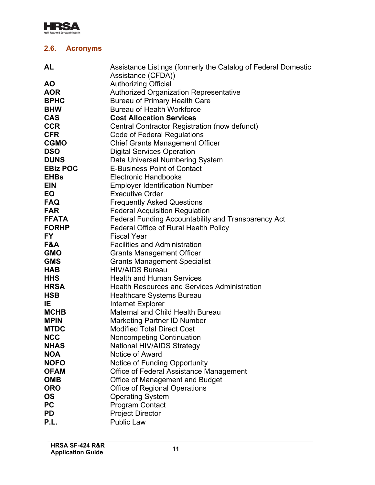

## <span id="page-13-0"></span>**2.6. Acronyms**

| <b>AL</b>       | Assistance Listings (formerly the Catalog of Federal Domestic |
|-----------------|---------------------------------------------------------------|
|                 | Assistance (CFDA))                                            |
| <b>AO</b>       | <b>Authorizing Official</b>                                   |
| <b>AOR</b>      | <b>Authorized Organization Representative</b>                 |
| <b>BPHC</b>     | <b>Bureau of Primary Health Care</b>                          |
| <b>BHW</b>      | <b>Bureau of Health Workforce</b>                             |
| <b>CAS</b>      | <b>Cost Allocation Services</b>                               |
| <b>CCR</b>      | Central Contractor Registration (now defunct)                 |
| <b>CFR</b>      | <b>Code of Federal Regulations</b>                            |
| <b>CGMO</b>     | <b>Chief Grants Management Officer</b>                        |
| <b>DSO</b>      | <b>Digital Services Operation</b>                             |
| <b>DUNS</b>     | Data Universal Numbering System                               |
| <b>EBiz POC</b> | <b>E-Business Point of Contact</b>                            |
| <b>EHBs</b>     | <b>Electronic Handbooks</b>                                   |
| <b>EIN</b>      | <b>Employer Identification Number</b>                         |
| <b>EO</b>       | <b>Executive Order</b>                                        |
| <b>FAQ</b>      | <b>Frequently Asked Questions</b>                             |
| <b>FAR</b>      | <b>Federal Acquisition Regulation</b>                         |
| <b>FFATA</b>    | <b>Federal Funding Accountability and Transparency Act</b>    |
| <b>FORHP</b>    | <b>Federal Office of Rural Health Policy</b>                  |
| <b>FY</b>       | <b>Fiscal Year</b>                                            |
| F&A             | <b>Facilities and Administration</b>                          |
| <b>GMO</b>      | <b>Grants Management Officer</b>                              |
| <b>GMS</b>      | <b>Grants Management Specialist</b>                           |
| <b>HAB</b>      | <b>HIV/AIDS Bureau</b>                                        |
| <b>HHS</b>      | <b>Health and Human Services</b>                              |
| HRSA            | <b>Health Resources and Services Administration</b>           |
| <b>HSB</b>      | Healthcare Systems Bureau                                     |
| IE.             | Internet Explorer                                             |
| <b>MCHB</b>     | Maternal and Child Health Bureau                              |
| <b>MPIN</b>     | <b>Marketing Partner ID Number</b>                            |
| <b>MTDC</b>     | <b>Modified Total Direct Cost</b>                             |
| <b>NCC</b>      | <b>Noncompeting Continuation</b>                              |
| <b>NHAS</b>     | National HIV/AIDS Strategy                                    |
| <b>NOA</b>      | Notice of Award                                               |
| <b>NOFO</b>     | <b>Notice of Funding Opportunity</b>                          |
| <b>OFAM</b>     | Office of Federal Assistance Management                       |
| <b>OMB</b>      | <b>Office of Management and Budget</b>                        |
| <b>ORO</b>      | <b>Office of Regional Operations</b>                          |
| <b>OS</b>       | <b>Operating System</b>                                       |
| <b>PC</b>       | <b>Program Contact</b>                                        |
| <b>PD</b>       | <b>Project Director</b>                                       |
| P.L.            | <b>Public Law</b>                                             |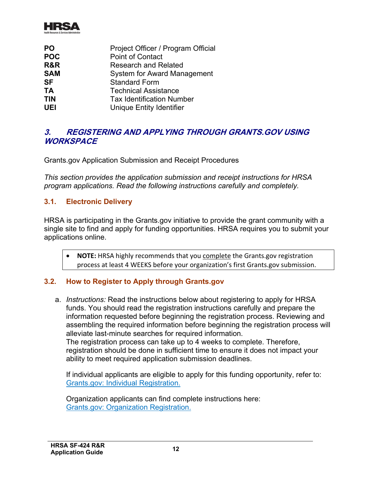

| <b>PO</b>  | Project Officer / Program Official |
|------------|------------------------------------|
| <b>POC</b> | <b>Point of Contact</b>            |
| R&R        | <b>Research and Related</b>        |
| <b>SAM</b> | System for Award Management        |
| <b>SF</b>  | <b>Standard Form</b>               |
| <b>TA</b>  | <b>Technical Assistance</b>        |
| <b>TIN</b> | <b>Tax Identification Number</b>   |
| <b>UEI</b> | <b>Unique Entity Identifier</b>    |

## <span id="page-14-0"></span>**3. REGISTERING AND APPLYING THROUGH GRANTS.GOV USING WORKSPACE**

Grants.gov Application Submission and Receipt Procedures

*This section provides the application submission and receipt instructions for HRSA program applications. Read the following instructions carefully and completely.*

## <span id="page-14-1"></span>**3.1. Electronic Delivery**

HRSA is participating in the Grants.gov initiative to provide the grant community with a single site to find and apply for funding opportunities. HRSA requires you to submit your applications online.

• **NOTE:** HRSA highly recommends that you complete the Grants.gov registration process at least 4 WEEKS before your organization's first Grants.gov submission.

## <span id="page-14-2"></span>**3.2. How to Register to Apply through Grants.gov**

a. *Instructions:* Read the instructions below about registering to apply for HRSA funds. You should read the registration instructions carefully and prepare the information requested before beginning the registration process. Reviewing and assembling the required information before beginning the registration process will alleviate last-minute searches for required information. The registration process can take up to 4 weeks to complete. Therefore, registration should be done in sufficient time to ensure it does not impact your ability to meet required application submission deadlines.

If individual applicants are eligible to apply for this funding opportunity, refer to: [Grants.gov: Individual Registration.](https://www.grants.gov/web/grants/applicants/registration.html?inheritRedirect=true)

Organization applicants can find complete instructions here: [Grants.gov: Organization Registration.](https://www.grants.gov/web/grants/applicants/organization-registration.html?inheritRedirect=true)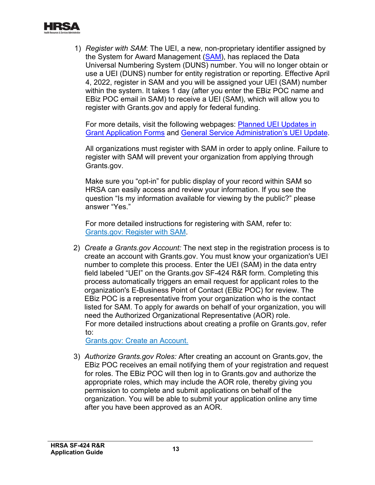

1) *Register with SAM*: The UEI, a new, non-proprietary identifier assigned by the System for Award Management [\(SAM\)](https://sam.gov/content/home), has replaced the Data Universal Numbering System (DUNS) number. You will no longer obtain or use a UEI (DUNS) number for entity registration or reporting. Effective April 4, 2022, register in SAM and you will be assigned your UEI (SAM) number within the system. It takes 1 day (after you enter the EBiz POC name and EBiz POC email in SAM) to receive a UEI (SAM), which will allow you to register with Grants.gov and apply for federal funding.

For more details, visit the following webpages: [Planned UEI Updates in](https://www.grants.gov/web/grants/forms/planned-uei-updates.html)  [Grant Application Forms](https://www.grants.gov/web/grants/forms/planned-uei-updates.html) and [General Service Administration's UEI Update.](https://www.gsa.gov/entityid)

All organizations must register with SAM in order to apply online. Failure to register with SAM will prevent your organization from applying through Grants.gov.

Make sure you "opt-in" for public display of your record within SAM so HRSA can easily access and review your information. If you see the question "Is my information available for viewing by the public?" please answer "Yes."

For more detailed instructions for registering with SAM, refer to: [Grants.gov: Register with SAM.](https://www.grants.gov/web/grants/applicants/organization-registration/step-2-register-with-sam.html)

2) *Create a Grants.gov Account:* The next step in the registration process is to create an account with Grants.gov. You must know your organization's UEI number to complete this process. Enter the UEI (SAM) in the data entry field labeled "UEI" on the Grants.gov SF-424 R&R form. Completing this process automatically triggers an email request for applicant roles to the organization's E-Business Point of Contact (EBiz POC) for review. The EBiz POC is a representative from your organization who is the contact listed for SAM. To apply for awards on behalf of your organization, you will need the Authorized Organizational Representative (AOR) role. For more detailed instructions about creating a profile on Grants.gov, refer to:

[Grants.gov: Create an Account.](https://www.grants.gov/web/grants/register.html)

3) *Authorize Grants.gov Roles:* After creating an account on Grants.gov, the EBiz POC receives an email notifying them of your registration and request for roles. The EBiz POC will then log in to Grants.gov and authorize the appropriate roles, which may include the AOR role, thereby giving you permission to complete and submit applications on behalf of the organization. You will be able to submit your application online any time after you have been approved as an AOR.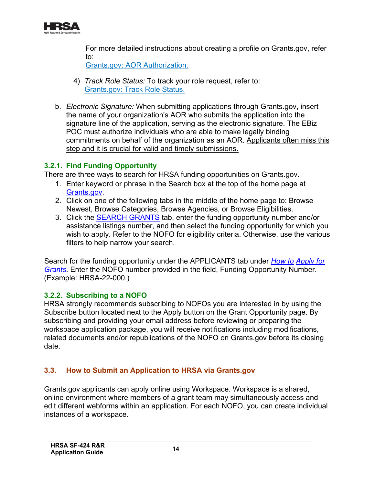

For more detailed instructions about creating a profile on Grants.gov, refer to:

[Grants.gov: AOR Authorization.](https://www.grants.gov/web/grants/s2s/applicant/web-services/authenticate-aor.html?inheritRedirect=true)

- 4) *Track Role Status:* To track your role request, refer to: [Grants.gov: Track Role Status.](https://www.grants.gov/web/grants/applicants/registration/track-role-status.html?inheritRedirect=true)
- b. *Electronic Signature:* When submitting applications through Grants.gov, insert the name of your organization's AOR who submits the application into the signature line of the application, serving as the electronic signature. The EBiz POC must authorize individuals who are able to make legally binding commitments on behalf of the organization as an AOR. Applicants often miss this step and it is crucial for valid and timely submissions.

## **3.2.1. Find Funding Opportunity**

There are three ways to search for HRSA funding opportunities on Grants.gov.

- 1. Enter keyword or phrase in the Search box at the top of the home page at [Grants.gov.](http://www.grants.gov/)
- 2. Click on one of the following tabs in the middle of the home page to: Browse Newest, Browse Categories, Browse Agencies, or Browse Eligibilities.
- 3. Click the [SEARCH GRANTS](http://www.grants.gov/web/grants/search-grants.html) tab, enter the funding opportunity number and/or assistance listings number, and then select the funding opportunity for which you wish to apply. Refer to the NOFO for eligibility criteria. Otherwise, use the various filters to help narrow your search.

Search for the funding opportunity under the APPLICANTS tab under *[How to](https://www.grants.gov/web/grants/applicants/apply-for-grants.html) [Apply for](http://www.grants.gov/web/grants/applicants/apply-for-grants.html)  [Grants](http://www.grants.gov/web/grants/applicants/apply-for-grants.html)*. Enter the NOFO number provided in the field, Funding Opportunity Number. (Example: HRSA-22-000.)

## **3.2.2. Subscribing to a NOFO**

HRSA strongly recommends subscribing to NOFOs you are interested in by using the Subscribe button located next to the Apply button on the Grant Opportunity page. By subscribing and providing your email address before reviewing or preparing the workspace application package, you will receive notifications including modifications, related documents and/or republications of the NOFO on Grants.gov before its closing date.

## <span id="page-16-0"></span>**3.3. How to Submit an Application to HRSA via Grants.gov**

Grants.gov applicants can apply online using Workspace. Workspace is a shared, online environment where members of a grant team may simultaneously access and edit different webforms within an application. For each NOFO, you can create individual instances of a workspace.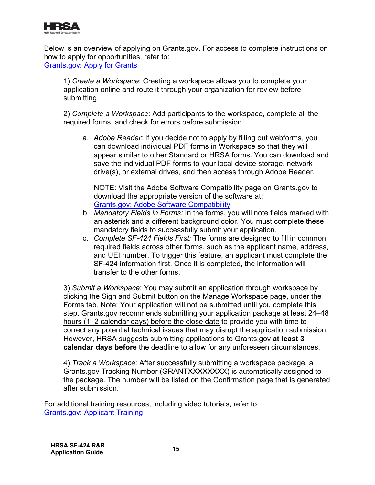

Below is an overview of applying on Grants.gov. For access to complete instructions on how to apply for opportunities, refer to: [Grants.gov: Apply for Grants](https://www.grants.gov/web/grants/applicants/apply-for-grants.html)

1) *Create a Workspace*: Creating a workspace allows you to complete your application online and route it through your organization for review before submitting.

2) *Complete a Workspace*: Add participants to the workspace, complete all the required forms, and check for errors before submission.

a. *Adobe Reader*: If you decide not to apply by filling out webforms, you can download individual PDF forms in Workspace so that they will appear similar to other Standard or HRSA forms. You can download and save the individual PDF forms to your local device storage, network drive(s), or external drives, and then access through Adobe Reader.

NOTE: Visit the Adobe Software Compatibility page on Grants.gov to download the appropriate version of the software at: [Grants.gov: Adobe Software Compatibility](https://www.grants.gov/web/grants/applicants/adobe-software-compatibility.html)

- b. *Mandatory Fields in Forms:* In the forms, you will note fields marked with an asterisk and a different background color. You must complete these mandatory fields to successfully submit your application.
- c. *Complete SF-424 Fields First:* The forms are designed to fill in common required fields across other forms, such as the applicant name, address, and UEI number. To trigger this feature, an applicant must complete the SF-424 information first. Once it is completed, the information will transfer to the other forms.

3) *Submit a Workspace*: You may submit an application through workspace by clicking the Sign and Submit button on the Manage Workspace page, under the Forms tab. Note: Your application will not be submitted until you complete this step. Grants.gov recommends submitting your application package at least 24–48 hours (1–2 calendar days) before the close date to provide you with time to correct any potential technical issues that may disrupt the application submission. However, HRSA suggests submitting applications to Grants.gov **at least 3 calendar days before** the deadline to allow for any unforeseen circumstances.

4) *Track a Workspace*: After successfully submitting a workspace package, a Grants.gov Tracking Number (GRANTXXXXXXXX) is automatically assigned to the package. The number will be listed on the Confirmation page that is generated after submission.

For additional training resources, including video tutorials, refer to [Grants.gov: Applicant Training](https://www.grants.gov/web/grants/applicants/applicant-training.html)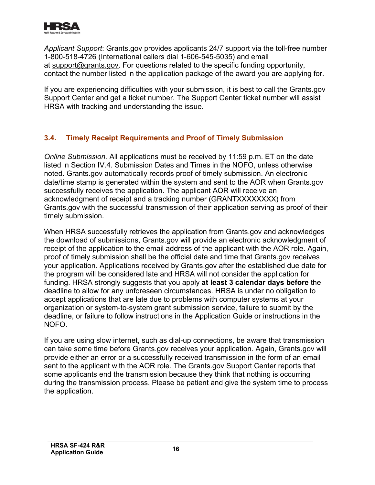

*Applicant Support*: Grants.gov provides applicants 24/7 support via the toll-free number 1-800-518-4726 (International callers dial 1-606-545-5035) and email at [support@grants.gov.](mailto:support@grants.gov) For questions related to the specific funding opportunity, contact the number listed in the application package of the award you are applying for.

If you are experiencing difficulties with your submission, it is best to call the Grants.gov Support Center and get a ticket number. The Support Center ticket number will assist HRSA with tracking and understanding the issue.

## <span id="page-18-0"></span>**3.4. Timely Receipt Requirements and Proof of Timely Submission**

*Online Submission.* All applications must be received by 11:59 p.m. ET on the date listed in Section IV.4. Submission Dates and Times in the NOFO, unless otherwise noted. Grants.gov automatically records proof of timely submission. An electronic date/time stamp is generated within the system and sent to the AOR when Grants.gov successfully receives the application. The applicant AOR will receive an acknowledgment of receipt and a tracking number (GRANTXXXXXXXX) from Grants.gov with the successful transmission of their application serving as proof of their timely submission.

When HRSA successfully retrieves the application from Grants.gov and acknowledges the download of submissions, Grants.gov will provide an electronic acknowledgment of receipt of the application to the email address of the applicant with the AOR role. Again, proof of timely submission shall be the official date and time that Grants.gov receives your application. Applications received by Grants.gov after the established due date for the program will be considered late and HRSA will not consider the application for funding. HRSA strongly suggests that you apply **at least 3 calendar days before** the deadline to allow for any unforeseen circumstances. HRSA is under no obligation to accept applications that are late due to problems with computer systems at your organization or system-to-system grant submission service, failure to submit by the deadline, or failure to follow instructions in the Application Guide or instructions in the NOFO.

If you are using slow internet, such as dial-up connections, be aware that transmission can take some time before Grants.gov receives your application. Again, Grants.gov will provide either an error or a successfully received transmission in the form of an email sent to the applicant with the AOR role. The Grants.gov Support Center reports that some applicants end the transmission because they think that nothing is occurring during the transmission process. Please be patient and give the system time to process the application.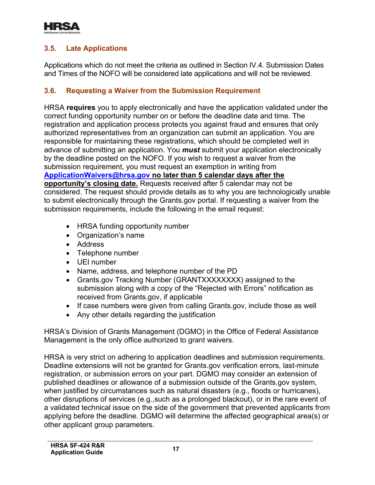

## <span id="page-19-0"></span>**3.5. Late Applications**

Applications which do not meet the criteria as outlined in Section IV.4. Submission Dates and Times of the NOFO will be considered late applications and will not be reviewed.

## <span id="page-19-1"></span>**3.6. Requesting a Waiver from the Submission Requirement**

HRSA **requires** you to apply electronically and have the application validated under the correct funding opportunity number on or before the deadline date and time. The registration and application process protects you against fraud and ensures that only authorized representatives from an organization can submit an application. You are responsible for maintaining these registrations, which should be completed well in advance of submitting an application. You *must* submit your application electronically by the deadline posted on the NOFO. If you wish to request a waiver from the submission requirement, you must request an exemption in writing from **[ApplicationWaivers@hrsa.gov](mailto:ApplicationWaivers@hrsa.gov) no later than 5 calendar days after the opportunity's closing date.** Requests received after 5 calendar may not be considered. The request should provide details as to why you are technologically unable to submit electronically through the Grants.gov portal. If requesting a waiver from the submission requirements, include the following in the email request:

- HRSA funding opportunity number
- Organization's name
- Address
- Telephone number
- UEI number
- Name, address, and telephone number of the PD
- Grants.gov Tracking Number (GRANTXXXXXXXX) assigned to the submission along with a copy of the "Rejected with Errors" notification as received from Grants.gov, if applicable
- If case numbers were given from calling Grants.gov, include those as well
- Any other details regarding the justification

HRSA's Division of Grants Management (DGMO) in the Office of Federal Assistance Management is the only office authorized to grant waivers.

HRSA is very strict on adhering to application deadlines and submission requirements. Deadline extensions will not be granted for Grants.gov verification errors, last-minute registration, or submission errors on your part. DGMO may consider an extension of published deadlines or allowance of a submission outside of the Grants.gov system, when justified by circumstances such as natural disasters (e.g., floods or hurricanes), other disruptions of services (e.g.,such as a prolonged blackout), or in the rare event of a validated technical issue on the side of the government that prevented applicants from applying before the deadline. DGMO will determine the affected geographical area(s) or other applicant group parameters.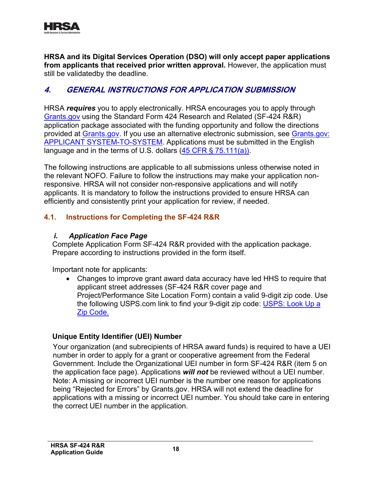

**HRSA and its Digital Services Operation (DSO) will only accept paper applications from applicants that received prior written approval.** However, the application must still be validatedby the deadline.

## <span id="page-20-0"></span>**4. GENERAL INSTRUCTIONS FOR APPLICATION SUBMISSION**

HRSA *requires* you to apply electronically. HRSA encourages you to apply through [Grants.gov](https://www.grants.gov/) using the Standard Form 424 Research and Related (SF-424 R&R) application package associated with the funding opportunity and follow the directions provided at [Grants.gov.](http://www.grants.gov/applicants/apply-for-grants.html) If you use an alternative electronic submission, see [Grants.gov:](https://www.grants.gov/web/grants/s2s/applicant-system-to-system.html)  [APPLICANT SYSTEM-TO-SYSTEM.](https://www.grants.gov/web/grants/s2s/applicant-system-to-system.html) Applications must be submitted in the English language and in the terms of U.S. dollars  $(45 \text{ CFR} \text{S} \text{75.111(a)})$ .

The following instructions are applicable to all submissions unless otherwise noted in the relevant NOFO. Failure to follow the instructions may make your application nonresponsive. HRSA will not consider non-responsive applications and will notify applicants. It is mandatory to follow the instructions provided to ensure HRSA can efficiently and consistently print your application for review, if needed.

## <span id="page-20-1"></span>**4.1. Instructions for Completing the SF-424 R&R**

#### *i. Application Face Page*

Complete Application Form SF-424 R&R provided with the application package. Prepare according to instructions provided in the form itself.

Important note for applicants:

• Changes to improve grant award data accuracy have led HHS to require that applicant street addresses (SF-424 R&R cover page and Project/Performance Site Location Form) contain a valid 9-digit zip code. Use the following USPS.com link to find your 9-digit zip code: [USPS: Look Up a](https://tools.usps.com/go/ZipLookupAction!input.action?mode=1&refresh=true)  [Zip Code.](https://tools.usps.com/go/ZipLookupAction!input.action?mode=1&refresh=true)

## **Unique Entity Identifier (UEI) Number**

Your organization (and subrecipients of HRSA award funds) is required to have a UEI number in order to apply for a grant or cooperative agreement from the Federal Government. Include the Organizational UEI number in form SF-424 R&R (item 5 on the application face page). Applications *will not* be reviewed without a UEI number. Note: A missing or incorrect UEI number is the number one reason for applications being "Rejected for Errors" by Grants.gov. HRSA will not extend the deadline for applications with a missing or incorrect UEI number. You should take care in entering the correct UEI number in the application.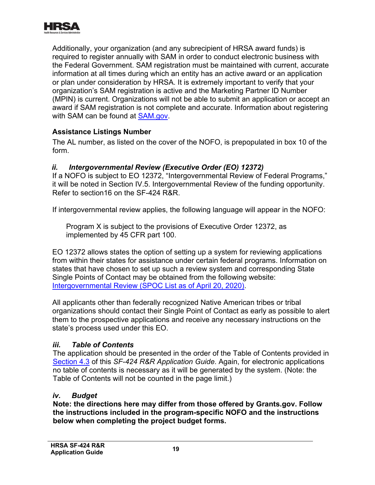

Additionally, your organization (and any subrecipient of HRSA award funds) is required to register annually with SAM in order to conduct electronic business with the Federal Government. SAM registration must be maintained with current, accurate information at all times during which an entity has an active award or an application or plan under consideration by HRSA. It is extremely important to verify that your organization's SAM registration is active and the Marketing Partner ID Number (MPIN) is current. Organizations will not be able to submit an application or accept an award if SAM registration is not complete and accurate. Information about registering with SAM can be found at [SAM.gov.](https://www.sam.gov/SAM/)

## **Assistance Listings Number**

The AL number, as listed on the cover of the NOFO, is prepopulated in box 10 of the form.

#### *ii. Intergovernmental Review (Executive Order (EO) 12372)*

If a NOFO is subject to EO 12372, "Intergovernmental Review of Federal Programs," it will be noted in Section IV.5. Intergovernmental Review of the funding opportunity. Refer to section16 on the SF-424 R&R.

If intergovernmental review applies, the following language will appear in the NOFO:

Program X is subject to the provisions of Executive Order 12372, as implemented by 45 CFR part 100.

EO 12372 allows states the option of setting up a system for reviewing applications from within their states for assistance under certain federal programs. Information on states that have chosen to set up such a review system and corresponding State Single Points of Contact may be obtained from the following website: [Intergovernmental Review \(SPOC List as of April 20, 2020\).](https://www.whitehouse.gov/wp-content/uploads/2020/04/SPOC-4-13-20.pdf)

All applicants other than federally recognized Native American tribes or tribal organizations should contact their Single Point of Contact as early as possible to alert them to the prospective applications and receive any necessary instructions on the state's process used under this EO.

#### *iii. Table of Contents*

The application should be presented in the order of the Table of Contents provided in [Section 4.3](#page-41-1) of this *SF-424 R&R Application Guide*. Again, for electronic applications no table of contents is necessary as it will be generated by the system. (Note: the Table of Contents will not be counted in the page limit.)

## *iv. Budget*

**Note: the directions here may differ from those offered by Grants.gov. Follow the instructions included in the program-specific NOFO and the instructions below when completing the project budget forms.**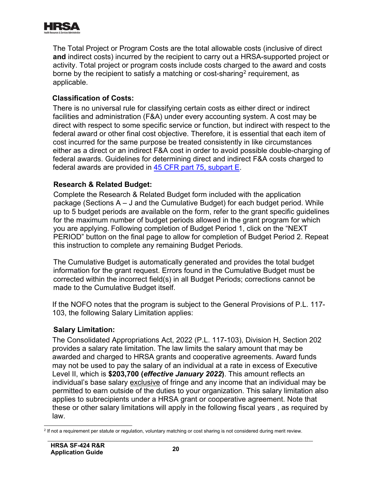

The Total Project or Program Costs are the total allowable costs (inclusive of direct **and** indirect costs) incurred by the recipient to carry out a HRSA-supported project or activity. Total project or program costs include costs charged to the award and costs borne by the recipient to satisfy a matching or cost-sharing<sup>[2](#page-22-0)</sup> requirement, as applicable.

## **Classification of Costs:**

There is no universal rule for classifying certain costs as either direct or indirect facilities and administration (F&A) under every accounting system. A cost may be direct with respect to some specific service or function, but indirect with respect to the federal award or other final cost objective. Therefore, it is essential that each item of cost incurred for the same purpose be treated consistently in like circumstances either as a direct or an indirect F&A cost in order to avoid possible double-charging of federal awards. Guidelines for determining direct and indirect F&A costs charged to federal awards are provided in [45 CFR part 75, subpart E.](https://www.ecfr.gov/cgi-bin/retrieveECFR?gp=1&SID=4d52364ec83fab994c665943dadf9cf7&ty=HTML&h=L&r=PART&n=pt45.1.75)

## **Research & Related Budget:**

Complete the Research & Related Budget form included with the application package (Sections A – J and the Cumulative Budget) for each budget period. While up to 5 budget periods are available on the form, refer to the grant specific guidelines for the maximum number of budget periods allowed in the grant program for which you are applying. Following completion of Budget Period 1, click on the "NEXT PERIOD" button on the final page to allow for completion of Budget Period 2. Repeat this instruction to complete any remaining Budget Periods.

The Cumulative Budget is automatically generated and provides the total budget information for the grant request. Errors found in the Cumulative Budget must be corrected within the incorrect field(s) in all Budget Periods; corrections cannot be made to the Cumulative Budget itself.

If the NOFO notes that the program is subject to the General Provisions of P.L. 117- 103, the following Salary Limitation applies:

## **Salary Limitation:**

The Consolidated Appropriations Act, 2022 (P.L. 117-103), Division H, Section 202 provides a salary rate limitation. The law limits the salary amount that may be awarded and charged to HRSA grants and cooperative agreements. Award funds may not be used to pay the salary of an individual at a rate in excess of Executive Level II, which is **\$203,700 (***effective January 2022***)**. This amount reflects an individual's base salary exclusive of fringe and any income that an individual may be permitted to earn outside of the duties to your organization. This salary limitation also applies to subrecipients under a HRSA grant or cooperative agreement. Note that these or other salary limitations will apply in the following fiscal years , as required by law.

<span id="page-22-0"></span> $\overline{a}$  $^2$  If not a requirement per statute or regulation, voluntary matching or cost sharing is not considered during merit review.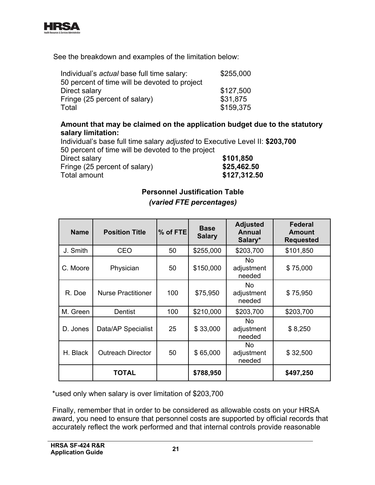

See the breakdown and examples of the limitation below:

| Individual's <i>actual</i> base full time salary: | \$255,000 |
|---------------------------------------------------|-----------|
| 50 percent of time will be devoted to project     |           |
| Direct salary                                     | \$127,500 |
| Fringe (25 percent of salary)                     | \$31,875  |
| Total                                             | \$159,375 |

#### **Amount that may be claimed on the application budget due to the statutory salary limitation:**

Individual's base full time salary *adjusted* to Executive Level II: **\$203,700** 50 percent of time will be devoted to the project

| Direct salary                 | \$101,850    |
|-------------------------------|--------------|
| Fringe (25 percent of salary) | \$25,462.50  |
| Total amount                  | \$127,312.50 |

#### **Personnel Justification Table** *(varied FTE percentages)*

<span id="page-23-0"></span>

| <b>Name</b> | <b>Position Title</b>     | $%$ of FTE | <b>Base</b><br><b>Salary</b> | <b>Adjusted</b><br>Annual<br>Salary* | <b>Federal</b><br>Amount<br><b>Requested</b> |
|-------------|---------------------------|------------|------------------------------|--------------------------------------|----------------------------------------------|
| J. Smith    | CEO                       | 50         | \$255,000                    | \$203,700                            | \$101,850                                    |
| C. Moore    | Physician                 | 50         | \$150,000                    | No.<br>adjustment<br>needed          | \$75,000                                     |
| R. Doe      | <b>Nurse Practitioner</b> | 100        | \$75,950                     | No.<br>adjustment<br>needed          | \$75,950                                     |
| M. Green    | Dentist                   | 100        | \$210,000                    | \$203,700                            | \$203,700                                    |
| D. Jones    | Data/AP Specialist        | 25         | \$33,000                     | No.<br>adjustment<br>needed          | \$8,250                                      |
| H. Black    | <b>Outreach Director</b>  | 50         | \$65,000                     | No.<br>adjustment<br>needed          | \$32,500                                     |
|             | TOTAL                     |            | \$788,950                    |                                      | \$497,250                                    |

\*used only when salary is over limitation of \$203,700

Finally, remember that in order to be considered as allowable costs on your HRSA award, you need to ensure that personnel costs are supported by official records that accurately reflect the work performed and that internal controls provide reasonable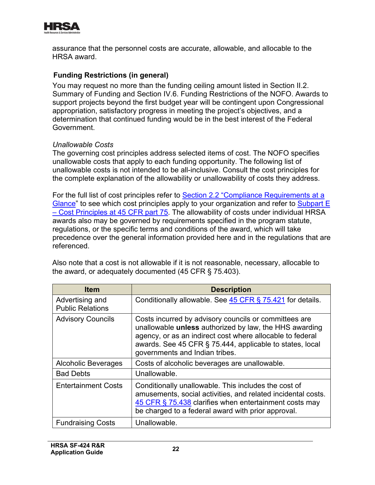

assurance that the personnel costs are accurate, allowable, and allocable to the HRSA award.

## **Funding Restrictions (in general)**

You may request no more than the funding ceiling amount listed in Section II.2. Summary of Funding and Section IV.6. Funding Restrictions of the NOFO. Awards to support projects beyond the first budget year will be contingent upon Congressional appropriation, satisfactory progress in meeting the project's objectives, and a determination that continued funding would be in the best interest of the Federal Government.

#### *Unallowable Costs*

The governing cost principles address selected items of cost. The NOFO specifies unallowable costs that apply to each funding opportunity. The following list of unallowable costs is not intended to be all-inclusive. Consult the cost principles for the complete explanation of the allowability or unallowability of costs they address.

For the full list of cost principles refer to Section 2.2 ["Compliance Requirements at a](#page-11-0)  [Glance"](#page-11-0) to see which cost principles apply to your organization and refer to Subpart E [– Cost Principles at 45 CFR part 75.](https://www.ecfr.gov/cgi-bin/retrieveECFR?gp=1&SID=4d52364ec83fab994c665943dadf9cf7&ty=HTML&h=L&r=PART&n=pt45.1.75) The allowability of costs under individual HRSA awards also may be governed by requirements specified in the program statute, regulations, or the specific terms and conditions of the award, which will take precedence over the general information provided here and in the regulations that are referenced.

Also note that a cost is not allowable if it is not reasonable, necessary, allocable to the award, or adequately documented (45 CFR § 75.403).

| <b>Item</b>                                | <b>Description</b>                                                                                                                                                                                                                                                         |
|--------------------------------------------|----------------------------------------------------------------------------------------------------------------------------------------------------------------------------------------------------------------------------------------------------------------------------|
| Advertising and<br><b>Public Relations</b> | Conditionally allowable. See 45 CFR § 75.421 for details.                                                                                                                                                                                                                  |
| <b>Advisory Councils</b>                   | Costs incurred by advisory councils or committees are<br>unallowable unless authorized by law, the HHS awarding<br>agency, or as an indirect cost where allocable to federal<br>awards. See 45 CFR § 75.444, applicable to states, local<br>governments and Indian tribes. |
| <b>Alcoholic Beverages</b>                 | Costs of alcoholic beverages are unallowable.                                                                                                                                                                                                                              |
| <b>Bad Debts</b>                           | Unallowable.                                                                                                                                                                                                                                                               |
| <b>Entertainment Costs</b>                 | Conditionally unallowable. This includes the cost of<br>amusements, social activities, and related incidental costs.<br>45 CFR § 75.438 clarifies when entertainment costs may<br>be charged to a federal award with prior approval.                                       |
| <b>Fundraising Costs</b>                   | Unallowable.                                                                                                                                                                                                                                                               |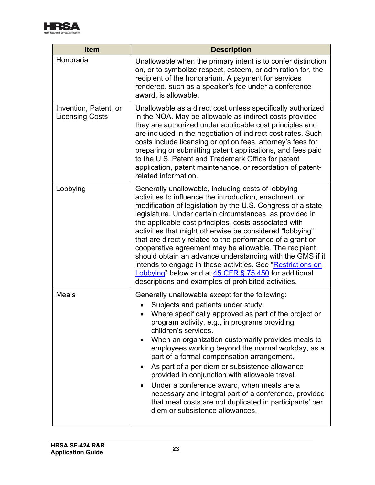

| <b>Item</b>                                     | <b>Description</b>                                                                                                                                                                                                                                                                                                                                                                                                                                                                                                                                                                                                                                                                                                               |  |  |
|-------------------------------------------------|----------------------------------------------------------------------------------------------------------------------------------------------------------------------------------------------------------------------------------------------------------------------------------------------------------------------------------------------------------------------------------------------------------------------------------------------------------------------------------------------------------------------------------------------------------------------------------------------------------------------------------------------------------------------------------------------------------------------------------|--|--|
| Honoraria                                       | Unallowable when the primary intent is to confer distinction<br>on, or to symbolize respect, esteem, or admiration for, the<br>recipient of the honorarium. A payment for services<br>rendered, such as a speaker's fee under a conference<br>award, is allowable.                                                                                                                                                                                                                                                                                                                                                                                                                                                               |  |  |
| Invention, Patent, or<br><b>Licensing Costs</b> | Unallowable as a direct cost unless specifically authorized<br>in the NOA. May be allowable as indirect costs provided<br>they are authorized under applicable cost principles and<br>are included in the negotiation of indirect cost rates. Such<br>costs include licensing or option fees, attorney's fees for<br>preparing or submitting patent applications, and fees paid<br>to the U.S. Patent and Trademark Office for patent<br>application, patent maintenance, or recordation of patent-<br>related information.                                                                                                                                                                                                      |  |  |
| Lobbying                                        | Generally unallowable, including costs of lobbying<br>activities to influence the introduction, enactment, or<br>modification of legislation by the U.S. Congress or a state<br>legislature. Under certain circumstances, as provided in<br>the applicable cost principles, costs associated with<br>activities that might otherwise be considered "lobbying"<br>that are directly related to the performance of a grant or<br>cooperative agreement may be allowable. The recipient<br>should obtain an advance understanding with the GMS if it<br>intends to engage in these activities. See "Restrictions on<br>Lobbying" below and at 45 CFR § 75.450 for additional<br>descriptions and examples of prohibited activities. |  |  |
| <b>Meals</b>                                    | Generally unallowable except for the following:<br>Subjects and patients under study.<br>Where specifically approved as part of the project or<br>program activity, e.g., in programs providing<br>children's services.<br>When an organization customarily provides meals to<br>employees working beyond the normal workday, as a<br>part of a formal compensation arrangement.<br>As part of a per diem or subsistence allowance<br>provided in conjunction with allowable travel.<br>Under a conference award, when meals are a<br>necessary and integral part of a conference, provided<br>that meal costs are not duplicated in participants' per<br>diem or subsistence allowances.                                        |  |  |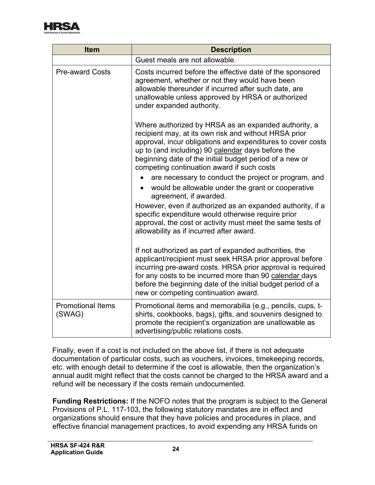

| <b>Item</b>                        | <b>Description</b>                                                                                                                                                                                                                                                                                                                                                                                                                                                                |
|------------------------------------|-----------------------------------------------------------------------------------------------------------------------------------------------------------------------------------------------------------------------------------------------------------------------------------------------------------------------------------------------------------------------------------------------------------------------------------------------------------------------------------|
|                                    | Guest meals are not allowable.                                                                                                                                                                                                                                                                                                                                                                                                                                                    |
| <b>Pre-award Costs</b>             | Costs incurred before the effective date of the sponsored<br>agreement, whether or not they would have been<br>allowable thereunder if incurred after such date, are<br>unallowable unless approved by HRSA or authorized<br>under expanded authority.                                                                                                                                                                                                                            |
|                                    | Where authorized by HRSA as an expanded authority, a<br>recipient may, at its own risk and without HRSA prior<br>approval, incur obligations and expenditures to cover costs<br>up to (and including) 90 calendar days before the<br>beginning date of the initial budget period of a new or<br>competing continuation award if such costs<br>are necessary to conduct the project or program, and<br>would be allowable under the grant or cooperative<br>agreement, if awarded. |
|                                    | However, even if authorized as an expanded authority, if a<br>specific expenditure would otherwise require prior<br>approval, the cost or activity must meet the same tests of<br>allowability as if incurred after award.                                                                                                                                                                                                                                                        |
|                                    | If not authorized as part of expanded authorities, the<br>applicant/recipient must seek HRSA prior approval before<br>incurring pre-award costs. HRSA prior approval is required<br>for any costs to be incurred more than 90 calendar days<br>before the beginning date of the initial budget period of a<br>new or competing continuation award.                                                                                                                                |
| <b>Promotional Items</b><br>(SWAG) | Promotional items and memorabilia (e.g., pencils, cups, t-<br>shirts, cookbooks, bags), gifts, and souvenirs designed to<br>promote the recipient's organization are unallowable as<br>advertising/public relations costs.                                                                                                                                                                                                                                                        |

Finally, even if a cost is not included on the above list, if there is not adequate documentation of particular costs, such as vouchers, invoices, timekeeping records, etc. with enough detail to determine if the cost is allowable, then the organization's annual audit might reflect that the costs cannot be charged to the HRSA award and a refund will be necessary if the costs remain undocumented.

<span id="page-26-0"></span>**Funding Restrictions:** If the NOFO notes that the program is subject to the General Provisions of P.L. 117-103, the following statutory mandates are in effect and organizations should ensure that they have policies and procedures in place, and effective financial management practices, to avoid expending any HRSA funds on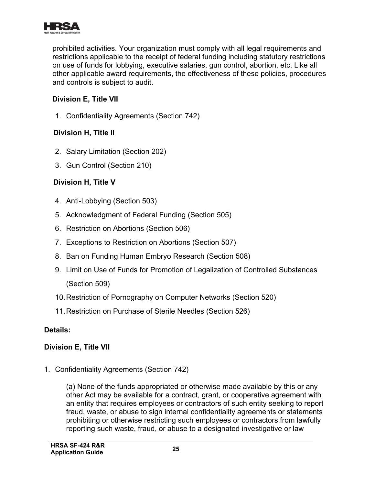

prohibited activities. Your organization must comply with all legal requirements and restrictions applicable to the receipt of federal funding including statutory restrictions on use of funds for lobbying, executive salaries, gun control, abortion, etc. Like all other applicable award requirements, the effectiveness of these policies, procedures and controls is subject to audit.

## **Division E, Title VII**

1. Confidentiality Agreements (Section 742)

## **Division H, Title II**

- 2. Salary Limitation (Section 202)
- 3. Gun Control (Section 210)

## **Division H, Title V**

- 4. Anti-Lobbying (Section 503)
- 5. Acknowledgment of Federal Funding (Section 505)
- 6. Restriction on Abortions (Section 506)
- 7. Exceptions to Restriction on Abortions (Section 507)
- 8. Ban on Funding Human Embryo Research (Section 508)
- 9. Limit on Use of Funds for Promotion of Legalization of Controlled Substances (Section 509)
- 10.Restriction of Pornography on Computer Networks (Section 520)
- 11.Restriction on Purchase of Sterile Needles (Section 526)

## **Details:**

## **Division E, Title VII**

1. Confidentiality Agreements (Section 742)

(a) None of the funds appropriated or otherwise made available by this or any other Act may be available for a contract, grant, or cooperative agreement with an entity that requires employees or contractors of such entity seeking to report fraud, waste, or abuse to sign internal confidentiality agreements or statements prohibiting or otherwise restricting such employees or contractors from lawfully reporting such waste, fraud, or abuse to a designated investigative or law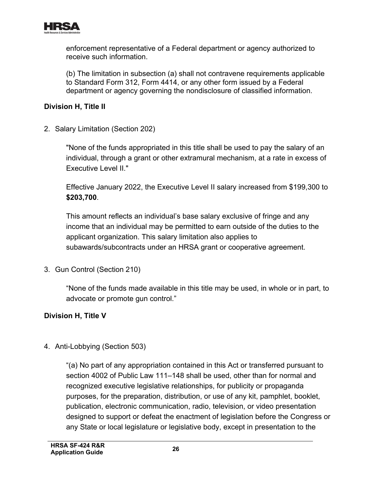

enforcement representative of a Federal department or agency authorized to receive such information.

(b) The limitation in subsection (a) shall not contravene requirements applicable to Standard Form 312, Form 4414, or any other form issued by a Federal department or agency governing the nondisclosure of classified information.

## **Division H, Title II**

2. Salary Limitation (Section 202)

"None of the funds appropriated in this title shall be used to pay the salary of an individual, through a grant or other extramural mechanism, at a rate in excess of Executive Level II."

Effective January 2022, the Executive Level II salary increased from \$199,300 to **\$203,700**.

This amount reflects an individual's base salary exclusive of fringe and any income that an individual may be permitted to earn outside of the duties to the applicant organization. This salary limitation also applies to subawards/subcontracts under an HRSA grant or cooperative agreement.

3. Gun Control (Section 210)

"None of the funds made available in this title may be used, in whole or in part, to advocate or promote gun control."

## **Division H, Title V**

4. Anti-Lobbying (Section 503)

"(a) No part of any appropriation contained in this Act or transferred pursuant to section 4002 of Public Law 111–148 shall be used, other than for normal and recognized executive legislative relationships, for publicity or propaganda purposes, for the preparation, distribution, or use of any kit, pamphlet, booklet, publication, electronic communication, radio, television, or video presentation designed to support or defeat the enactment of legislation before the Congress or any State or local legislature or legislative body, except in presentation to the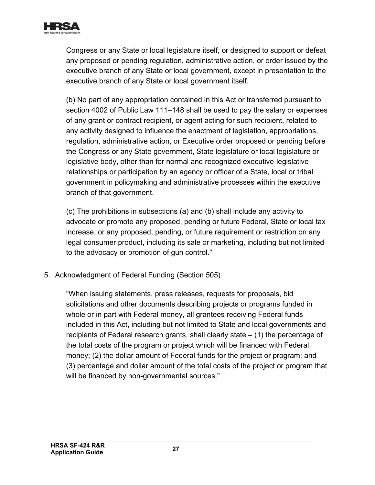

Congress or any State or local legislature itself, or designed to support or defeat any proposed or pending regulation, administrative action, or order issued by the executive branch of any State or local government, except in presentation to the executive branch of any State or local government itself.

(b) No part of any appropriation contained in this Act or transferred pursuant to section 4002 of Public Law 111–148 shall be used to pay the salary or expenses of any grant or contract recipient, or agent acting for such recipient, related to any activity designed to influence the enactment of legislation, appropriations, regulation, administrative action, or Executive order proposed or pending before the Congress or any State government, State legislature or local legislature or legislative body, other than for normal and recognized executive-legislative relationships or participation by an agency or officer of a State, local or tribal government in policymaking and administrative processes within the executive branch of that government.

(c) The prohibitions in subsections (a) and (b) shall include any activity to advocate or promote any proposed, pending or future Federal, State or local tax increase, or any proposed, pending, or future requirement or restriction on any legal consumer product, including its sale or marketing, including but not limited to the advocacy or promotion of gun control."

5. Acknowledgment of Federal Funding (Section 505)

"When issuing statements, press releases, requests for proposals, bid solicitations and other documents describing projects or programs funded in whole or in part with Federal money, all grantees receiving Federal funds included in this Act, including but not limited to State and local governments and recipients of Federal research grants, shall clearly state – (1) the percentage of the total costs of the program or project which will be financed with Federal money; (2) the dollar amount of Federal funds for the project or program; and (3) percentage and dollar amount of the total costs of the project or program that will be financed by non-governmental sources."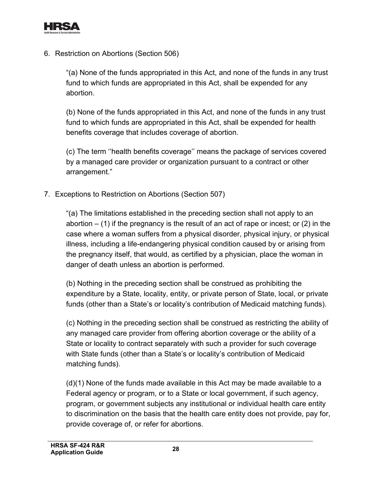

6. Restriction on Abortions (Section 506)

"(a) None of the funds appropriated in this Act, and none of the funds in any trust fund to which funds are appropriated in this Act, shall be expended for any abortion.

(b) None of the funds appropriated in this Act, and none of the funds in any trust fund to which funds are appropriated in this Act, shall be expended for health benefits coverage that includes coverage of abortion.

(c) The term ''health benefits coverage'' means the package of services covered by a managed care provider or organization pursuant to a contract or other arrangement."

7. Exceptions to Restriction on Abortions (Section 507)

"(a) The limitations established in the preceding section shall not apply to an abortion  $-$  (1) if the pregnancy is the result of an act of rape or incest; or (2) in the case where a woman suffers from a physical disorder, physical injury, or physical illness, including a life-endangering physical condition caused by or arising from the pregnancy itself, that would, as certified by a physician, place the woman in danger of death unless an abortion is performed.

(b) Nothing in the preceding section shall be construed as prohibiting the expenditure by a State, locality, entity, or private person of State, local, or private funds (other than a State's or locality's contribution of Medicaid matching funds).

(c) Nothing in the preceding section shall be construed as restricting the ability of any managed care provider from offering abortion coverage or the ability of a State or locality to contract separately with such a provider for such coverage with State funds (other than a State's or locality's contribution of Medicaid matching funds).

(d)(1) None of the funds made available in this Act may be made available to a Federal agency or program, or to a State or local government, if such agency, program, or government subjects any institutional or individual health care entity to discrimination on the basis that the health care entity does not provide, pay for, provide coverage of, or refer for abortions.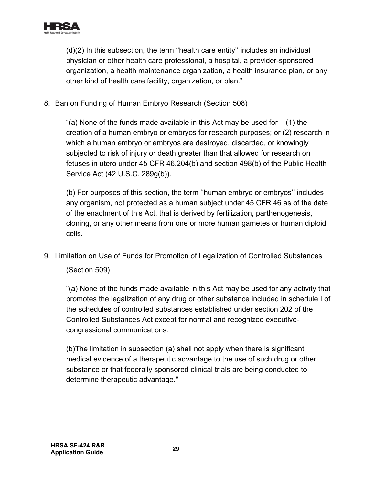

(d)(2) In this subsection, the term ''health care entity'' includes an individual physician or other health care professional, a hospital, a provider-sponsored organization, a health maintenance organization, a health insurance plan, or any other kind of health care facility, organization, or plan."

8. Ban on Funding of Human Embryo Research (Section 508)

"(a) None of the funds made available in this Act may be used for  $-$  (1) the creation of a human embryo or embryos for research purposes; or (2) research in which a human embryo or embryos are destroyed, discarded, or knowingly subjected to risk of injury or death greater than that allowed for research on fetuses in utero under 45 CFR 46.204(b) and section 498(b) of the Public Health Service Act (42 U.S.C. 289g(b)).

(b) For purposes of this section, the term ''human embryo or embryos'' includes any organism, not protected as a human subject under 45 CFR 46 as of the date of the enactment of this Act, that is derived by fertilization, parthenogenesis, cloning, or any other means from one or more human gametes or human diploid cells.

9. Limitation on Use of Funds for Promotion of Legalization of Controlled Substances (Section 509)

"(a) None of the funds made available in this Act may be used for any activity that promotes the legalization of any drug or other substance included in schedule I of the schedules of controlled substances established under section 202 of the Controlled Substances Act except for normal and recognized executivecongressional communications.

(b)The limitation in subsection (a) shall not apply when there is significant medical evidence of a therapeutic advantage to the use of such drug or other substance or that federally sponsored clinical trials are being conducted to determine therapeutic advantage."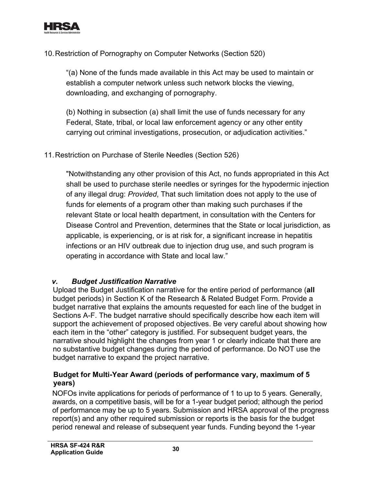

10.Restriction of Pornography on Computer Networks (Section 520)

"(a) None of the funds made available in this Act may be used to maintain or establish a computer network unless such network blocks the viewing, downloading, and exchanging of pornography.

(b) Nothing in subsection (a) shall limit the use of funds necessary for any Federal, State, tribal, or local law enforcement agency or any other entity carrying out criminal investigations, prosecution, or adjudication activities."

## 11.Restriction on Purchase of Sterile Needles (Section 526)

"Notwithstanding any other provision of this Act, no funds appropriated in this Act shall be used to purchase sterile needles or syringes for the hypodermic injection of any illegal drug: *Provided*, That such limitation does not apply to the use of funds for elements of a program other than making such purchases if the relevant State or local health department, in consultation with the Centers for Disease Control and Prevention, determines that the State or local jurisdiction, as applicable, is experiencing, or is at risk for, a significant increase in hepatitis infections or an HIV outbreak due to injection drug use, and such program is operating in accordance with State and local law."

## *v. Budget Justification Narrative*

Upload the Budget Justification narrative for the entire period of performance (**all** budget periods) in Section K of the Research & Related Budget Form. Provide a budget narrative that explains the amounts requested for each line of the budget in Sections A-F. The budget narrative should specifically describe how each item will support the achievement of proposed objectives. Be very careful about showing how each item in the "other" category is justified. For subsequent budget years, the narrative should highlight the changes from year 1 or clearly indicate that there are no substantive budget changes during the period of performance. Do NOT use the budget narrative to expand the project narrative.

## **Budget for Multi-Year Award (periods of performance vary, maximum of 5 years)**

NOFOs invite applications for periods of performance of 1 to up to 5 years. Generally, awards, on a competitive basis, will be for a 1-year budget period; although the period of performance may be up to 5 years. Submission and HRSA approval of the progress report(s) and any other required submission or reports is the basis for the budget period renewal and release of subsequent year funds. Funding beyond the 1-year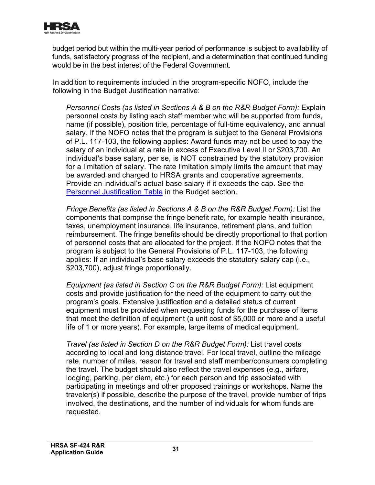

budget period but within the multi-year period of performance is subject to availability of funds, satisfactory progress of the recipient, and a determination that continued funding would be in the best interest of the Federal Government.

In addition to requirements included in the program-specific NOFO, include the following in the Budget Justification narrative:

*Personnel Costs (as listed in Sections A & B on the R&R Budget Form):* Explain personnel costs by listing each staff member who will be supported from funds, name (if possible), position title, percentage of full-time equivalency, and annual salary. If the NOFO notes that the program is subject to the General Provisions of P.L. 117-103, the following applies: Award funds may not be used to pay the salary of an individual at a rate in excess of Executive Level II or \$203,700. An individual's base salary, per se, is NOT constrained by the statutory provision for a limitation of salary. The rate limitation simply limits the amount that may be awarded and charged to HRSA grants and cooperative agreements. Provide an individual's actual base salary if it exceeds the cap. See the [Personnel Justification Table](#page-23-0) in the Budget section.

*Fringe Benefits (as listed in Sections A & B on the R&R Budget Form):* List the components that comprise the fringe benefit rate, for example health insurance, taxes, unemployment insurance, life insurance, retirement plans, and tuition reimbursement. The fringe benefits should be directly proportional to that portion of personnel costs that are allocated for the project. If the NOFO notes that the program is subject to the General Provisions of P.L. 117-103, the following applies: If an individual's base salary exceeds the statutory salary cap (i.e., \$203,700), adjust fringe proportionally.

*Equipment (as listed in Section C on the R&R Budget Form):* List equipment costs and provide justification for the need of the equipment to carry out the program's goals. Extensive justification and a detailed status of current equipment must be provided when requesting funds for the purchase of items that meet the definition of equipment (a unit cost of \$5,000 or more and a useful life of 1 or more years). For example, large items of medical equipment.

*Travel (as listed in Section D on the R&R Budget Form):* List travel costs according to local and long distance travel. For local travel, outline the mileage rate, number of miles, reason for travel and staff member/consumers completing the travel. The budget should also reflect the travel expenses (e.g., airfare, lodging, parking, per diem, etc.) for each person and trip associated with participating in meetings and other proposed trainings or workshops. Name the traveler(s) if possible, describe the purpose of the travel, provide number of trips involved, the destinations, and the number of individuals for whom funds are requested.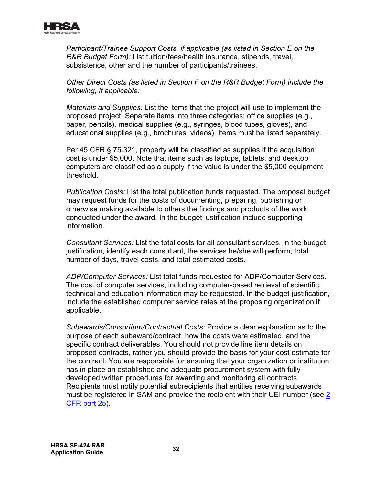

*Participant/Trainee Support Costs, if applicable (as listed in Section E on the R&R Budget Form):* List tuition/fees/health insurance, stipends, travel, subsistence, other and the number of participants/trainees.

*Other Direct Costs (as listed in Section F on the R&R Budget Form) include the following, if applicable:* 

*Materials and Supplies:* List the items that the project will use to implement the proposed project. Separate items into three categories: office supplies (e.g., paper, pencils), medical supplies (e.g., syringes, blood tubes, gloves), and educational supplies (e.g., brochures, videos). Items must be listed separately.

Per 45 CFR § 75.321, property will be classified as supplies if the acquisition cost is under \$5,000. Note that items such as laptops, tablets, and desktop computers are classified as a supply if the value is under the \$5,000 equipment threshold.

*Publication Costs:* List the total publication funds requested. The proposal budget may request funds for the costs of documenting, preparing, publishing or otherwise making available to others the findings and products of the work conducted under the award. In the budget justification include supporting information.

*Consultant Services:* List the total costs for all consultant services. In the budget justification, identify each consultant, the services he/she will perform, total number of days, travel costs, and total estimated costs.

*ADP/Computer Services:* List total funds requested for ADP/Computer Services. The cost of computer services, including computer-based retrieval of scientific, technical and education information may be requested. In the budget justification, include the established computer service rates at the proposing organization if applicable.

*Subawards/Consortium/Contractual Costs:* Provide a clear explanation as to the purpose of each subaward/contract, how the costs were estimated, and the specific contract deliverables. You should not provide line item details on proposed contracts, rather you should provide the basis for your cost estimate for the contract. You are responsible for ensuring that your organization or institution has in place an established and adequate procurement system with fully developed written procedures for awarding and monitoring all contracts. Recipients must notify potential subrecipients that entities receiving subawards must be registered in SAM and provide the recipient with their UEI number (see 2 [CFR part 25\)](https://www.ecfr.gov/cgi-bin/text-idx?SID=3185b80603454d8e67461ea19aa8a59b&mc=true&node=pt2.1.25&rgn=div5).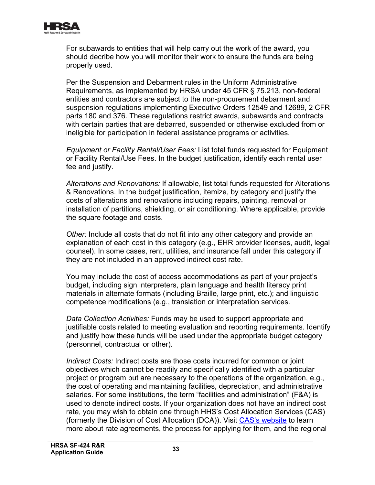

For subawards to entities that will help carry out the work of the award, you should decribe how you will monitor their work to ensure the funds are being properly used.

Per the Suspension and Debarment rules in the Uniform Administrative Requirements, as implemented by HRSA under 45 CFR § 75.213, non-federal entities and contractors are subject to the non-procurement debarment and suspension regulations implementing Executive Orders 12549 and 12689, 2 CFR parts 180 and 376. These regulations restrict awards, subawards and contracts with certain parties that are debarred, suspended or otherwise excluded from or ineligible for participation in federal assistance programs or activities.

*Equipment or Facility Rental/User Fees:* List total funds requested for Equipment or Facility Rental/Use Fees. In the budget justification, identify each rental user fee and justify.

*Alterations and Renovations:* If allowable, list total funds requested for Alterations & Renovations. In the budget justification, itemize, by category and justify the costs of alterations and renovations including repairs, painting, removal or installation of partitions, shielding, or air conditioning. Where applicable, provide the square footage and costs.

*Other:* Include all costs that do not fit into any other category and provide an explanation of each cost in this category (e.g., EHR provider licenses, audit, legal counsel). In some cases, rent, utilities, and insurance fall under this category if they are not included in an approved indirect cost rate.

You may include the cost of access accommodations as part of your project's budget, including sign interpreters, plain language and health literacy print materials in alternate formats (including Braille, large print, etc.); and linguistic competence modifications (e.g., translation or interpretation services.

*Data Collection Activities:* Funds may be used to support appropriate and justifiable costs related to meeting evaluation and reporting requirements. Identify and justify how these funds will be used under the appropriate budget category (personnel, contractual or other).

*Indirect Costs:* Indirect costs are those costs incurred for common or joint objectives which cannot be readily and specifically identified with a particular project or program but are necessary to the operations of the organization, e.g., the cost of operating and maintaining facilities, depreciation, and administrative salaries. For some institutions, the term "facilities and administration" (F&A) is used to denote indirect costs. If your organization does not have an indirect cost rate, you may wish to obtain one through HHS's Cost Allocation Services (CAS) (formerly the Division of Cost Allocation (DCA)). Visit [CAS's website](https://rates.psc.gov/) to learn more about rate agreements, the process for applying for them, and the regional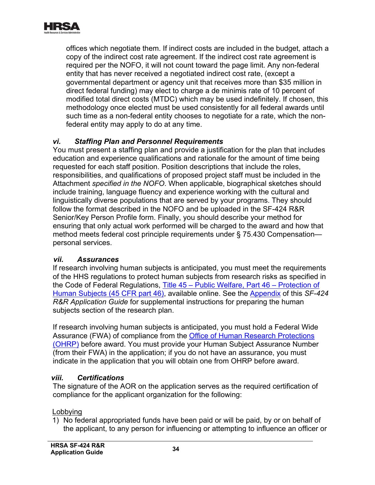

offices which negotiate them. If indirect costs are included in the budget, attach a copy of the indirect cost rate agreement. If the indirect cost rate agreement is required per the NOFO, it will not count toward the page limit. Any non-federal entity that has never received a negotiated indirect cost rate, (except a governmental department or agency unit that receives more than \$35 million in direct federal funding) may elect to charge a de minimis rate of 10 percent of modified total direct costs (MTDC) which may be used indefinitely. If chosen, this methodology once elected must be used consistently for all federal awards until such time as a non-federal entity chooses to negotiate for a rate, which the nonfederal entity may apply to do at any time.

### *vi. Staffing Plan and Personnel Requirements*

You must present a staffing plan and provide a justification for the plan that includes education and experience qualifications and rationale for the amount of time being requested for each staff position. Position descriptions that include the roles, responsibilities, and qualifications of proposed project staff must be included in the Attachment *specified in the NOFO*. When applicable, biographical sketches should include training, language fluency and experience working with the cultural and linguistically diverse populations that are served by your programs. They should follow the format described in the NOFO and be uploaded in the SF-424 R&R Senior/Key Person Profile form. Finally, you should describe your method for ensuring that only actual work performed will be charged to the award and how that method meets federal cost principle requirements under § 75.430 Compensation personal services.

### *vii. Assurances*

If research involving human subjects is anticipated, you must meet the requirements of the HHS regulations to protect human subjects from research risks as specified in the Code of Federal Regulations, [Title 45 – Public Welfare, Part 46 – Protection of](http://www.hhs.gov/ohrp/humansubjects/guidance/45cfr46.html)  [Human Subjects \(45 CFR part 46\),](http://www.hhs.gov/ohrp/humansubjects/guidance/45cfr46.html) available online. See the [Appendix](#page-58-0) of this *SF-424 R&R Application Guide* for supplemental instructions for preparing the human subjects section of the research plan.

If research involving human subjects is anticipated, you must hold a Federal Wide Assurance (FWA) of compliance from the [Office of Human Research Protections](https://www.hhs.gov/ohrp/regulations-and-policy/index.html)  [\(OHRP\)](https://www.hhs.gov/ohrp/regulations-and-policy/index.html) before award. You must provide your Human Subject Assurance Number (from their FWA) in the application; if you do not have an assurance, you must indicate in the application that you will obtain one from OHRP before award.

### *viii. Certifications*

The signature of the AOR on the application serves as the required certification of compliance for the applicant organization for the following:

### Lobbying

1) No federal appropriated funds have been paid or will be paid, by or on behalf of the applicant, to any person for influencing or attempting to influence an officer or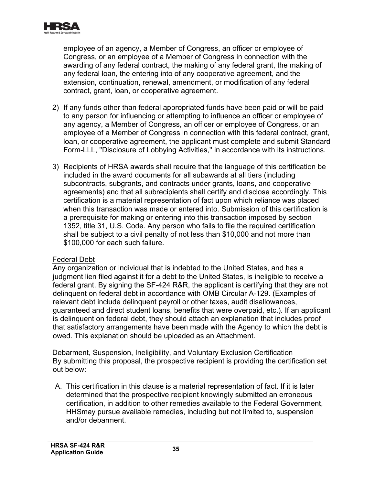

employee of an agency, a Member of Congress, an officer or employee of Congress, or an employee of a Member of Congress in connection with the awarding of any federal contract, the making of any federal grant, the making of any federal loan, the entering into of any cooperative agreement, and the extension, continuation, renewal, amendment, or modification of any federal contract, grant, loan, or cooperative agreement.

- 2) If any funds other than federal appropriated funds have been paid or will be paid to any person for influencing or attempting to influence an officer or employee of any agency, a Member of Congress, an officer or employee of Congress, or an employee of a Member of Congress in connection with this federal contract, grant, loan, or cooperative agreement, the applicant must complete and submit Standard Form-LLL, ''Disclosure of Lobbying Activities,'' in accordance with its instructions.
- 3) Recipients of HRSA awards shall require that the language of this certification be included in the award documents for all subawards at all tiers (including subcontracts, subgrants, and contracts under grants, loans, and cooperative agreements) and that all subrecipients shall certify and disclose accordingly. This certification is a material representation of fact upon which reliance was placed when this transaction was made or entered into. Submission of this certification is a prerequisite for making or entering into this transaction imposed by section 1352, title 31, U.S. Code. Any person who fails to file the required certification shall be subject to a civil penalty of not less than \$10,000 and not more than \$100,000 for each such failure.

#### Federal Debt

Any organization or individual that is indebted to the United States, and has a judgment lien filed against it for a debt to the United States, is ineligible to receive a federal grant. By signing the SF-424 R&R, the applicant is certifying that they are not delinquent on federal debt in accordance with OMB Circular A-129. (Examples of relevant debt include delinquent payroll or other taxes, audit disallowances, guaranteed and direct student loans, benefits that were overpaid, etc.). If an applicant is delinquent on federal debt, they should attach an explanation that includes proof that satisfactory arrangements have been made with the Agency to which the debt is owed. This explanation should be uploaded as an Attachment.

Debarment, Suspension, Ineligibility, and Voluntary Exclusion Certification By submitting this proposal, the prospective recipient is providing the certification set out below:

A. This certification in this clause is a material representation of fact. If it is later determined that the prospective recipient knowingly submitted an erroneous certification, in addition to other remedies available to the Federal Government, HHSmay pursue available remedies, including but not limited to, suspension and/or debarment.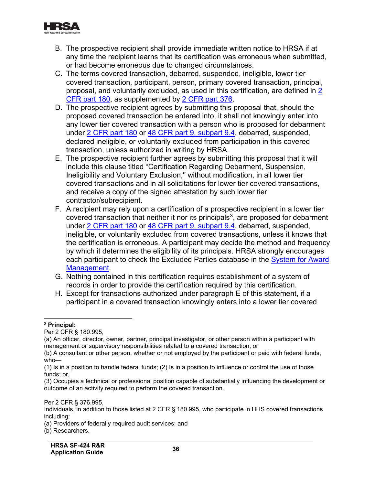

- B. The prospective recipient shall provide immediate written notice to HRSA if at any time the recipient learns that its certification was erroneous when submitted, or had become erroneous due to changed circumstances.
- C. The terms covered transaction, debarred, suspended, ineligible, lower tier covered transaction, participant, person, primary covered transaction, principal, proposal, and voluntarily excluded, as used in this certification, are defined in [2](http://www.ecfr.gov/cgi-bin/text-idx?tpl=/ecfrbrowse/Title02/2cfr180_main_02.tpl)  [CFR part 180,](http://www.ecfr.gov/cgi-bin/text-idx?tpl=/ecfrbrowse/Title02/2cfr180_main_02.tpl) as supplemented by [2 CFR part 376.](http://www.ecfr.gov/cgi-bin/text-idx?SID=ff6da27cb3fa613106e008b0600819f4&node=pt2.1.376&rgn=div5%23se2.1.376_1995)
- D. The prospective recipient agrees by submitting this proposal that, should the proposed covered transaction be entered into, it shall not knowingly enter into any lower tier covered transaction with a person who is proposed for debarment under [2 CFR part 180](http://www.ecfr.gov/cgi-bin/text-idx?tpl=/ecfrbrowse/Title02/2cfr180_main_02.tpl) or [48 CFR part 9, subpart 9.4,](http://www.ecfr.gov/cgi-bin/text-idx?SID=2068e8951dab76f7b96d51fda6d3325c&mc=true&node=sp48.1.9.9_14&rgn=div6) debarred, suspended, declared ineligible, or voluntarily excluded from participation in this covered transaction, unless authorized in writing by HRSA.
- E. The prospective recipient further agrees by submitting this proposal that it will include this clause titled "Certification Regarding Debarment, Suspension, Ineligibility and Voluntary Exclusion,'' without modification, in all lower tier covered transactions and in all solicitations for lower tier covered transactions, and receive a copy of the signed attestation by such lower tier contractor/subrecipient.
- <span id="page-38-1"></span>F. A recipient may rely upon a certification of a prospective recipient in a lower tier covered transaction that neither it nor its principals<sup>[3](#page-38-0)</sup>, are proposed for debarment under [2 CFR part 180](http://www.ecfr.gov/cgi-bin/text-idx?tpl=/ecfrbrowse/Title02/2cfr180_main_02.tpl) or [48 CFR part 9, subpart 9.4,](http://www.ecfr.gov/cgi-bin/text-idx?SID=2068e8951dab76f7b96d51fda6d3325c&mc=true&node=sp48.1.9.9_14&rgn=div6) debarred, suspended, ineligible, or voluntarily excluded from covered transactions, unless it knows that the certification is erroneous. A participant may decide the method and frequency by which it determines the eligibility of its principals. HRSA strongly encourages each participant to check the Excluded Parties database in the [System for Award](https://www.sam.gov/)  [Management.](https://www.sam.gov/)
- G. Nothing contained in this certification requires establishment of a system of records in order to provide the certification required by this certification.
- H. Except for transactions authorized under paragraph E of this statement, if a participant in a covered transaction knowingly enters into a lower tier covered

<span id="page-38-2"></span><span id="page-38-0"></span> $\overline{a}$ <sup>3</sup> **Principal:**

Per 2 CFR § 180.995,

<sup>(</sup>a) An officer, director, owner, partner, principal investigator, or other person within a participant with management or supervisory responsibilities related to a covered transaction; or

<sup>(</sup>b) A consultant or other person, whether or not employed by the participant or paid with federal funds, who—

<sup>(1)</sup> Is in a position to handle federal funds; (2) Is in a position to influence or control the use of those funds; or,

<sup>(3)</sup> Occupies a technical or professional position capable of substantially influencing the development or outcome of an activity required to perform the covered transaction.

Per 2 CFR § 376.995,

Individuals, in addition to those listed at 2 CFR § 180.995, who participate in HHS covered transactions including:

<sup>(</sup>a) Providers of federally required audit services; and

<sup>(</sup>b) Researchers.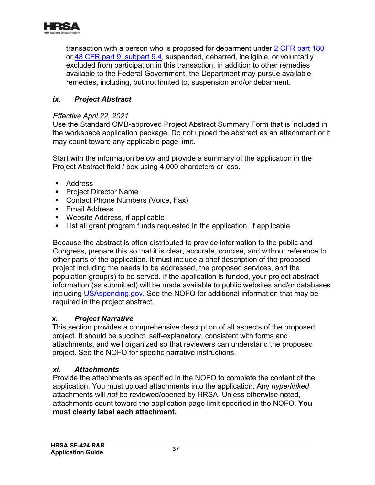<span id="page-39-0"></span>

transaction with a person who is proposed for debarment under [2 CFR part 180](http://www.ecfr.gov/cgi-bin/text-idx?tpl=/ecfrbrowse/Title02/2cfr180_main_02.tpl) or [48 CFR part 9, subpart 9.4,](http://www.ecfr.gov/cgi-bin/text-idx?SID=2068e8951dab76f7b96d51fda6d3325c&mc=true&node=sp48.1.9.9_14&rgn=div6) suspended, debarred, ineligible, or voluntarily excluded from participation in this transaction, in addition to other remedies available to the Federal Government, the Department may pursue available remedies, including, but not limited to, suspension and/or debarment.

### *ix. Project Abstract*

#### *Effective April 22, 2021*

Use the Standard OMB-approved Project Abstract Summary Form that is included in the workspace application package. Do not upload the abstract as an attachment or it may count toward any applicable page limit.

Start with the information below and provide a summary of the application in the Project Abstract field / box using 4,000 characters or less.

- **Address**
- Project Director Name
- **Contact Phone Numbers (Voice, Fax)**
- **F** Fmail Address
- Website Address, if applicable
- List all grant program funds requested in the application, if applicable

Because the abstract is often distributed to provide information to the public and Congress, prepare this so that it is clear, accurate, concise, and without reference to other parts of the application. It must include a brief description of the proposed project including the needs to be addressed, the proposed services, and the population group(s) to be served. If the application is funded, your project abstract information (as submitted) will be made available to public websites and/or databases including [USAspending.gov.](http://www.usaspending.gov/) See the NOFO for additional information that may be required in the project abstract.

#### *x. Project Narrative*

This section provides a comprehensive description of all aspects of the proposed project. It should be succinct, self-explanatory, consistent with forms and attachments, and well organized so that reviewers can understand the proposed project. See the NOFO for specific narrative instructions.

#### *xi. Attachments*

Provide the attachments as specified in the NOFO to complete the content of the application. You must upload attachments into the application. Any *hyperlinked* attachments will *not* be reviewed/opened by HRSA. Unless otherwise noted, attachments count toward the application page limit specified in the NOFO. **You must clearly label each attachment.**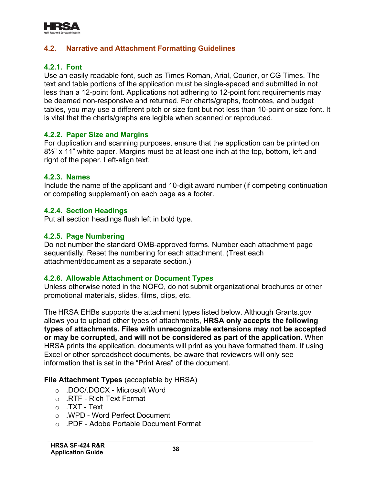

### **4.2. Narrative and Attachment Formatting Guidelines**

#### **4.2.1. Font**

Use an easily readable font, such as Times Roman, Arial, Courier, or CG Times. The text and table portions of the application must be single-spaced and submitted in not less than a 12-point font. Applications not adhering to 12-point font requirements may be deemed non-responsive and returned. For charts/graphs, footnotes, and budget tables, you may use a different pitch or size font but not less than 10-point or size font. It is vital that the charts/graphs are legible when scanned or reproduced.

#### **4.2.2. Paper Size and Margins**

For duplication and scanning purposes, ensure that the application can be printed on 8½" x 11" white paper. Margins must be at least one inch at the top, bottom, left and right of the paper. Left-align text.

#### **4.2.3. Names**

Include the name of the applicant and 10-digit award number (if competing continuation or competing supplement) on each page as a footer.

#### **4.2.4. Section Headings**

Put all section headings flush left in bold type.

#### **4.2.5. Page Numbering**

Do not number the standard OMB-approved forms. Number each attachment page sequentially. Reset the numbering for each attachment. (Treat each attachment/document as a separate section.)

#### **4.2.6. Allowable Attachment or Document Types**

Unless otherwise noted in the NOFO, do not submit organizational brochures or other promotional materials, slides, films, clips, etc.

The HRSA EHBs supports the attachment types listed below. Although Grants.gov allows you to upload other types of attachments, **HRSA only accepts the following types of attachments. Files with unrecognizable extensions may not be accepted or may be corrupted, and will not be considered as part of the application**. When HRSA prints the application, documents will print as you have formatted them. If using Excel or other spreadsheet documents, be aware that reviewers will only see information that is set in the "Print Area" of the document.

#### **File Attachment Types** (acceptable by HRSA)

- o .DOC/.DOCX Microsoft Word
- o .RTF Rich Text Format
- o .TXT Text
- o .WPD Word Perfect Document
- o .PDF Adobe Portable Document Format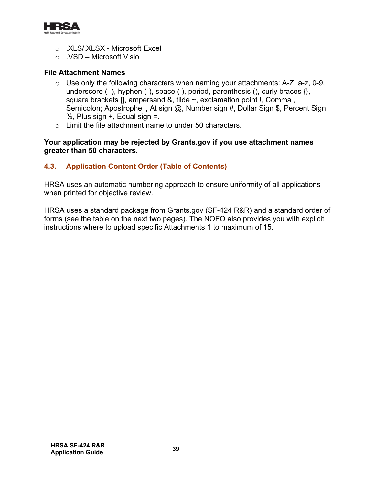

- o .XLS/.XLSX Microsoft Excel
- $\circ$  VSD Microsoft Visio

#### **File Attachment Names**

- o Use only the following characters when naming your attachments: A-Z, a-z, 0-9, underscore ( $\alpha$ ), hyphen (-), space (), period, parenthesis (), curly braces  $\beta$ , square brackets [], ampersand &, tilde ~, exclamation point !, Comma, Semicolon; Apostrophe ', At sign @, Number sign #, Dollar Sign \$, Percent Sign %, Plus sign  $+$ , Equal sign  $=$ .
- o Limit the file attachment name to under 50 characters.

**Your application may be rejected by Grants.gov if you use attachment names greater than 50 characters.**

### **4.3. Application Content Order (Table of Contents)**

HRSA uses an automatic numbering approach to ensure uniformity of all applications when printed for objective review.

HRSA uses a standard package from Grants.gov (SF-424 R&R) and a standard order of forms (see the table on the next two pages). The NOFO also provides you with explicit instructions where to upload specific Attachments 1 to maximum of 15.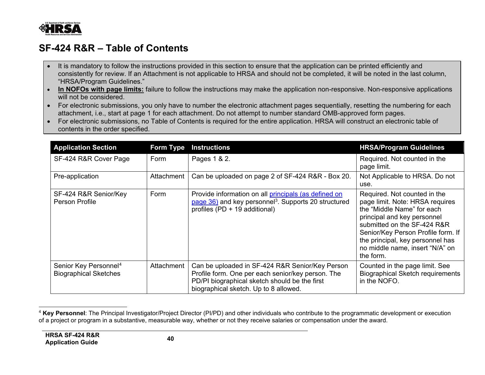<span id="page-42-0"></span>

# **SF-424 R&R – Table of Contents**

- It is mandatory to follow the instructions provided in this section to ensure that the application can be printed efficiently and consistently for review. If an Attachment is not applicable to HRSA and should not be completed, it will be noted in the last column, "HRSA/Program Guidelines."
- **In NOFOs with page limits:** failure to follow the instructions may make the application non-responsive. Non-responsive applications will not be considered.
- For electronic submissions, you only have to number the electronic attachment pages sequentially, resetting the numbering for each attachment, i.e., start at page 1 for each attachment. Do not attempt to number standard OMB-approved form pages.
- For electronic submissions, no Table of Contents is required for the entire application. HRSA will construct an electronic table of contents in the order specified.

| <b>Application Section</b>                                        | Form Type  | <b>Instructions</b>                                                                                                                                                                            | <b>HRSA/Program Guidelines</b>                                                                                                                                                                                                                                                        |
|-------------------------------------------------------------------|------------|------------------------------------------------------------------------------------------------------------------------------------------------------------------------------------------------|---------------------------------------------------------------------------------------------------------------------------------------------------------------------------------------------------------------------------------------------------------------------------------------|
| SF-424 R&R Cover Page                                             | Form       | Pages 1 & 2.                                                                                                                                                                                   | Required. Not counted in the<br>page limit.                                                                                                                                                                                                                                           |
| Pre-application                                                   | Attachment | Can be uploaded on page 2 of SF-424 R&R - Box 20.                                                                                                                                              | Not Applicable to HRSA. Do not<br>use.                                                                                                                                                                                                                                                |
| SF-424 R&R Senior/Key<br>Person Profile                           | Form       | Provide information on all principals (as defined on<br>page 36) and key personnel <sup>3</sup> . Supports 20 structured<br>profiles (PD + 19 additional)                                      | Required. Not counted in the<br>page limit. Note: HRSA requires<br>the "Middle Name" for each<br>principal and key personnel<br>submitted on the SF-424 R&R<br>Senior/Key Person Profile form. If<br>the principal, key personnel has<br>no middle name, insert "N/A" on<br>the form. |
| Senior Key Personnel <sup>4</sup><br><b>Biographical Sketches</b> | Attachment | Can be uploaded in SF-424 R&R Senior/Key Person<br>Profile form. One per each senior/key person. The<br>PD/PI biographical sketch should be the first<br>biographical sketch. Up to 8 allowed. | Counted in the page limit. See<br><b>Biographical Sketch requirements</b><br>in the NOFO.                                                                                                                                                                                             |

<sup>4</sup> **Key Personnel**: The Principal Investigator/Project Director (PI/PD) and other individuals who contribute to the programmatic development or execution of a project or program in a substantive, measurable way, whether or not they receive salaries or compensation under the award.

-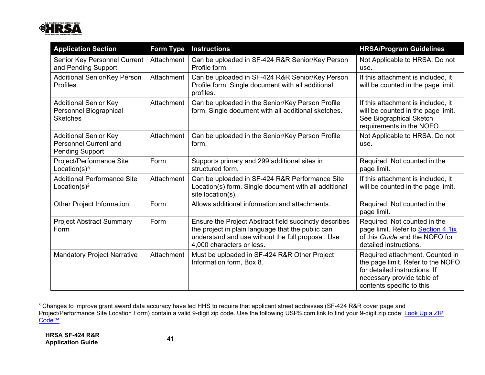<span id="page-43-0"></span>

| <b>Application Section</b>                                                             | <b>Form Type</b> | <b>Instructions</b>                                                                                                                                                                           | <b>HRSA/Program Guidelines</b>                                                                                                                                   |
|----------------------------------------------------------------------------------------|------------------|-----------------------------------------------------------------------------------------------------------------------------------------------------------------------------------------------|------------------------------------------------------------------------------------------------------------------------------------------------------------------|
| Senior Key Personnel Current<br>and Pending Support                                    | Attachment       | Can be uploaded in SF-424 R&R Senior/Key Person<br>Profile form.                                                                                                                              | Not Applicable to HRSA. Do not<br>use.                                                                                                                           |
| <b>Additional Senior/Key Person</b><br><b>Profiles</b>                                 | Attachment       | Can be uploaded in SF-424 R&R Senior/Key Person<br>Profile form. Single document with all additional<br>profiles.                                                                             | If this attachment is included, it<br>will be counted in the page limit.                                                                                         |
| <b>Additional Senior Key</b><br>Personnel Biographical<br><b>Sketches</b>              | Attachment       | Can be uploaded in the Senior/Key Person Profile<br>form. Single document with all additional sketches.                                                                                       | If this attachment is included, it<br>will be counted in the page limit.<br>See Biographical Sketch<br>requirements in the NOFO.                                 |
| <b>Additional Senior Key</b><br><b>Personnel Current and</b><br><b>Pending Support</b> | Attachment       | Can be uploaded in the Senior/Key Person Profile<br>form.                                                                                                                                     | Not Applicable to HRSA. Do not<br>use.                                                                                                                           |
| Project/Performance Site<br>Location(s) $5$                                            | Form             | Supports primary and 299 additional sites in<br>structured form.                                                                                                                              | Required. Not counted in the<br>page limit.                                                                                                                      |
| <b>Additional Performance Site</b><br>Location(s) <sup>2</sup>                         | Attachment       | Can be uploaded in SF-424 R&R Performance Site<br>Location(s) form. Single document with all additional<br>site location(s).                                                                  | If this attachment is included, it<br>will be counted in the page limit.                                                                                         |
| <b>Other Project Information</b>                                                       | Form             | Allows additional information and attachments.                                                                                                                                                | Required. Not counted in the<br>page limit.                                                                                                                      |
| <b>Project Abstract Summary</b><br>Form                                                | Form             | Ensure the Project Abstract field succinctly describes<br>the project in plain language that the public can<br>understand and use without the full proposal. Use<br>4,000 characters or less. | Required. Not counted in the<br>page limit. Refer to Section 4.1ix<br>of this Guide and the NOFO for<br>detailed instructions.                                   |
| <b>Mandatory Project Narrative</b>                                                     | Attachment       | Must be uploaded in SF-424 R&R Other Project<br>Information form, Box 8.                                                                                                                      | Required attachment. Counted in<br>the page limit. Refer to the NOFO<br>for detailed instructions. If<br>necessary provide table of<br>contents specific to this |

<sup>-</sup> $^5$  Changes to improve grant award data accuracy have led HHS to require that applicant street addresses (SF-424 R&R cover page and Project/Performance Site Location Form) contain a valid 9-digit zip code. Use the following USPS.com link to find your 9-digit zip code: <u>Look Up a ZIP</u> [Code™.](https://tools.usps.com/go/ZipLookupAction!input.action?mode=1&refresh=true)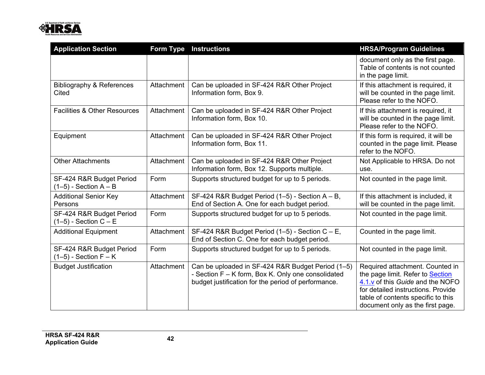

| <b>Application Section</b>                          | <b>Form Type</b> | <b>Instructions</b>                                                                                                                                            | <b>HRSA/Program Guidelines</b>                                                                                                                                                                                          |
|-----------------------------------------------------|------------------|----------------------------------------------------------------------------------------------------------------------------------------------------------------|-------------------------------------------------------------------------------------------------------------------------------------------------------------------------------------------------------------------------|
|                                                     |                  |                                                                                                                                                                | document only as the first page.<br>Table of contents is not counted<br>in the page limit.                                                                                                                              |
| <b>Bibliography &amp; References</b><br>Cited       | Attachment       | Can be uploaded in SF-424 R&R Other Project<br>Information form, Box 9.                                                                                        | If this attachment is required, it<br>will be counted in the page limit.<br>Please refer to the NOFO.                                                                                                                   |
| Facilities & Other Resources                        | Attachment       | Can be uploaded in SF-424 R&R Other Project<br>Information form, Box 10.                                                                                       | If this attachment is required, it<br>will be counted in the page limit.<br>Please refer to the NOFO.                                                                                                                   |
| Equipment                                           | Attachment       | Can be uploaded in SF-424 R&R Other Project<br>Information form, Box 11.                                                                                       | If this form is required, it will be<br>counted in the page limit. Please<br>refer to the NOFO.                                                                                                                         |
| <b>Other Attachments</b>                            | Attachment       | Can be uploaded in SF-424 R&R Other Project<br>Information form, Box 12. Supports multiple.                                                                    | Not Applicable to HRSA. Do not<br>use.                                                                                                                                                                                  |
| SF-424 R&R Budget Period<br>$(1-5)$ - Section A – B | Form             | Supports structured budget for up to 5 periods.                                                                                                                | Not counted in the page limit.                                                                                                                                                                                          |
| <b>Additional Senior Key</b><br>Persons             | Attachment       | SF-424 R&R Budget Period (1-5) - Section A - B,<br>End of Section A. One for each budget period.                                                               | If this attachment is included, it<br>will be counted in the page limit.                                                                                                                                                |
| SF-424 R&R Budget Period<br>$(1-5)$ - Section C – E | Form             | Supports structured budget for up to 5 periods.                                                                                                                | Not counted in the page limit.                                                                                                                                                                                          |
| <b>Additional Equipment</b>                         | Attachment       | SF-424 R&R Budget Period (1-5) - Section C - E,<br>End of Section C. One for each budget period.                                                               | Counted in the page limit.                                                                                                                                                                                              |
| SF-424 R&R Budget Period<br>$(1-5)$ - Section F – K | Form             | Supports structured budget for up to 5 periods.                                                                                                                | Not counted in the page limit.                                                                                                                                                                                          |
| <b>Budget Justification</b>                         | Attachment       | Can be uploaded in SF-424 R&R Budget Period (1-5)<br>- Section F - K form, Box K. Only one consolidated<br>budget justification for the period of performance. | Required attachment. Counted in<br>the page limit. Refer to Section<br>4.1.v of this Guide and the NOFO<br>for detailed instructions. Provide<br>table of contents specific to this<br>document only as the first page. |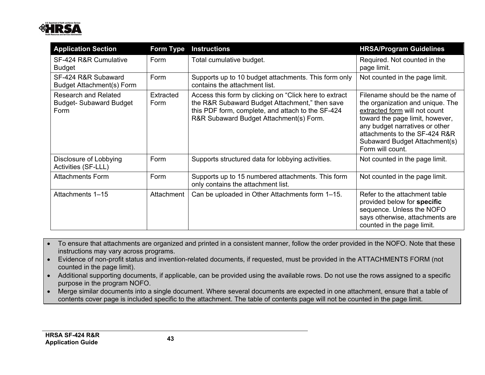

| <b>Application Section</b>                                           | Form Type         | <b>Instructions</b>                                                                                                                                                                                      | <b>HRSA/Program Guidelines</b>                                                                                                                                                                                                                                 |
|----------------------------------------------------------------------|-------------------|----------------------------------------------------------------------------------------------------------------------------------------------------------------------------------------------------------|----------------------------------------------------------------------------------------------------------------------------------------------------------------------------------------------------------------------------------------------------------------|
| SF-424 R&R Cumulative<br><b>Budget</b>                               | Form              | Total cumulative budget.                                                                                                                                                                                 | Required. Not counted in the<br>page limit.                                                                                                                                                                                                                    |
| SF-424 R&R Subaward<br><b>Budget Attachment(s) Form</b>              | Form              | Supports up to 10 budget attachments. This form only<br>contains the attachment list.                                                                                                                    | Not counted in the page limit.                                                                                                                                                                                                                                 |
| <b>Research and Related</b><br><b>Budget-Subaward Budget</b><br>Form | Extracted<br>Form | Access this form by clicking on "Click here to extract<br>the R&R Subaward Budget Attachment," then save<br>this PDF form, complete, and attach to the SF-424<br>R&R Subaward Budget Attachment(s) Form. | Filename should be the name of<br>the organization and unique. The<br>extracted form will not count<br>toward the page limit, however,<br>any budget narratives or other<br>attachments to the SF-424 R&R<br>Subaward Budget Attachment(s)<br>Form will count. |
| Disclosure of Lobbying<br>Activities (SF-LLL)                        | Form              | Supports structured data for lobbying activities.                                                                                                                                                        | Not counted in the page limit.                                                                                                                                                                                                                                 |
| <b>Attachments Form</b>                                              | Form              | Supports up to 15 numbered attachments. This form<br>only contains the attachment list.                                                                                                                  | Not counted in the page limit.                                                                                                                                                                                                                                 |
| Attachments 1-15                                                     | Attachment        | Can be uploaded in Other Attachments form 1-15.                                                                                                                                                          | Refer to the attachment table<br>provided below for specific<br>sequence. Unless the NOFO<br>says otherwise, attachments are<br>counted in the page limit.                                                                                                     |

- To ensure that attachments are organized and printed in a consistent manner, follow the order provided in the NOFO. Note that these instructions may vary across programs.
- Evidence of non-profit status and invention-related documents, if requested, must be provided in the ATTACHMENTS FORM (not counted in the page limit).
- Additional supporting documents, if applicable, can be provided using the available rows. Do not use the rows assigned to a specific purpose in the program NOFO.
- Merge similar documents into a single document. Where several documents are expected in one attachment, ensure that a table of contents cover page is included specific to the attachment. The table of contents page will not be counted in the page limit.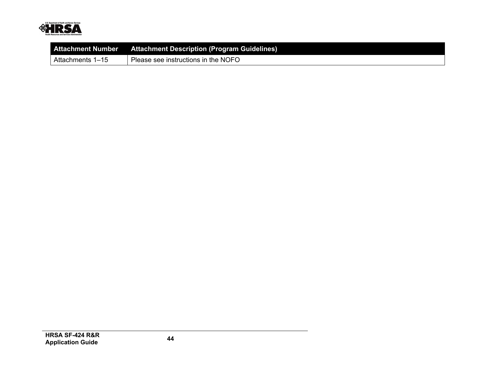

| <b>Attachment Number</b> | <b>Attachment Description (Program Guidelines)</b> |
|--------------------------|----------------------------------------------------|
| Attachments 1–15         | Please see instructions in the NOFO                |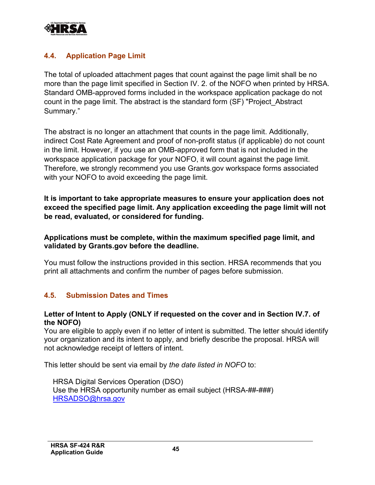

### **4.4. Application Page Limit**

The total of uploaded attachment pages that count against the page limit shall be no more than the page limit specified in Section IV. 2. of the NOFO when printed by HRSA. Standard OMB-approved forms included in the workspace application package do not count in the page limit. The abstract is the standard form (SF) "Project\_Abstract Summary."

The abstract is no longer an attachment that counts in the page limit. Additionally, indirect Cost Rate Agreement and proof of non-profit status (if applicable) do not count in the limit. However, if you use an OMB-approved form that is not included in the workspace application package for your NOFO, it will count against the page limit. Therefore, we strongly recommend you use Grants.gov workspace forms associated with your NOFO to avoid exceeding the page limit.

**It is important to take appropriate measures to ensure your application does not exceed the specified page limit. Any application exceeding the page limit will not be read, evaluated, or considered for funding.** 

#### **Applications must be complete, within the maximum specified page limit, and validated by Grants.gov before the deadline.**

You must follow the instructions provided in this section. HRSA recommends that you print all attachments and confirm the number of pages before submission.

### **4.5. Submission Dates and Times**

#### **Letter of Intent to Apply (ONLY if requested on the cover and in Section IV.7. of the NOFO)**

You are eligible to apply even if no letter of intent is submitted. The letter should identify your organization and its intent to apply, and briefly describe the proposal. HRSA will not acknowledge receipt of letters of intent.

This letter should be sent via email by *the date listed in NOFO* to:

HRSA Digital Services Operation (DSO) Use the HRSA opportunity number as email subject (HRSA-##-###) [HRSADSO@hrsa.gov](mailto:HRSADSO@hrsa.gov)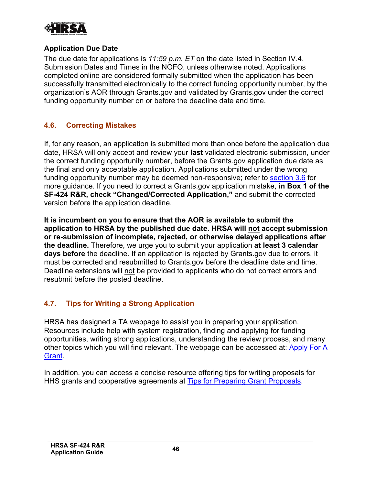

### **Application Due Date**

The due date for applications is *11:59 p.m. ET* on the date listed in Section IV.4. Submission Dates and Times in the NOFO, unless otherwise noted. Applications completed online are considered formally submitted when the application has been successfully transmitted electronically to the correct funding opportunity number, by the organization's AOR through Grants.gov and validated by Grants.gov under the correct funding opportunity number on or before the deadline date and time.

### **4.6. Correcting Mistakes**

If, for any reason, an application is submitted more than once before the application due date, HRSA will only accept and review your **last** validated electronic submission, under the correct funding opportunity number, before the Grants.gov application due date as the final and only acceptable application. Applications submitted under the wrong funding opportunity number may be deemed non-responsive; refer to [section 3.6](#page-19-0) for more guidance. If you need to correct a Grants.gov application mistake, **in Box 1 of the SF-424 R&R, check "Changed/Corrected Application,"** and submit the corrected version before the application deadline.

**It is incumbent on you to ensure that the AOR is available to submit the application to HRSA by the published due date. HRSA will not accept submission or re-submission of incomplete, rejected, or otherwise delayed applications after the deadline.** Therefore, we urge you to submit your application **at least 3 calendar days before** the deadline. If an application is rejected by Grants.gov due to errors, it must be corrected and resubmitted to Grants.gov before the deadline date and time. Deadline extensions will not be provided to applicants who do not correct errors and resubmit before the posted deadline.

### **4.7. Tips for Writing a Strong Application**

HRSA has designed a TA webpage to assist you in preparing your application. Resources include help with system registration, finding and applying for funding opportunities, writing strong applications, understanding the review process, and many other topics which you will find relevant. The webpage can be accessed at: [Apply For A](http://www.hrsa.gov/grants/apply/index.html)  **Grant** 

In addition, you can access a concise resource offering tips for writing proposals for HHS grants and cooperative agreements at [Tips for Preparing Grant Proposals.](http://www.hhs.gov/grants/grants/get-ready-for-grants-management/tips-for-preparing-grant-proposals)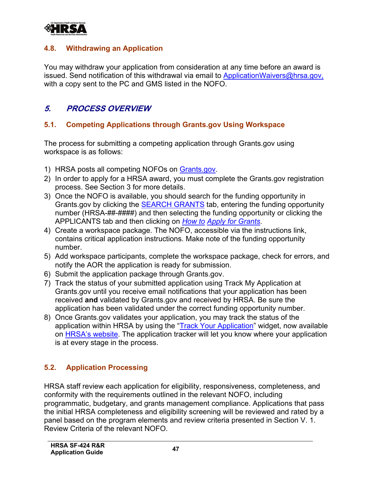

### <span id="page-49-0"></span>**4.8. Withdrawing an Application**

You may withdraw your application from consideration at any time before an award is issued. Send notification of this withdrawal via email to [ApplicationWaivers@hrsa.gov,](mailto:ApplicationWaivers@hrsa.gov) with a copy sent to the PC and GMS listed in the NOFO.

## **5. PROCESS OVERVIEW**

### **5.1. Competing Applications through Grants.gov Using Workspace**

The process for submitting a competing application through Grants.gov using workspace is as follows:

- 1) HRSA posts all competing NOFOs on [Grants.gov.](http://www.grants.gov/)
- 2) In order to apply for a HRSA award, you must complete the Grants.gov registration process. See Section 3 for more details.
- 3) Once the NOFO is available, you should search for the funding opportunity in Grants.gov by clicking the [SEARCH GRANTS](http://www.grants.gov/web/grants/search-grants.html) tab, entering the funding opportunity number (HRSA-##-####) and then selecting the funding opportunity or clicking the APPLICANTS tab and then clicking on *[How to](https://www.grants.gov/web/grants/applicants/apply-for-grants.html) [Apply for Grants](http://www.grants.gov/web/grants/applicants/apply-for-grants.html)*.
- 4) Create a workspace package. The NOFO, accessible via the instructions link, contains critical application instructions. Make note of the funding opportunity number.
- 5) Add workspace participants, complete the workspace package, check for errors, and notify the AOR the application is ready for submission.
- 6) Submit the application package through Grants.gov.
- 7) Track the status of your submitted application using Track My Application at Grants.gov until you receive email notifications that your application has been received **and** validated by Grants.gov and received by HRSA. Be sure the application has been validated under the correct funding opportunity number.
- 8) Once Grants.gov validates your application, you may track the status of the application within HRSA by using the ["Track Your Application"](https://www.hrsa.gov/grants/apply-for-a-grant/understand-the-grants-process) widget, now available on [HRSA's website.](https://www.hrsa.gov/grants/apply/index.html) The application tracker will let you know where your application is at every stage in the process.

### **5.2. Application Processing**

HRSA staff review each application for eligibility, responsiveness, completeness, and conformity with the requirements outlined in the relevant NOFO, including programmatic, budgetary, and grants management compliance. Applications that pass the initial HRSA completeness and eligibility screening will be reviewed and rated by a panel based on the program elements and review criteria presented in Section V. 1. Review Criteria of the relevant NOFO.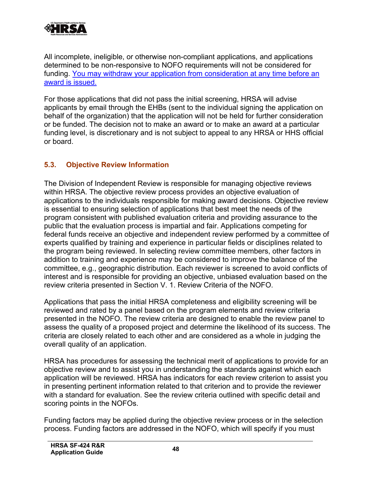

All incomplete, ineligible, or otherwise non-compliant applications, and applications determined to be non-responsive to NOFO requirements will not be considered for funding. [You may withdraw your application from consideration at any time before an](#page-49-0)  [award is issued.](#page-49-0)

For those applications that did not pass the initial screening, HRSA will advise applicants by email through the EHBs (sent to the individual signing the application on behalf of the organization) that the application will not be held for further consideration or be funded. The decision not to make an award or to make an award at a particular funding level, is discretionary and is not subject to appeal to any HRSA or HHS official or board.

### <span id="page-50-0"></span>**5.3. Objective Review Information**

The Division of Independent Review is responsible for managing objective reviews within HRSA. The objective review process provides an objective evaluation of applications to the individuals responsible for making award decisions. Objective review is essential to ensuring selection of applications that best meet the needs of the program consistent with published evaluation criteria and providing assurance to the public that the evaluation process is impartial and fair. Applications competing for federal funds receive an objective and independent review performed by a committee of experts qualified by training and experience in particular fields or disciplines related to the program being reviewed. In selecting review committee members, other factors in addition to training and experience may be considered to improve the balance of the committee, e.g., geographic distribution. Each reviewer is screened to avoid conflicts of interest and is responsible for providing an objective, unbiased evaluation based on the review criteria presented in Section V. 1. Review Criteria of the NOFO.

Applications that pass the initial HRSA completeness and eligibility screening will be reviewed and rated by a panel based on the program elements and review criteria presented in the NOFO. The review criteria are designed to enable the review panel to assess the quality of a proposed project and determine the likelihood of its success. The criteria are closely related to each other and are considered as a whole in judging the overall quality of an application.

HRSA has procedures for assessing the technical merit of applications to provide for an objective review and to assist you in understanding the standards against which each application will be reviewed. HRSA has indicators for each review criterion to assist you in presenting pertinent information related to that criterion and to provide the reviewer with a standard for evaluation. See the review criteria outlined with specific detail and scoring points in the NOFOs.

Funding factors may be applied during the objective review process or in the selection process. Funding factors are addressed in the NOFO, which will specify if you must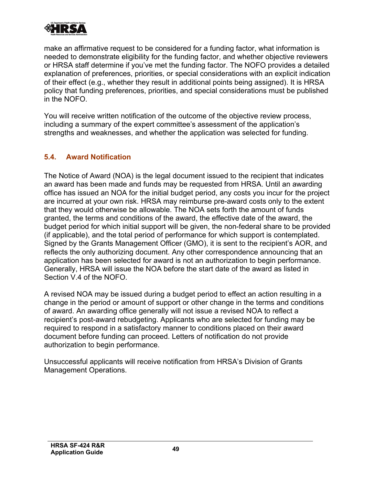

make an affirmative request to be considered for a funding factor, what information is needed to demonstrate eligibility for the funding factor, and whether objective reviewers or HRSA staff determine if you've met the funding factor. The NOFO provides a detailed explanation of preferences, priorities, or special considerations with an explicit indication of their effect (e.g., whether they result in additional points being assigned). It is HRSA policy that funding preferences, priorities, and special considerations must be published in the NOFO.

You will receive written notification of the outcome of the objective review process, including a summary of the expert committee's assessment of the application's strengths and weaknesses, and whether the application was selected for funding.

### **5.4. Award Notification**

The Notice of Award (NOA) is the legal document issued to the recipient that indicates an award has been made and funds may be requested from HRSA. Until an awarding office has issued an NOA for the initial budget period, any costs you incur for the project are incurred at your own risk. HRSA may reimburse pre-award costs only to the extent that they would otherwise be allowable. The NOA sets forth the amount of funds granted, the terms and conditions of the award, the effective date of the award, the budget period for which initial support will be given, the non-federal share to be provided (if applicable), and the total period of performance for which support is contemplated. Signed by the Grants Management Officer (GMO), it is sent to the recipient's AOR, and reflects the only authorizing document. Any other correspondence announcing that an application has been selected for award is not an authorization to begin performance. Generally, HRSA will issue the NOA before the start date of the award as listed in Section V.4 of the NOFO.

A revised NOA may be issued during a budget period to effect an action resulting in a change in the period or amount of support or other change in the terms and conditions of award. An awarding office generally will not issue a revised NOA to reflect a recipient's post-award rebudgeting. Applicants who are selected for funding may be required to respond in a satisfactory manner to conditions placed on their award document before funding can proceed. Letters of notification do not provide authorization to begin performance.

Unsuccessful applicants will receive notification from HRSA's Division of Grants Management Operations.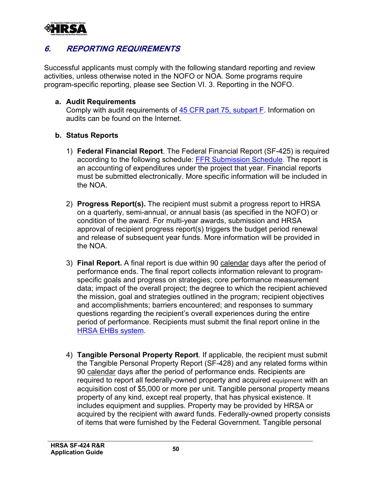

## **6. REPORTING REQUIREMENTS**

Successful applicants must comply with the following standard reporting and review activities, unless otherwise noted in the NOFO or NOA. Some programs require program-specific reporting, please see Section VI. 3. Reporting in the NOFO.

#### **a. Audit Requirements**

Comply with audit requirements of [45 CFR part 75, subpart F.](https://www.ecfr.gov/cgi-bin/retrieveECFR?gp=1&SID=4d52364ec83fab994c665943dadf9cf7&ty=HTML&h=L&r=PART&n=pt45.1.75) Information on audits can be found on the Internet.

#### **b. Status Reports**

- 1) **Federal Financial Report**. The Federal Financial Report (SF-425) is required according to the following schedule: [FFR Submission Schedule.](http://www.hrsa.gov/grants/manage/technicalassistance/federalfinancialreport/ffrschedule.pdf) The report is an accounting of expenditures under the project that year. Financial reports must be submitted electronically. More specific information will be included in the NOA.
- 2) **Progress Report(s).** The recipient must submit a progress report to HRSA on a quarterly, semi-annual, or annual basis (as specified in the NOFO) or condition of the award. For multi-year awards, submission and HRSA approval of recipient progress report(s) triggers the budget period renewal and release of subsequent year funds. More information will be provided in the NOA.
- 3) **Final Report.** A final report is due within 90 calendar days after the period of performance ends. The final report collects information relevant to programspecific goals and progress on strategies; core performance measurement data; impact of the overall project; the degree to which the recipient achieved the mission, goal and strategies outlined in the program; recipient objectives and accomplishments; barriers encountered; and responses to summary questions regarding the recipient's overall experiences during the entire period of performance. Recipients must submit the final report online in the [HRSA EHBs system.](https://grants.hrsa.gov/grantee)
- 4) **Tangible Personal Property Report**. If applicable, the recipient must submit the Tangible Personal Property Report (SF-428) and any related forms within 90 calendar days after the period of performance ends. Recipients are required to report all federally-owned property and acquired equipment with an acquisition cost of \$5,000 or more per unit. Tangible personal property means property of any kind, except real property, that has physical existence. It includes equipment and supplies. Property may be provided by HRSA or acquired by the recipient with award funds. Federally-owned property consists of items that were furnished by the Federal Government. Tangible personal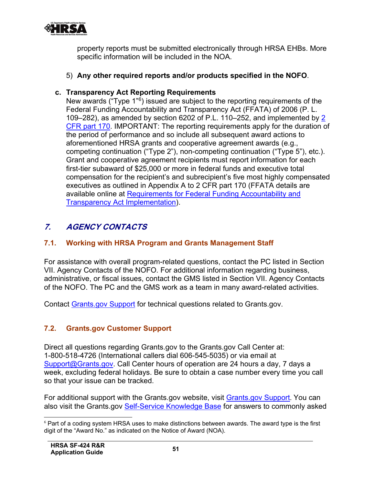

property reports must be submitted electronically through HRSA EHBs. More specific information will be included in the NOA.

5) **Any other required reports and/or products specified in the NOFO**.

### **c. Transparency Act Reporting Requirements**

New awards ("Type 1["6\)](#page-53-0) issued are subject to the reporting requirements of the Federal Funding Accountability and Transparency Act (FFATA) of 2006 (P. L. 109–282), as amended by section 6202 of P.L. 110–252, and implemented by [2](http://www.ecfr.gov/cgi-bin/text-idx?c=ecfr&tpl=/ecfrbrowse/Title02/2cfr170_main_02.tpl)  [CFR part 170.](http://www.ecfr.gov/cgi-bin/text-idx?c=ecfr&tpl=/ecfrbrowse/Title02/2cfr170_main_02.tpl) IMPORTANT: The reporting requirements apply for the duration of the period of performance and so include all subsequent award actions to aforementioned HRSA grants and cooperative agreement awards (e.g., competing continuation ("Type 2"), non-competing continuation ("Type 5"), etc.). Grant and cooperative agreement recipients must report information for each first-tier subaward of \$25,000 or more in federal funds and executive total compensation for the recipient's and subrecipient's five most highly compensated executives as outlined in Appendix A to 2 CFR part 170 (FFATA details are available online at [Requirements for Federal Funding Accountability and](http://www.hrsa.gov/grants/ffata.html)  [Transparency Act Implementation\)](http://www.hrsa.gov/grants/ffata.html).

## **7. AGENCY CONTACTS**

### **7.1. Working with HRSA Program and Grants Management Staff**

For assistance with overall program-related questions, contact the PC listed in Section VII. Agency Contacts of the NOFO. For additional information regarding business, administrative, or fiscal issues, contact the GMS listed in Section VII. Agency Contacts of the NOFO. The PC and the GMS work as a team in many award-related activities.

Contact [Grants.gov Support](https://www.grants.gov/web/grants/support.html) for technical questions related to Grants.gov.

### **7.2. Grants.gov Customer Support**

Direct all questions regarding Grants.gov to the Grants.gov Call Center at: 1-800-518-4726 (International callers dial 606-545-5035) or via email at [Support@Grants.gov.](mailto:Support@Grants.gov) Call Center hours of operation are 24 hours a day, 7 days a week, excluding federal holidays. Be sure to obtain a case number every time you call so that your issue can be tracked.

For additional support with the Grants.gov website, visit [Grants.gov Support](http://www.grants.gov/web/grants/support.html). You can also visit the Grants.gov [Self-Service Knowledge Base](https://grants-portal.psc.gov/Welcome.aspx?pt=Grants) for answers to commonly asked

<span id="page-53-0"></span> $\overline{a}$ <sup>6</sup> Part of a coding system HRSA uses to make distinctions between awards. The award type is the first digit of the "Award No." as indicated on the Notice of Award (NOA).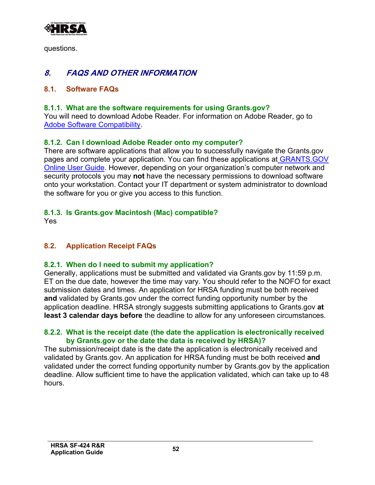

questions.

## **8. FAQS AND OTHER INFORMATION**

### **8.1. Software FAQs**

### **8.1.1. What are the software requirements for using Grants.gov?**

You will need to download Adobe Reader. For information on Adobe Reader, go to [Adobe Software Compatibility.](http://www.grants.gov/web/grants/applicants/adobe-software-compatibility.html)

#### **8.1.2. Can I download Adobe Reader onto my computer?**

There are software applications that allow you to successfully navigate the Grants.gov pages and complete your application. You can find these applications at [GRANTS.GOV](https://www.grants.gov/help/html/help/index.htm#t=GetStarted%2FGetStarted.htm)  [Online User Guide.](https://www.grants.gov/help/html/help/index.htm#t=GetStarted%2FGetStarted.htm) However, depending on your organization's computer network and security protocols you may **not** have the necessary permissions to download software onto your workstation. Contact your IT department or system administrator to download the software for you or give you access to this function.

### **8.1.3. Is Grants.gov Macintosh (Mac) compatible?**

Yes

### **8.2. Application Receipt FAQs**

### **8.2.1. When do I need to submit my application?**

Generally, applications must be submitted and validated via Grants.gov by 11:59 p.m. ET on the due date, however the time may vary. You should refer to the NOFO for exact submission dates and times. An application for HRSA funding must be both received **and** validated by Grants.gov under the correct funding opportunity number by the application deadline. HRSA strongly suggests submitting applications to Grants.gov **at least 3 calendar days before** the deadline to allow for any unforeseen circumstances.

#### **8.2.2. What is the receipt date (the date the application is electronically received by Grants.gov or the date the data is received by HRSA)?**

The submission/receipt date is the date the application is electronically received and validated by Grants.gov. An application for HRSA funding must be both received **and** validated under the correct funding opportunity number by Grants.gov by the application deadline. Allow sufficient time to have the application validated, which can take up to 48 hours.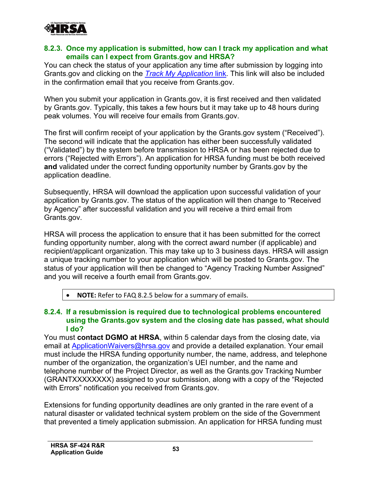

#### **8.2.3. Once my application is submitted, how can I track my application and what emails can I expect from Grants.gov and HRSA?**

You can check the status of your application any time after submission by logging into Grants.gov and clicking on the *[Track My Application](https://www.grants.gov/web/grants/applicants/track-my-application.html)* link. This link will also be included in the confirmation email that you receive from Grants.gov.

When you submit your application in Grants.gov, it is first received and then validated by Grants.gov. Typically, this takes a few hours but it may take up to 48 hours during peak volumes. You will receive four emails from Grants.gov.

The first will confirm receipt of your application by the Grants.gov system ("Received"). The second will indicate that the application has either been successfully validated ("Validated") by the system before transmission to HRSA or has been rejected due to errors ("Rejected with Errors"). An application for HRSA funding must be both received **and** validated under the correct funding opportunity number by Grants.gov by the application deadline.

Subsequently, HRSA will download the application upon successful validation of your application by Grants.gov. The status of the application will then change to "Received by Agency" after successful validation and you will receive a third email from Grants.gov.

HRSA will process the application to ensure that it has been submitted for the correct funding opportunity number, along with the correct award number (if applicable) and recipient/applicant organization. This may take up to 3 business days. HRSA will assign a unique tracking number to your application which will be posted to Grants.gov. The status of your application will then be changed to "Agency Tracking Number Assigned" and you will receive a fourth email from Grants.gov.

• **NOTE:** Refer to FAQ 8.2.5 below for a summary of emails.

#### **8.2.4. If a resubmission is required due to technological problems encountered using the Grants.gov system and the closing date has passed, what should I do?**

You must **contact DGMO at HRSA**, within 5 calendar days from the closing date, via email at [ApplicationWaivers@hrsa.gov](mailto:ApplicationWaivers@hrsa.gov) and provide a detailed explanation. Your email must include the HRSA funding opportunity number, the name, address, and telephone number of the organization, the organization's UEI number, and the name and telephone number of the Project Director, as well as the Grants.gov Tracking Number (GRANTXXXXXXXX) assigned to your submission, along with a copy of the "Rejected with Errors" notification you received from Grants.gov.

Extensions for funding opportunity deadlines are only granted in the rare event of a natural disaster or validated technical system problem on the side of the Government that prevented a timely application submission. An application for HRSA funding must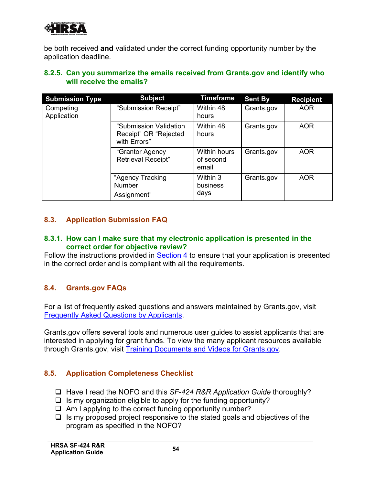

be both received **and** validated under the correct funding opportunity number by the application deadline.

#### **8.2.5. Can you summarize the emails received from Grants.gov and identify who will receive the emails?**

| <b>Submission Type</b>   | <b>Subject</b>                                                  | <b>Timeframe</b>                          | <b>Sent By</b> | <b>Recipient</b> |
|--------------------------|-----------------------------------------------------------------|-------------------------------------------|----------------|------------------|
| Competing<br>Application | "Submission Receipt"                                            | Within 48<br>hours                        | Grants.gov     | <b>AOR</b>       |
|                          | "Submission Validation<br>Receipt" OR "Rejected<br>with Errors" | Within 48<br>hours                        | Grants.gov     | <b>AOR</b>       |
|                          | "Grantor Agency<br><b>Retrieval Receipt"</b>                    | <b>Within hours</b><br>of second<br>email | Grants.gov     | <b>AOR</b>       |
|                          | "Agency Tracking<br><b>Number</b><br>Assignment"                | Within 3<br>business<br>days              | Grants.gov     | <b>AOR</b>       |

### **8.3. Application Submission FAQ**

#### **8.3.1. How can I make sure that my electronic application is presented in the correct order for objective review?**

Follow the instructions provided in **Section 4** to ensure that your application is presented in the correct order and is compliant with all the requirements.

### **8.4. Grants.gov FAQs**

For a list of frequently asked questions and answers maintained by Grants.gov, visit [Frequently Asked Questions by Applicants.](http://www.grants.gov/web/grants/applicants/applicant-faqs.html)

Grants.gov offers several tools and numerous user guides to assist applicants that are interested in applying for grant funds. To view the many applicant resources available through Grants.gov, visit [Training Documents and Videos for Grants.gov.](https://www.grants.gov/web/grants/applicants/applicant-training.html)

### **8.5. Application Completeness Checklist**

- □ Have I read the NOFO and this *SF-424 R&R Application Guide* thoroughly?
- $\Box$  Is my organization eligible to apply for the funding opportunity?
- $\Box$  Am I applying to the correct funding opportunity number?
- $\Box$  Is my proposed project responsive to the stated goals and objectives of the program as specified in the NOFO?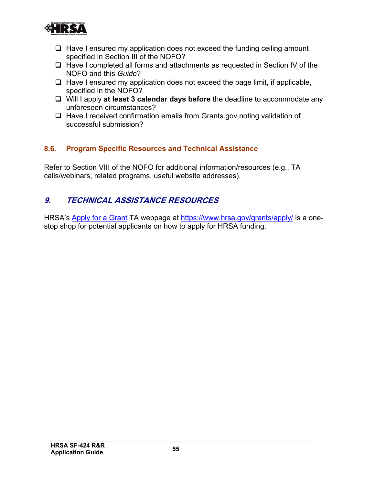

- $\Box$  Have I ensured my application does not exceed the funding ceiling amount specified in Section III of the NOFO?
- $\Box$  Have I completed all forms and attachments as requested in Section IV of the NOFO and this *Guide*?
- $\Box$  Have I ensured my application does not exceed the page limit, if applicable, specified in the NOFO?
- Will I apply **at least 3 calendar days before** the deadline to accommodate any unforeseen circumstances?
- $\Box$  Have I received confirmation emails from Grants.gov noting validation of successful submission?

## **8.6. Program Specific Resources and Technical Assistance**

Refer to Section VIII of the NOFO for additional information/resources (e.g., TA calls/webinars, related programs, useful website addresses).

## **9. TECHNICAL ASSISTANCE RESOURCES**

HRSA's [Apply for a Grant](file://gss-fs1/shares/OFAM/General/DGP/NOFOs/Application%20Guides/One-Tier%20Application%20Guides/Old%20One-Tier%20Guides,%20Drafts,%20and%20Working%20Docs/Apply%20for%20a%20Grant) TA webpage at<https://www.hrsa.gov/grants/apply/> is a onestop shop for potential applicants on how to apply for HRSA funding.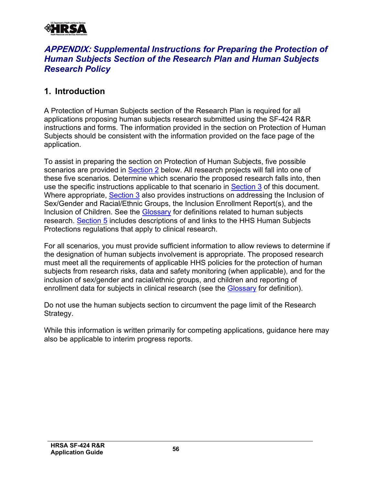

## <span id="page-58-0"></span>**APPENDIX:** *Supplemental Instructions for Preparing the Protection of Human Subjects Section of the Research Plan and Human Subjects Research Policy*

## **1. Introduction**

A Protection of Human Subjects section of the Research Plan is required for all applications proposing human subjects research submitted using the SF-424 R&R instructions and forms. The information provided in the section on Protection of Human Subjects should be consistent with the information provided on the face page of the application.

To assist in preparing the section on Protection of Human Subjects, five possible scenarios are provided in [Section 2](#page-59-0) below. All research projects will fall into one of these five scenarios. Determine which scenario the proposed research falls into, then use the specific instructions applicable to that scenario in [Section 3](#page-60-0) of this document. Where appropriate, [Section 3](#page-60-0) also provides instructions on addressing the Inclusion of Sex/Gender and Racial/Ethnic Groups, the Inclusion Enrollment Report(s), and the Inclusion of Children. See the [Glossary](https://humansubjects.nih.gov/glossary) for definitions related to human subjects research. [Section 5](#page-74-0) includes descriptions of and links to the HHS Human Subjects Protections regulations that apply to clinical research.

For all scenarios, you must provide sufficient information to allow reviews to determine if the designation of human subjects involvement is appropriate. The proposed research must meet all the requirements of applicable HHS policies for the protection of human subjects from research risks, data and safety monitoring (when applicable), and for the inclusion of sex/gender and racial/ethnic groups, and children and reporting of enrollment data for subjects in clinical research (see the [Glossary](https://humansubjects.nih.gov/glossary) for definition).

Do not use the human subjects section to circumvent the page limit of the Research Strategy.

While this information is written primarily for competing applications, guidance here may also be applicable to interim progress reports.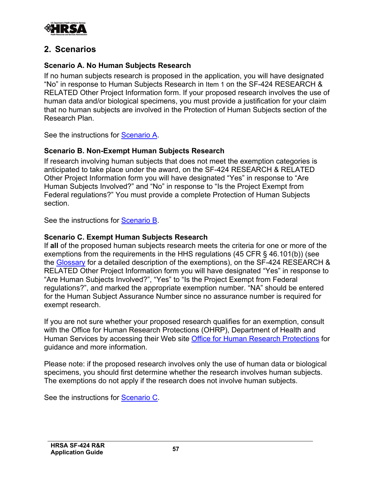

## <span id="page-59-0"></span>**2. Scenarios**

#### **Scenario A. No Human Subjects Research**

If no human subjects research is proposed in the application, you will have designated "No" in response to Human Subjects Research in Item 1 on the SF-424 RESEARCH & RELATED Other Project Information form. If your proposed research involves the use of human data and/or biological specimens, you must provide a justification for your claim that no human subjects are involved in the Protection of Human Subjects section of the Research Plan.

See the instructions for [Scenario A.](#page-60-1)

#### **Scenario B. Non-Exempt Human Subjects Research**

If research involving human subjects that does not meet the exemption categories is anticipated to take place under the award, on the SF-424 RESEARCH & RELATED Other Project Information form you will have designated "Yes" in response to "Are Human Subjects Involved?" and "No" in response to "Is the Project Exempt from Federal regulations?" You must provide a complete Protection of Human Subjects section.

See the instructions for [Scenario B.](#page-61-0)

#### **Scenario C. Exempt Human Subjects Research**

If **all** of the proposed human subjects research meets the criteria for one or more of the exemptions from the requirements in the HHS regulations (45 CFR § 46.101(b)) (see the [Glossary](https://humansubjects.nih.gov/glossary) for a detailed description of the exemptions), on the SF-424 RESEARCH & RELATED Other Project Information form you will have designated "Yes" in response to "Are Human Subjects Involved?", "Yes" to "Is the Project Exempt from Federal regulations?", and marked the appropriate exemption number. "NA" should be entered for the Human Subject Assurance Number since no assurance number is required for exempt research.

If you are not sure whether your proposed research qualifies for an exemption, consult with the Office for Human Research Protections (OHRP), Department of Health and Human Services by accessing their Web site [Office for Human Research Protections](http://www.hhs.gov/ohrp/) for guidance and more information.

Please note: if the proposed research involves only the use of human data or biological specimens, you should first determine whether the research involves human subjects. The exemptions do not apply if the research does not involve human subjects.

See the instructions for [Scenario C.](#page-62-0)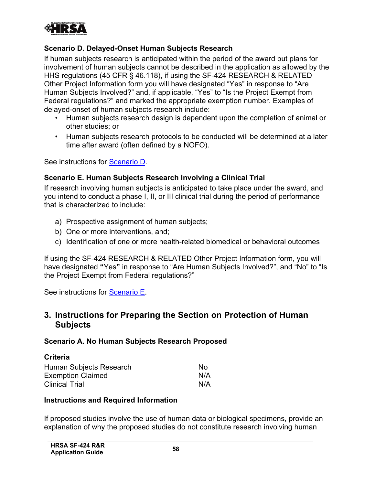

#### **Scenario D. Delayed-Onset Human Subjects Research**

If human subjects research is anticipated within the period of the award but plans for involvement of human subjects cannot be described in the application as allowed by the HHS regulations (45 CFR § 46.118), if using the SF-424 RESEARCH & RELATED Other Project Information form you will have designated "Yes" in response to "Are Human Subjects Involved?" and, if applicable, "Yes" to "Is the Project Exempt from Federal regulations?" and marked the appropriate exemption number. Examples of delayed-onset of human subjects research include:

- Human subjects research design is dependent upon the completion of animal or other studies; or
- Human subjects research protocols to be conducted will be determined at a later time after award (often defined by a NOFO).

See instructions for [Scenario D.](#page-62-1)

#### **Scenario E. Human Subjects Research Involving a Clinical Trial**

If research involving human subjects is anticipated to take place under the award, and you intend to conduct a phase I, II, or III clinical trial during the period of performance that is characterized to include:

- a) Prospective assignment of human subjects;
- b) One or more interventions, and;
- c) Identification of one or more health-related biomedical or behavioral outcomes

If using the SF-424 RESEARCH & RELATED Other Project Information form, you will have designated **"**Yes**"** in response to "Are Human Subjects Involved?", and "No" to "Is the Project Exempt from Federal regulations?"

See instructions for [Scenario E.](#page-64-0)

## <span id="page-60-0"></span>**3. Instructions for Preparing the Section on Protection of Human Subjects**

#### <span id="page-60-1"></span>**Scenario A. No Human Subjects Research Proposed**

| <b>Criteria</b>          |     |
|--------------------------|-----|
| Human Subjects Research  | Nο  |
| <b>Exemption Claimed</b> | N/A |
| <b>Clinical Trial</b>    | N/A |

#### **Instructions and Required Information**

If proposed studies involve the use of human data or biological specimens, provide an explanation of why the proposed studies do not constitute research involving human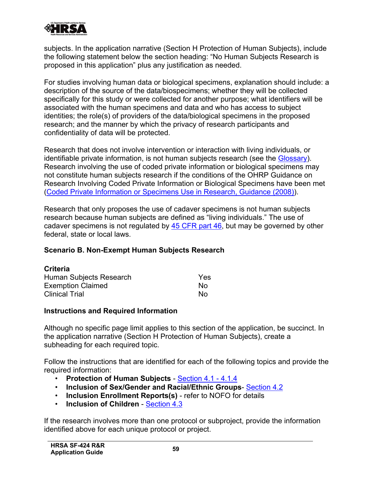

subjects. In the application narrative (Section H Protection of Human Subjects), include the following statement below the section heading: "No Human Subjects Research is proposed in this application" plus any justification as needed.

For studies involving human data or biological specimens, explanation should include: a description of the source of the data/biospecimens; whether they will be collected specifically for this study or were collected for another purpose; what identifiers will be associated with the human specimens and data and who has access to subject identities; the role(s) of providers of the data/biological specimens in the proposed research; and the manner by which the privacy of research participants and confidentiality of data will be protected.

Research that does not involve intervention or interaction with living individuals, or identifiable private information, is not human subjects research (see the [Glossary\)](https://humansubjects.nih.gov/glossary). Research involving the use of coded private information or biological specimens may not constitute human subjects research if the conditions of the OHRP Guidance on Research Involving Coded Private Information or Biological Specimens have been met [\(Coded Private Information or Specimens Use in Research, Guidance \(2008\)\)](http://www.hhs.gov/ohrp/policy/cdebiol.html).

Research that only proposes the use of cadaver specimens is not human subjects research because human subjects are defined as "living individuals." The use of cadaver specimens is not regulated by [45 CFR part 46,](http://www.ecfr.gov/cgi-bin/text-idx?tpl=/ecfrbrowse/Title45/45cfr46_main_02.tpl) but may be governed by other federal, state or local laws.

#### <span id="page-61-0"></span>**Scenario B. Non-Exempt Human Subjects Research**

| <b>Criteria</b>          |      |
|--------------------------|------|
| Human Subjects Research  | Yes. |
| <b>Exemption Claimed</b> | N٥   |
| <b>Clinical Trial</b>    | N٥   |

#### **Instructions and Required Information**

Although no specific page limit applies to this section of the application, be succinct. In the application narrative (Section H Protection of Human Subjects), create a subheading for each required topic.

Follow the instructions that are identified for each of the following topics and provide the required information:

- **Protection of Human Subjects** - [Section 4.1 4.1.4](#page-65-0)
- **Inclusion of Sex/Gender and Racial/Ethnic Groups**- [Section 4.2](#page-69-0)
- **Inclusion Enrollment Reports(s)**  refer to NOFO for details
- **Inclusion of Children** - [Section 4.3](#page-72-0)

If the research involves more than one protocol or subproject, provide the information identified above for each unique protocol or project.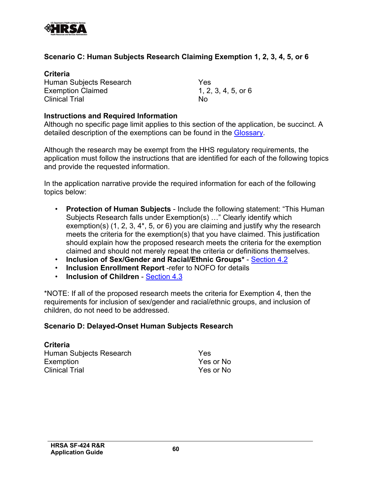

### <span id="page-62-0"></span>**Scenario C: Human Subjects Research Claiming Exemption 1, 2, 3, 4, 5, or 6**

| <b>Criteria</b>          |                     |
|--------------------------|---------------------|
| Human Subjects Research  | Yes                 |
| <b>Exemption Claimed</b> | 1, 2, 3, 4, 5, or 6 |
| <b>Clinical Trial</b>    | N٥                  |

#### **Instructions and Required Information**

Although no specific page limit applies to this section of the application, be succinct. A detailed description of the exemptions can be found in the [Glossary.](https://humansubjects.nih.gov/glossary)

Although the research may be exempt from the HHS regulatory requirements, the application must follow the instructions that are identified for each of the following topics and provide the requested information.

In the application narrative provide the required information for each of the following topics below:

- **Protection of Human Subjects**  Include the following statement: "This Human Subjects Research falls under Exemption(s) …" Clearly identify which exemption(s) (1, 2, 3, 4\*, 5, or 6) you are claiming and justify why the research meets the criteria for the exemption(s) that you have claimed. This justification should explain how the proposed research meets the criteria for the exemption claimed and should not merely repeat the criteria or definitions themselves.
- **Inclusion of Sex/Gender and Racial/Ethnic Groups\*** - [Section 4.2](#page-69-0)
- **Inclusion Enrollment Report** -refer to NOFO for details
- **Inclusion of Children** - [Section 4.3](#page-72-0)

\*NOTE: If all of the proposed research meets the criteria for Exemption 4, then the requirements for inclusion of sex/gender and racial/ethnic groups, and inclusion of children, do not need to be addressed.

#### <span id="page-62-1"></span>**Scenario D: Delayed-Onset Human Subjects Research**

| <b>Criteria</b>         |           |
|-------------------------|-----------|
| Human Subjects Research | Yes       |
| Exemption               | Yes or No |
| <b>Clinical Trial</b>   | Yes or No |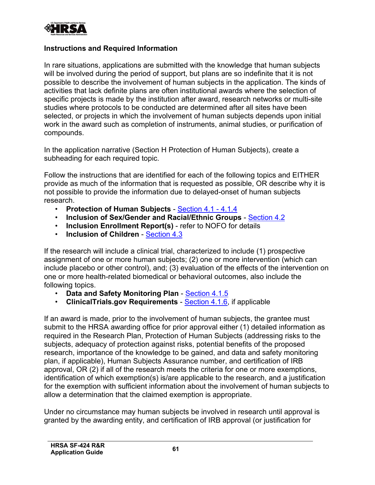

#### **Instructions and Required Information**

In rare situations, applications are submitted with the knowledge that human subjects will be involved during the period of support, but plans are so indefinite that it is not possible to describe the involvement of human subjects in the application. The kinds of activities that lack definite plans are often institutional awards where the selection of specific projects is made by the institution after award, research networks or multi-site studies where protocols to be conducted are determined after all sites have been selected, or projects in which the involvement of human subjects depends upon initial work in the award such as completion of instruments, animal studies, or purification of compounds.

In the application narrative (Section H Protection of Human Subjects), create a subheading for each required topic.

Follow the instructions that are identified for each of the following topics and EITHER provide as much of the information that is requested as possible, OR describe why it is not possible to provide the information due to delayed-onset of human subjects research.

- **Protection of Human Subjects** - [Section 4.1 4.1.4](#page-65-0)
- **Inclusion of Sex/Gender and Racial/Ethnic Groups** - [Section 4.2](#page-69-0)
- **Inclusion Enrollment Report(s)**  refer to NOFO for details
- **Inclusion of Children** - [Section 4.3](#page-72-0)

If the research will include a clinical trial, characterized to include (1) prospective assignment of one or more human subjects; (2) one or more intervention (which can include placebo or other control), and; (3) evaluation of the effects of the intervention on one or more health-related biomedical or behavioral outcomes, also include the following topics.

- **Data and Safety Monitoring Plan** - [Section 4.1.5](#page-67-0)
- **ClinicalTrials.gov Requirements** - [Section 4.1.6,](#page-68-0) if applicable

If an award is made, prior to the involvement of human subjects, the grantee must submit to the HRSA awarding office for prior approval either (1) detailed information as required in the Research Plan, Protection of Human Subjects (addressing risks to the subjects, adequacy of protection against risks, potential benefits of the proposed research, importance of the knowledge to be gained, and data and safety monitoring plan, if applicable), Human Subjects Assurance number, and certification of IRB approval, OR (2) if all of the research meets the criteria for one or more exemptions, identification of which exemption(s) is/are applicable to the research, and a justification for the exemption with sufficient information about the involvement of human subjects to allow a determination that the claimed exemption is appropriate.

Under no circumstance may human subjects be involved in research until approval is granted by the awarding entity, and certification of IRB approval (or justification for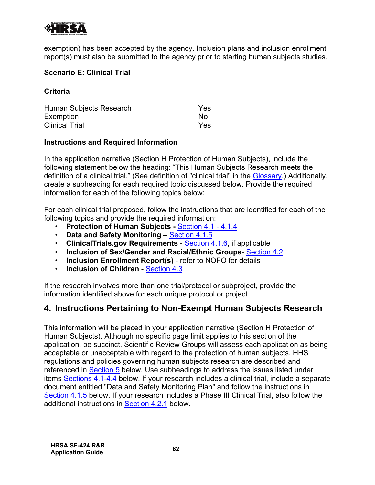

exemption) has been accepted by the agency. Inclusion plans and inclusion enrollment report(s) must also be submitted to the agency prior to starting human subjects studies.

#### <span id="page-64-0"></span>**Scenario E: Clinical Trial**

### **Criteria**

| Human Subjects Research | Yes |
|-------------------------|-----|
| Exemption               | N٥  |
| <b>Clinical Trial</b>   | Yes |

#### **Instructions and Required Information**

In the application narrative (Section H Protection of Human Subjects), include the following statement below the heading: "This Human Subjects Research meets the definition of a clinical trial." (See definition of "clinical trial" in the [Glossary.](https://humansubjects.nih.gov/glossary)) Additionally, create a subheading for each required topic discussed below. Provide the required information for each of the following topics below:

For each clinical trial proposed, follow the instructions that are identified for each of the following topics and provide the required information:

- **Protection of Human Subjects** [Section 4.1 4.1.4](#page-65-0)
- **Data and Safety Monitoring** [Section 4.1.5](#page-67-0)
- **ClinicalTrials.gov Requirements** - [Section 4.1.6,](#page-68-0) if applicable
- **Inclusion of Sex/Gender and Racial/Ethnic Groups**- [Section 4.2](#page-69-0)
- **Inclusion Enrollment Report(s)**  refer to NOFO for details
- **Inclusion of Children** - [Section 4.3](#page-72-0)

If the research involves more than one trial/protocol or subproject, provide the information identified above for each unique protocol or project.

## **4. Instructions Pertaining to Non-Exempt Human Subjects Research**

This information will be placed in your application narrative (Section H Protection of Human Subjects). Although no specific page limit applies to this section of the application, be succinct. Scientific Review Groups will assess each application as being acceptable or unacceptable with regard to the protection of human subjects. HHS regulations and policies governing human subjects research are described and referenced in [Section 5](#page-74-0) below. Use subheadings to address the issues listed under items [Sections 4.1-4.4](#page-65-0) below. If your research includes a clinical trial, include a separate document entitled "Data and Safety Monitoring Plan" and follow the instructions in [Section 4.1.5](#page-67-0) below. If your research includes a Phase III Clinical Trial, also follow the additional instructions in [Section 4.2.1](#page-71-0) below.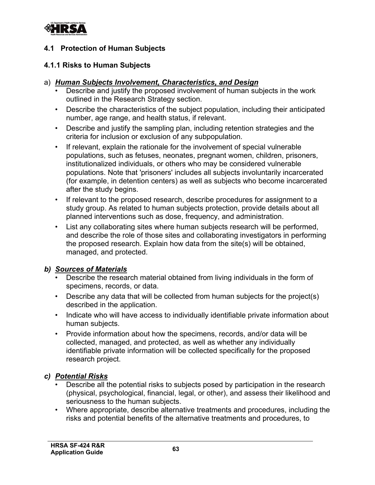

### <span id="page-65-0"></span>**4.1 Protection of Human Subjects**

#### **4.1.1 Risks to Human Subjects**

#### a) *Human Subjects Involvement, Characteristics, and Design*

- Describe and justify the proposed involvement of human subjects in the work outlined in the Research Strategy section.
- Describe the characteristics of the subject population, including their anticipated number, age range, and health status, if relevant.
- Describe and justify the sampling plan, including retention strategies and the criteria for inclusion or exclusion of any subpopulation.
- If relevant, explain the rationale for the involvement of special vulnerable populations, such as fetuses, neonates, pregnant women, children, prisoners, institutionalized individuals, or others who may be considered vulnerable populations. Note that 'prisoners' includes all subjects involuntarily incarcerated (for example, in detention centers) as well as subjects who become incarcerated after the study begins.
- If relevant to the proposed research, describe procedures for assignment to a study group. As related to human subjects protection, provide details about all planned interventions such as dose, frequency, and administration.
- List any collaborating sites where human subjects research will be performed, and describe the role of those sites and collaborating investigators in performing the proposed research. Explain how data from the site(s) will be obtained, managed, and protected.

### *b) Sources of Materials*

- Describe the research material obtained from living individuals in the form of specimens, records, or data.
- Describe any data that will be collected from human subjects for the project(s) described in the application.
- Indicate who will have access to individually identifiable private information about human subjects.
- Provide information about how the specimens, records, and/or data will be collected, managed, and protected, as well as whether any individually identifiable private information will be collected specifically for the proposed research project.

### *c) Potential Risks*

- Describe all the potential risks to subjects posed by participation in the research (physical, psychological, financial, legal, or other), and assess their likelihood and seriousness to the human subjects.
- Where appropriate, describe alternative treatments and procedures, including the risks and potential benefits of the alternative treatments and procedures, to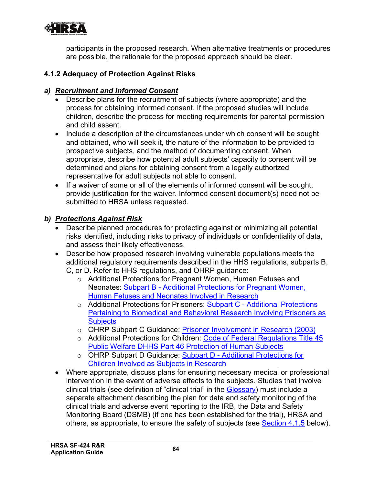

participants in the proposed research. When alternative treatments or procedures are possible, the rationale for the proposed approach should be clear.

### **4.1.2 Adequacy of Protection Against Risks**

### *a) Recruitment and Informed Consent*

- Describe plans for the recruitment of subjects (where appropriate) and the process for obtaining informed consent. If the proposed studies will include children, describe the process for meeting requirements for parental permission and child assent.
- Include a description of the circumstances under which consent will be sought and obtained, who will seek it, the nature of the information to be provided to prospective subjects, and the method of documenting consent. When appropriate, describe how potential adult subjects' capacity to consent will be determined and plans for obtaining consent from a legally authorized representative for adult subjects not able to consent.
- If a waiver of some or all of the elements of informed consent will be sought, provide justification for the waiver. Informed consent document(s) need not be submitted to HRSA unless requested.

### *b) Protections Against Risk*

- Describe planned procedures for protecting against or minimizing all potential risks identified, including risks to privacy of individuals or confidentiality of data, and assess their likely effectiveness.
- Describe how proposed research involving vulnerable populations meets the additional regulatory requirements described in the HHS regulations, subparts B, C, or D. Refer to HHS regulations, and OHRP guidance:
	- o Additional Protections for Pregnant Women, Human Fetuses and Neonates: [Subpart B - Additional Protections for Pregnant Women,](http://www.hhs.gov/ohrp/humansubjects/guidance/45cfr46.html#subpartb)  [Human Fetuses and Neonates Involved in Research](http://www.hhs.gov/ohrp/humansubjects/guidance/45cfr46.html#subpartb)
	- o Additional Protections for Prisoners: [Subpart C Additional Protections](http://www.hhs.gov/ohrp/humansubjects/guidance/45cfr46.html#subpartc)  [Pertaining to Biomedical and Behavioral Research Involving Prisoners as](http://www.hhs.gov/ohrp/humansubjects/guidance/45cfr46.html#subpartc)  **[Subjects](http://www.hhs.gov/ohrp/humansubjects/guidance/45cfr46.html#subpartc)**
	- o OHRP Subpart C Guidance: [Prisoner Involvement in Research \(2003\)](http://www.hhs.gov/ohrp/regulations-and-policy/guidance/prisoner-research-ohrp-guidance-2003/)
	- o Additional Protections for Children: [Code of Federal Requlations Title 45](http://www.hhs.gov/ohrp/humansubjects/guidance/45cfr46.html#subpartd)  [Public Welfare DHHS Part 46 Protection of Human Subjects](http://www.hhs.gov/ohrp/humansubjects/guidance/45cfr46.html#subpartd)
	- o OHRP Subpart D Guidance: [Subpart D Additional Protections for](https://www.hhs.gov/ohrp/regulations-and-policy/regulations/45-cfr-46/#subpartd)  [Children Involved as Subjects in Research](https://www.hhs.gov/ohrp/regulations-and-policy/regulations/45-cfr-46/#subpartd)
- Where appropriate, discuss plans for ensuring necessary medical or professional intervention in the event of adverse effects to the subjects. Studies that involve clinical trials (see definition of "clinical trial" in the [Glossary\)](https://humansubjects.nih.gov/glossary) must include a separate attachment describing the plan for data and safety monitoring of the clinical trials and adverse event reporting to the IRB, the Data and Safety Monitoring Board (DSMB) (if one has been established for the trial), HRSA and others, as appropriate, to ensure the safety of subjects (see [Section 4.1.5](#page-67-0) below).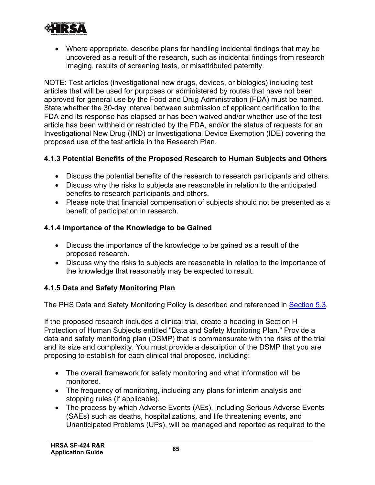

• Where appropriate, describe plans for handling incidental findings that may be uncovered as a result of the research, such as incidental findings from research imaging, results of screening tests, or misattributed paternity.

NOTE: Test articles (investigational new drugs, devices, or biologics) including test articles that will be used for purposes or administered by routes that have not been approved for general use by the Food and Drug Administration (FDA) must be named. State whether the 30-day interval between submission of applicant certification to the FDA and its response has elapsed or has been waived and/or whether use of the test article has been withheld or restricted by the FDA, and/or the status of requests for an Investigational New Drug (IND) or Investigational Device Exemption (IDE) covering the proposed use of the test article in the Research Plan.

### **4.1.3 Potential Benefits of the Proposed Research to Human Subjects and Others**

- Discuss the potential benefits of the research to research participants and others.
- Discuss why the risks to subjects are reasonable in relation to the anticipated benefits to research participants and others.
- Please note that financial compensation of subjects should not be presented as a benefit of participation in research.

### **4.1.4 Importance of the Knowledge to be Gained**

- Discuss the importance of the knowledge to be gained as a result of the proposed research.
- Discuss why the risks to subjects are reasonable in relation to the importance of the knowledge that reasonably may be expected to result.

### <span id="page-67-0"></span>**4.1.5 Data and Safety Monitoring Plan**

The PHS Data and Safety Monitoring Policy is described and referenced in [Section 5.3.](#page-50-0)

If the proposed research includes a clinical trial, create a heading in Section H Protection of Human Subjects entitled "Data and Safety Monitoring Plan." Provide a data and safety monitoring plan (DSMP) that is commensurate with the risks of the trial and its size and complexity. You must provide a description of the DSMP that you are proposing to establish for each clinical trial proposed, including:

- The overall framework for safety monitoring and what information will be monitored.
- The frequency of monitoring, including any plans for interim analysis and stopping rules (if applicable).
- The process by which Adverse Events (AEs), including Serious Adverse Events (SAEs) such as deaths, hospitalizations, and life threatening events, and Unanticipated Problems (UPs), will be managed and reported as required to the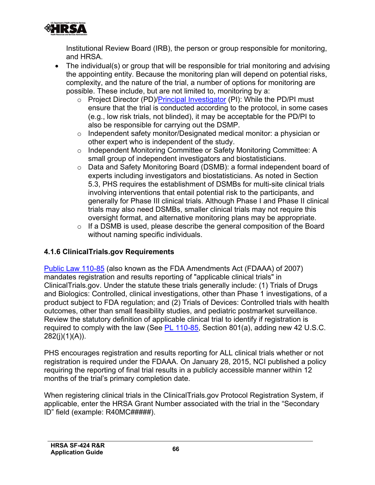

Institutional Review Board (IRB), the person or group responsible for monitoring, and HRSA.

- The individual(s) or group that will be responsible for trial monitoring and advising the appointing entity. Because the monitoring plan will depend on potential risks, complexity, and the nature of the trial, a number of options for monitoring are possible. These include, but are not limited to, monitoring by a:
	- o Project Director (PD)[/Principal Investigator](#page-38-2) (PI): While the PD/PI must ensure that the trial is conducted according to the protocol, in some cases (e.g., low risk trials, not blinded), it may be acceptable for the PD/PI to also be responsible for carrying out the DSMP.
	- o Independent safety monitor/Designated medical monitor: a physician or other expert who is independent of the study.
	- o Independent Monitoring Committee or Safety Monitoring Committee: A small group of independent investigators and biostatisticians.
	- o Data and Safety Monitoring Board (DSMB): a formal independent board of experts including investigators and biostatisticians. As noted in Section 5.3, PHS requires the establishment of DSMBs for multi-site clinical trials involving interventions that entail potential risk to the participants, and generally for Phase III clinical trials. Although Phase I and Phase II clinical trials may also need DSMBs, smaller clinical trials may not require this oversight format, and alternative monitoring plans may be appropriate.
	- o If a DSMB is used, please describe the general composition of the Board without naming specific individuals.

### <span id="page-68-0"></span>**4.1.6 ClinicalTrials.gov Requirements**

[Public Law 110-85](https://www.gpo.gov/fdsys/pkg/PLAW-110publ85/pdf/PLAW-110publ85.pdf) (also known as the FDA Amendments Act (FDAAA) of 2007) mandates registration and results reporting of "applicable clinical trials" in ClinicalTrials.gov. Under the statute these trials generally include: (1) Trials of Drugs and Biologics: Controlled, clinical investigations, other than Phase 1 investigations, of a product subject to FDA regulation; and (2) Trials of Devices: Controlled trials with health outcomes, other than small feasibility studies, and pediatric postmarket surveillance. Review the statutory definition of applicable clinical trial to identify if registration is required to comply with the law (See [PL 110-85,](https://www.gpo.gov/fdsys/pkg/PLAW-110publ85/pdf/PLAW-110publ85.pdf) Section 801(a), adding new 42 U.S.C.  $282(j)(1)(A)).$ 

PHS encourages registration and results reporting for ALL clinical trials whether or not registration is required under the FDAAA. On January 28, 2015, NCI published a policy requiring the reporting of final trial results in a publicly accessible manner within 12 months of the trial's primary completion date.

When registering clinical trials in the ClinicalTrials.gov Protocol Registration System, if applicable, enter the HRSA Grant Number associated with the trial in the "Secondary ID" field (example: R40MC#####).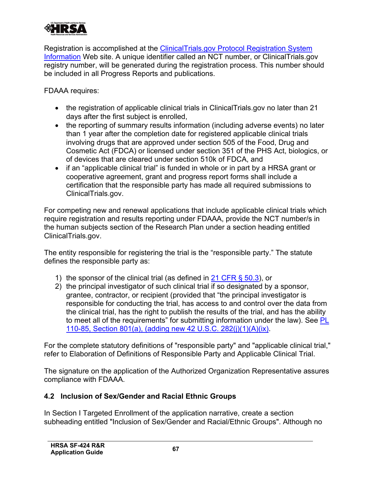

Registration is accomplished at the [ClinicalTrials.gov Protocol Registration System](https://clinicaltrials.gov/)  [Information](https://clinicaltrials.gov/) Web site. A unique identifier called an NCT number, or ClinicalTrials.gov registry number, will be generated during the registration process. This number should be included in all Progress Reports and publications.

FDAAA requires:

- the registration of applicable clinical trials in ClinicalTrials.gov no later than 21 days after the first subject is enrolled,
- the reporting of summary results information (including adverse events) no later than 1 year after the completion date for registered applicable clinical trials involving drugs that are approved under section 505 of the Food, Drug and Cosmetic Act (FDCA) or licensed under section 351 of the PHS Act, biologics, or of devices that are cleared under section 510k of FDCA, and
- if an "applicable clinical trial" is funded in whole or in part by a HRSA grant or cooperative agreement, grant and progress report forms shall include a certification that the responsible party has made all required submissions to ClinicalTrials.gov.

For competing new and renewal applications that include applicable clinical trials which require registration and results reporting under FDAAA, provide the NCT number/s in the human subjects section of the Research Plan under a section heading entitled ClinicalTrials.gov.

The entity responsible for registering the trial is the "responsible party." The statute defines the responsible party as:

- 1) the sponsor of the clinical trial (as defined in 21 CFR  $\S$  50.3), or
- 2) the principal investigator of such clinical trial if so designated by a sponsor, grantee, contractor, or recipient (provided that "the principal investigator is responsible for conducting the trial, has access to and control over the data from the clinical trial, has the right to publish the results of the trial, and has the ability to meet all of the requirements" for submitting information under the law). See PL [110-85, Section 801\(a\), \(adding new 42 U.S.C. 282\(j\)\(1\)\(A\)\(ix\).](https://www.gpo.gov/fdsys/pkg/PLAW-110publ85/pdf/PLAW-110publ85.pdf)

For the complete statutory definitions of "responsible party" and "applicable clinical trial," refer to Elaboration of Definitions of Responsible Party and Applicable Clinical Trial.

The signature on the application of the Authorized Organization Representative assures compliance with FDAAA.

### <span id="page-69-0"></span>**4.2 Inclusion of Sex/Gender and Racial Ethnic Groups**

In Section I Targeted Enrollment of the application narrative, create a section subheading entitled "Inclusion of Sex/Gender and Racial/Ethnic Groups". Although no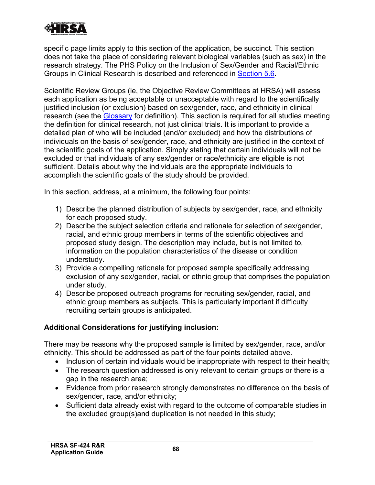

specific page limits apply to this section of the application, be succinct. This section does not take the place of considering relevant biological variables (such as sex) in the research strategy. The PHS Policy on the Inclusion of Sex/Gender and Racial/Ethnic Groups in Clinical Research is described and referenced in [Section 5.6.](#page-78-0)

Scientific Review Groups (ie, the Objective Review Committees at HRSA) will assess each application as being acceptable or unacceptable with regard to the scientifically justified inclusion (or exclusion) based on sex/gender, race, and ethnicity in clinical research (see the [Glossary](https://humansubjects.nih.gov/glossary) for definition). This section is required for all studies meeting the definition for clinical research, not just clinical trials. It is important to provide a detailed plan of who will be included (and/or excluded) and how the distributions of individuals on the basis of sex/gender, race, and ethnicity are justified in the context of the scientific goals of the application. Simply stating that certain individuals will not be excluded or that individuals of any sex/gender or race/ethnicity are eligible is not sufficient. Details about why the individuals are the appropriate individuals to accomplish the scientific goals of the study should be provided.

In this section, address, at a minimum, the following four points:

- 1) Describe the planned distribution of subjects by sex/gender, race, and ethnicity for each proposed study.
- 2) Describe the subject selection criteria and rationale for selection of sex/gender, racial, and ethnic group members in terms of the scientific objectives and proposed study design. The description may include, but is not limited to, information on the population characteristics of the disease or condition understudy.
- 3) Provide a compelling rationale for proposed sample specifically addressing exclusion of any sex/gender, racial, or ethnic group that comprises the population under study.
- 4) Describe proposed outreach programs for recruiting sex/gender, racial, and ethnic group members as subjects. This is particularly important if difficulty recruiting certain groups is anticipated.

### **Additional Considerations for justifying inclusion:**

There may be reasons why the proposed sample is limited by sex/gender, race, and/or ethnicity. This should be addressed as part of the four points detailed above.

- Inclusion of certain individuals would be inappropriate with respect to their health;
- The research question addressed is only relevant to certain groups or there is a gap in the research area;
- Evidence from prior research strongly demonstrates no difference on the basis of sex/gender, race, and/or ethnicity;
- Sufficient data already exist with regard to the outcome of comparable studies in the excluded group(s)and duplication is not needed in this study;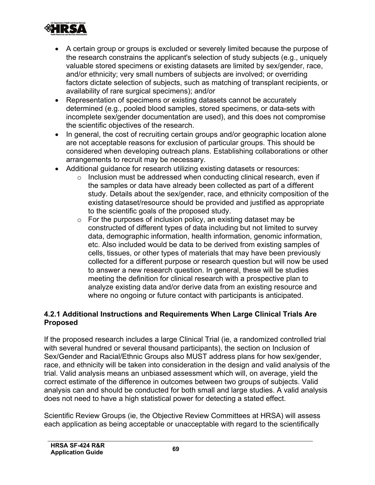

- A certain group or groups is excluded or severely limited because the purpose of the research constrains the applicant's selection of study subjects (e.g., uniquely valuable stored specimens or existing datasets are limited by sex/gender, race, and/or ethnicity; very small numbers of subjects are involved; or overriding factors dictate selection of subjects, such as matching of transplant recipients, or availability of rare surgical specimens); and/or
- Representation of specimens or existing datasets cannot be accurately determined (e.g., pooled blood samples, stored specimens, or data-sets with incomplete sex/gender documentation are used), and this does not compromise the scientific objectives of the research.
- In general, the cost of recruiting certain groups and/or geographic location alone are not acceptable reasons for exclusion of particular groups. This should be considered when developing outreach plans. Establishing collaborations or other arrangements to recruit may be necessary.
- Additional guidance for research utilizing existing datasets or resources:
	- o Inclusion must be addressed when conducting clinical research, even if the samples or data have already been collected as part of a different study. Details about the sex/gender, race, and ethnicity composition of the existing dataset/resource should be provided and justified as appropriate to the scientific goals of the proposed study.
	- $\circ$  For the purposes of inclusion policy, an existing dataset may be constructed of different types of data including but not limited to survey data, demographic information, health information, genomic information, etc. Also included would be data to be derived from existing samples of cells, tissues, or other types of materials that may have been previously collected for a different purpose or research question but will now be used to answer a new research question. In general, these will be studies meeting the definition for clinical research with a prospective plan to analyze existing data and/or derive data from an existing resource and where no ongoing or future contact with participants is anticipated.

### <span id="page-71-0"></span>**4.2.1 Additional Instructions and Requirements When Large Clinical Trials Are Proposed**

If the proposed research includes a large Clinical Trial (ie, a randomized controlled trial with several hundred or several thousand participants), the section on Inclusion of Sex/Gender and Racial/Ethnic Groups also MUST address plans for how sex/gender, race, and ethnicity will be taken into consideration in the design and valid analysis of the trial. Valid analysis means an unbiased assessment which will, on average, yield the correct estimate of the difference in outcomes between two groups of subjects. Valid analysis can and should be conducted for both small and large studies. A valid analysis does not need to have a high statistical power for detecting a stated effect.

Scientific Review Groups (ie, the Objective Review Committees at HRSA) will assess each application as being acceptable or unacceptable with regard to the scientifically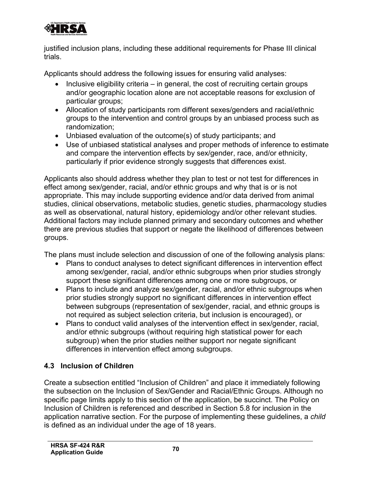

justified inclusion plans, including these additional requirements for Phase III clinical trials.

Applicants should address the following issues for ensuring valid analyses:

- $\bullet$  Inclusive eligibility criteria in general, the cost of recruiting certain groups and/or geographic location alone are not acceptable reasons for exclusion of particular groups;
- Allocation of study participants rom different sexes/genders and racial/ethnic groups to the intervention and control groups by an unbiased process such as randomization;
- Unbiased evaluation of the outcome(s) of study participants; and
- Use of unbiased statistical analyses and proper methods of inference to estimate and compare the intervention effects by sex/gender, race, and/or ethnicity, particularly if prior evidence strongly suggests that differences exist.

Applicants also should address whether they plan to test or not test for differences in effect among sex/gender, racial, and/or ethnic groups and why that is or is not appropriate. This may include supporting evidence and/or data derived from animal studies, clinical observations, metabolic studies, genetic studies, pharmacology studies as well as observational, natural history, epidemiology and/or other relevant studies. Additional factors may include planned primary and secondary outcomes and whether there are previous studies that support or negate the likelihood of differences between groups.

The plans must include selection and discussion of one of the following analysis plans:

- Plans to conduct analyses to detect significant differences in intervention effect among sex/gender, racial, and/or ethnic subgroups when prior studies strongly support these significant differences among one or more subgroups, or
- Plans to include and analyze sex/gender, racial, and/or ethnic subgroups when prior studies strongly support no significant differences in intervention effect between subgroups (representation of sex/gender, racial, and ethnic groups is not required as subject selection criteria, but inclusion is encouraged), or
- Plans to conduct valid analyses of the intervention effect in sex/gender, racial, and/or ethnic subgroups (without requiring high statistical power for each subgroup) when the prior studies neither support nor negate significant differences in intervention effect among subgroups.

## <span id="page-72-0"></span>**4.3 Inclusion of Children**

Create a subsection entitled "Inclusion of Children" and place it immediately following the subsection on the Inclusion of Sex/Gender and Racial/Ethnic Groups. Although no specific page limits apply to this section of the application, be succinct. The Policy on Inclusion of Children is referenced and described in Section 5.8 for inclusion in the application narrative section. For the purpose of implementing these guidelines, a *child*  is defined as an individual under the age of 18 years.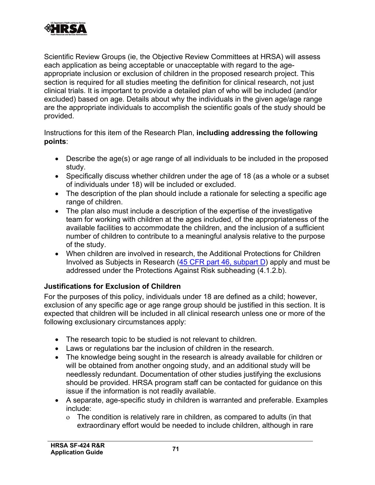

Scientific Review Groups (ie, the Objective Review Committees at HRSA) will assess each application as being acceptable or unacceptable with regard to the ageappropriate inclusion or exclusion of children in the proposed research project. This section is required for all studies meeting the definition for clinical research, not just clinical trials. It is important to provide a detailed plan of who will be included (and/or excluded) based on age. Details about why the individuals in the given age/age range are the appropriate individuals to accomplish the scientific goals of the study should be provided.

Instructions for this item of the Research Plan, **including addressing the following points**:

- Describe the age(s) or age range of all individuals to be included in the proposed study.
- Specifically discuss whether children under the age of 18 (as a whole or a subset of individuals under 18) will be included or excluded.
- The description of the plan should include a rationale for selecting a specific age range of children.
- The plan also must include a description of the expertise of the investigative team for working with children at the ages included, of the appropriateness of the available facilities to accommodate the children, and the inclusion of a sufficient number of children to contribute to a meaningful analysis relative to the purpose of the study.
- When children are involved in research, the Additional Protections for Children Involved as Subjects in Research [\(45 CFR part 46, subpart D\)](http://www.ecfr.gov/cgi-bin/text-idx?SID=ed8bad0c78cb0a379b5b450fd7f948b6&mc=true&node=sp45.1.46.d&rgn=div6) apply and must be addressed under the Protections Against Risk subheading (4.1.2.b).

## **Justifications for Exclusion of Children**

For the purposes of this policy, individuals under 18 are defined as a child; however, exclusion of any specific age or age range group should be justified in this section. It is expected that children will be included in all clinical research unless one or more of the following exclusionary circumstances apply:

- The research topic to be studied is not relevant to children.
- Laws or regulations bar the inclusion of children in the research.
- The knowledge being sought in the research is already available for children or will be obtained from another ongoing study, and an additional study will be needlessly redundant. Documentation of other studies justifying the exclusions should be provided. HRSA program staff can be contacted for guidance on this issue if the information is not readily available.
- A separate, age-specific study in children is warranted and preferable. Examples include:
	- o The condition is relatively rare in children, as compared to adults (in that extraordinary effort would be needed to include children, although in rare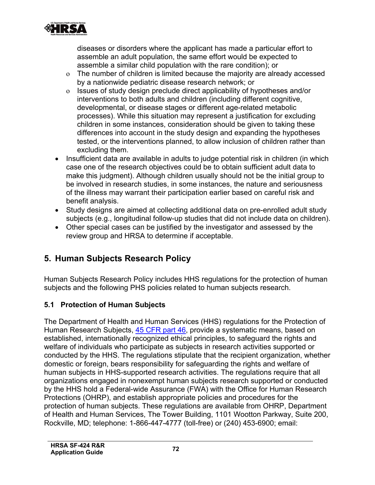

diseases or disorders where the applicant has made a particular effort to assemble an adult population, the same effort would be expected to assemble a similar child population with the rare condition); or

- o The number of children is limited because the majority are already accessed by a nationwide pediatric disease research network; or
- o Issues of study design preclude direct applicability of hypotheses and/or interventions to both adults and children (including different cognitive, developmental, or disease stages or different age-related metabolic processes). While this situation may represent a justification for excluding children in some instances, consideration should be given to taking these differences into account in the study design and expanding the hypotheses tested, or the interventions planned, to allow inclusion of children rather than excluding them.
- Insufficient data are available in adults to judge potential risk in children (in which case one of the research objectives could be to obtain sufficient adult data to make this judgment). Although children usually should not be the initial group to be involved in research studies, in some instances, the nature and seriousness of the illness may warrant their participation earlier based on careful risk and benefit analysis.
- Study designs are aimed at collecting additional data on pre-enrolled adult study subjects (e.g., longitudinal follow-up studies that did not include data on children).
- Other special cases can be justified by the investigator and assessed by the review group and HRSA to determine if acceptable.

# **5. Human Subjects Research Policy**

Human Subjects Research Policy includes HHS regulations for the protection of human subjects and the following PHS policies related to human subjects research.

## **5.1 Protection of Human Subjects**

The Department of Health and Human Services (HHS) regulations for the Protection of Human Research Subjects, [45 CFR part 46,](http://www.ecfr.gov/cgi-bin/text-idx?tpl=/ecfrbrowse/Title45/45cfr46_main_02.tpl) provide a systematic means, based on established, internationally recognized ethical principles, to safeguard the rights and welfare of individuals who participate as subjects in research activities supported or conducted by the HHS. The regulations stipulate that the recipient organization, whether domestic or foreign, bears responsibility for safeguarding the rights and welfare of human subjects in HHS-supported research activities. The regulations require that all organizations engaged in nonexempt human subjects research supported or conducted by the HHS hold a Federal-wide Assurance (FWA) with the Office for Human Research Protections (OHRP), and establish appropriate policies and procedures for the protection of human subjects. These regulations are available from OHRP, Department of Health and Human Services, The Tower Building, 1101 Wootton Parkway, Suite 200, Rockville, MD; telephone: 1-866-447-4777 (toll-free) or (240) 453-6900; email: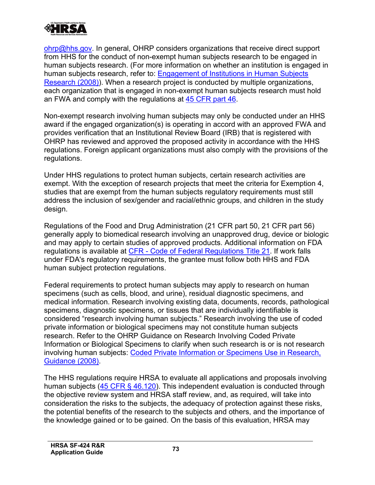

[ohrp@hhs.gov.](mailto:ohrp@hhs.gov) In general, OHRP considers organizations that receive direct support from HHS for the conduct of non-exempt human subjects research to be engaged in human subjects research. (For more information on whether an institution is engaged in human subjects research, refer to: [Engagement of Institutions in Human Subjects](http://www.hhs.gov/ohrp/policy/engage08.html)  [Research \(2008\)\)](http://www.hhs.gov/ohrp/policy/engage08.html). When a research project is conducted by multiple organizations, each organization that is engaged in non-exempt human subjects research must hold an FWA and comply with the regulations at [45 CFR part 46.](http://www.ecfr.gov/cgi-bin/text-idx?tpl=/ecfrbrowse/Title45/45cfr46_main_02.tpl)

Non-exempt research involving human subjects may only be conducted under an HHS award if the engaged organization(s) is operating in accord with an approved FWA and provides verification that an Institutional Review Board (IRB) that is registered with OHRP has reviewed and approved the proposed activity in accordance with the HHS regulations. Foreign applicant organizations must also comply with the provisions of the regulations.

Under HHS regulations to protect human subjects, certain research activities are exempt. With the exception of research projects that meet the criteria for Exemption 4, studies that are exempt from the human subjects regulatory requirements must still address the inclusion of sex/gender and racial/ethnic groups, and children in the study design.

Regulations of the Food and Drug Administration (21 CFR part 50, 21 CFR part 56) generally apply to biomedical research involving an unapproved drug, device or biologic and may apply to certain studies of approved products. Additional information on FDA regulations is available at [CFR - Code of Federal Regulations Title 21.](http://www.accessdata.fda.gov/scripts/cdrh/cfdocs/cfcfr/cfrsearch.cfm) If work falls under FDA's regulatory requirements, the grantee must follow both HHS and FDA human subject protection regulations.

Federal requirements to protect human subjects may apply to research on human specimens (such as cells, blood, and urine), residual diagnostic specimens, and medical information. Research involving existing data, documents, records, pathological specimens, diagnostic specimens, or tissues that are individually identifiable is considered "research involving human subjects." Research involving the use of coded private information or biological specimens may not constitute human subjects research. Refer to the OHRP Guidance on Research Involving Coded Private Information or Biological Specimens to clarify when such research is or is not research involving human subjects: [Coded Private Information or Specimens Use in Research,](http://www.hhs.gov/ohrp/policy/cdebiol.html)  [Guidance \(2008\).](http://www.hhs.gov/ohrp/policy/cdebiol.html)

The HHS regulations require HRSA to evaluate all applications and proposals involving human subjects [\(45 CFR § 46.120\)](http://www.ecfr.gov/cgi-bin/text-idx?SID=32242029d3e27a336a423829234c4b62&mc=true&node=se45.1.46_1120&rgn=div8). This independent evaluation is conducted through the objective review system and HRSA staff review, and, as required, will take into consideration the risks to the subjects, the adequacy of protection against these risks, the potential benefits of the research to the subjects and others, and the importance of the knowledge gained or to be gained. On the basis of this evaluation, HRSA may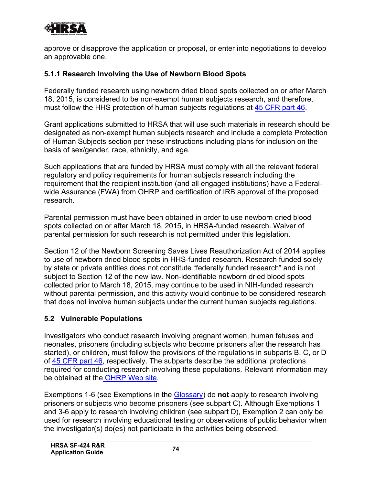

approve or disapprove the application or proposal, or enter into negotiations to develop an approvable one.

#### **5.1.1 Research Involving the Use of Newborn Blood Spots**

Federally funded research using newborn dried blood spots collected on or after March 18, 2015, is considered to be non-exempt human subjects research, and therefore, must follow the HHS protection of human subjects regulations at [45 CFR part 46.](http://www.ecfr.gov/cgi-bin/text-idx?tpl=/ecfrbrowse/Title45/45cfr46_main_02.tpl)

Grant applications submitted to HRSA that will use such materials in research should be designated as non-exempt human subjects research and include a complete Protection of Human Subjects section per these instructions including plans for inclusion on the basis of sex/gender, race, ethnicity, and age.

Such applications that are funded by HRSA must comply with all the relevant federal regulatory and policy requirements for human subjects research including the requirement that the recipient institution (and all engaged institutions) have a Federalwide Assurance (FWA) from OHRP and certification of IRB approval of the proposed research.

Parental permission must have been obtained in order to use newborn dried blood spots collected on or after March 18, 2015, in HRSA-funded research. Waiver of parental permission for such research is not permitted under this legislation.

Section 12 of the Newborn Screening Saves Lives Reauthorization Act of 2014 applies to use of newborn dried blood spots in HHS-funded research. Research funded solely by state or private entities does not constitute "federally funded research" and is not subject to Section 12 of the new law. Non-identifiable newborn dried blood spots collected prior to March 18, 2015, may continue to be used in NIH-funded research without parental permission, and this activity would continue to be considered research that does not involve human subjects under the current human subjects regulations.

#### **5.2 Vulnerable Populations**

Investigators who conduct research involving pregnant women, human fetuses and neonates, prisoners (including subjects who become prisoners after the research has started), or children, must follow the provisions of the regulations in subparts B, C, or D of [45 CFR part 46,](http://www.ecfr.gov/cgi-bin/text-idx?tpl=/ecfrbrowse/Title45/45cfr46_main_02.tpl) respectively. The subparts describe the additional protections required for conducting research involving these populations. Relevant information may be obtained at the [OHRP Web site.](http://www.hhs.gov/ohrp/regulations-and-policy/index.html)

Exemptions 1-6 (see Exemptions in the [Glossary\)](https://humansubjects.nih.gov/glossary) do **not** apply to research involving prisoners or subjects who become prisoners (see subpart C). Although Exemptions 1 and 3-6 apply to research involving children (see subpart D), Exemption 2 can only be used for research involving educational testing or observations of public behavior when the investigator(s) do(es) not participate in the activities being observed.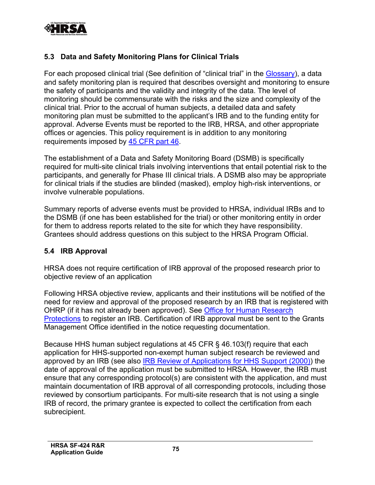

## **5.3 Data and Safety Monitoring Plans for Clinical Trials**

For each proposed clinical trial (See definition of "clinical trial" in the [Glossary\)](https://humansubjects.nih.gov/glossary), a data and safety monitoring plan is required that describes oversight and monitoring to ensure the safety of participants and the validity and integrity of the data. The level of monitoring should be commensurate with the risks and the size and complexity of the clinical trial. Prior to the accrual of human subjects, a detailed data and safety monitoring plan must be submitted to the applicant's IRB and to the funding entity for approval. Adverse Events must be reported to the IRB, HRSA, and other appropriate offices or agencies. This policy requirement is in addition to any monitoring requirements imposed by [45 CFR part 46.](http://www.ecfr.gov/cgi-bin/text-idx?tpl=/ecfrbrowse/Title45/45cfr46_main_02.tpl)

The establishment of a Data and Safety Monitoring Board (DSMB) is specifically required for multi-site clinical trials involving interventions that entail potential risk to the participants, and generally for Phase III clinical trials. A DSMB also may be appropriate for clinical trials if the studies are blinded (masked), employ high-risk interventions, or involve vulnerable populations.

Summary reports of adverse events must be provided to HRSA, individual IRBs and to the DSMB (if one has been established for the trial) or other monitoring entity in order for them to address reports related to the site for which they have responsibility. Grantees should address questions on this subject to the HRSA Program Official.

#### **5.4 IRB Approval**

HRSA does not require certification of IRB approval of the proposed research prior to objective review of an application

Following HRSA objective review, applicants and their institutions will be notified of the need for review and approval of the proposed research by an IRB that is registered with OHRP (if it has not already been approved). See [Office for Human Research](http://www.hhs.gov/ohrp/)  [Protections](http://www.hhs.gov/ohrp/) to register an IRB. Certification of IRB approval must be sent to the Grants Management Office identified in the notice requesting documentation.

Because HHS human subject regulations at 45 CFR § 46.103(f) require that each application for HHS-supported non-exempt human subject research be reviewed and approved by an IRB (see also [IRB Review of Applications for HHS Support \(2000\)\)](http://www.hhs.gov/ohrp/policy/aplrev.html) the date of approval of the application must be submitted to HRSA. However, the IRB must ensure that any corresponding protocol(s) are consistent with the application, and must maintain documentation of IRB approval of all corresponding protocols, including those reviewed by consortium participants. For multi-site research that is not using a single IRB of record, the primary grantee is expected to collect the certification from each subrecipient.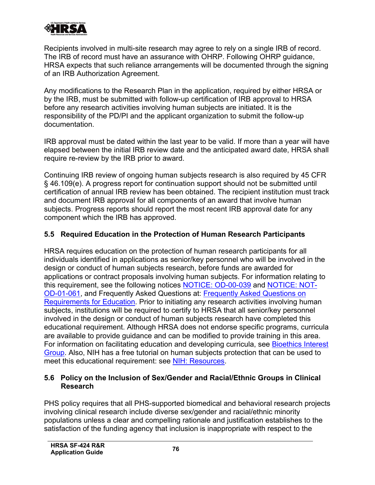

Recipients involved in multi-site research may agree to rely on a single IRB of record. The IRB of record must have an assurance with OHRP. Following OHRP guidance, HRSA expects that such reliance arrangements will be documented through the signing of an IRB Authorization Agreement.

Any modifications to the Research Plan in the application, required by either HRSA or by the IRB, must be submitted with follow-up certification of IRB approval to HRSA before any research activities involving human subjects are initiated. It is the responsibility of the PD/PI and the applicant organization to submit the follow-up documentation.

IRB approval must be dated within the last year to be valid. If more than a year will have elapsed between the initial IRB review date and the anticipated award date, HRSA shall require re-review by the IRB prior to award.

Continuing IRB review of ongoing human subjects research is also required by 45 CFR § 46.109(e). A progress report for continuation support should not be submitted until certification of annual IRB review has been obtained. The recipient institution must track and document IRB approval for all components of an award that involve human subjects. Progress reports should report the most recent IRB approval date for any component which the IRB has approved.

## **5.5 Required Education in the Protection of Human Research Participants**

HRSA requires education on the protection of human research participants for all individuals identified in applications as senior/key personnel who will be involved in the design or conduct of human subjects research, before funds are awarded for applications or contract proposals involving human subjects. For information relating to this requirement, see the following notices NOTICE: [OD-00-039](http://grants.nih.gov/grants/guide/notice-files/NOT-OD-00-039.html) and [NOTICE:](http://grants.nih.gov/grants/guide/notice-files/NOT-OD-01-061.html) NOT-[OD-01-061,](http://grants.nih.gov/grants/guide/notice-files/NOT-OD-01-061.html) and Frequently Asked Questions at: [Frequently Asked Questions on](http://grants.nih.gov/grants/policy/hs_educ_faq.htm)  [Requirements for Education.](http://grants.nih.gov/grants/policy/hs_educ_faq.htm) Prior to initiating any research activities involving human subjects, institutions will be required to certify to HRSA that all senior/key personnel involved in the design or conduct of human subjects research have completed this educational requirement. Although HRSA does not endorse specific programs, curricula are available to provide guidance and can be modified to provide training in this area. For information on facilitating education and developing curricula, see [Bioethics Interest](http://www.nih.gov/sigs/bioethics)  [Group.](http://www.nih.gov/sigs/bioethics) Also, NIH has a free tutorial on human subjects protection that can be used to meet this educational requirement: see [NIH: Resources.](http://grants.nih.gov/grants/policy/hs/training.htm)

#### **5.6 Policy on the Inclusion of Sex/Gender and Racial/Ethnic Groups in Clinical Research**

PHS policy requires that all PHS-supported biomedical and behavioral research projects involving clinical research include diverse sex/gender and racial/ethnic minority populations unless a clear and compelling rationale and justification establishes to the satisfaction of the funding agency that inclusion is inappropriate with respect to the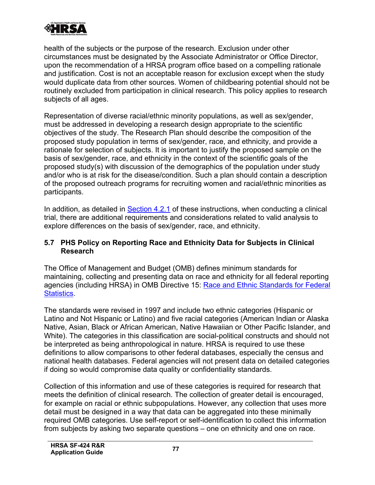

health of the subjects or the purpose of the research. Exclusion under other circumstances must be designated by the Associate Administrator or Office Director, upon the recommendation of a HRSA program office based on a compelling rationale and justification. Cost is not an acceptable reason for exclusion except when the study would duplicate data from other sources. Women of childbearing potential should not be routinely excluded from participation in clinical research. This policy applies to research subjects of all ages.

Representation of diverse racial/ethnic minority populations, as well as sex/gender, must be addressed in developing a research design appropriate to the scientific objectives of the study. The Research Plan should describe the composition of the proposed study population in terms of sex/gender, race, and ethnicity, and provide a rationale for selection of subjects. It is important to justify the proposed sample on the basis of sex/gender, race, and ethnicity in the context of the scientific goals of the proposed study(s) with discussion of the demographics of the population under study and/or who is at risk for the disease/condition. Such a plan should contain a description of the proposed outreach programs for recruiting women and racial/ethnic minorities as participants.

In addition, as detailed in [Section 4.2.1](#page-71-0) of these instructions, when conducting a clinical trial, there are additional requirements and considerations related to valid analysis to explore differences on the basis of sex/gender, race, and ethnicity.

#### **5.7 PHS Policy on Reporting Race and Ethnicity Data for Subjects in Clinical Research**

The Office of Management and Budget (OMB) defines minimum standards for maintaining, collecting and presenting data on race and ethnicity for all federal reporting agencies (including HRSA) in OMB Directive 15: [Race and Ethnic Standards for Federal](https://wonder.cdc.gov/wonder/help/populations/bridged-race/directive15.html)  **Statistics** 

The standards were revised in 1997 and include two ethnic categories (Hispanic or Latino and Not Hispanic or Latino) and five racial categories (American Indian or Alaska Native, Asian, Black or African American, Native Hawaiian or Other Pacific Islander, and White). The categories in this classification are social-political constructs and should not be interpreted as being anthropological in nature. HRSA is required to use these definitions to allow comparisons to other federal databases, especially the census and national health databases. Federal agencies will not present data on detailed categories if doing so would compromise data quality or confidentiality standards.

Collection of this information and use of these categories is required for research that meets the definition of clinical research. The collection of greater detail is encouraged, for example on racial or ethnic subpopulations. However, any collection that uses more detail must be designed in a way that data can be aggregated into these minimally required OMB categories. Use self-report or self-identification to collect this information from subjects by asking two separate questions – one on ethnicity and one on race.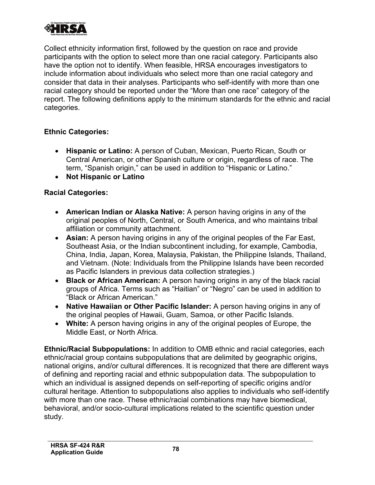

Collect ethnicity information first, followed by the question on race and provide participants with the option to select more than one racial category. Participants also have the option not to identify. When feasible, HRSA encourages investigators to include information about individuals who select more than one racial category and consider that data in their analyses. Participants who self-identify with more than one racial category should be reported under the "More than one race" category of the report. The following definitions apply to the minimum standards for the ethnic and racial categories.

#### **Ethnic Categories:**

- **Hispanic or Latino:** A person of Cuban, Mexican, Puerto Rican, South or Central American, or other Spanish culture or origin, regardless of race. The term, "Spanish origin," can be used in addition to "Hispanic or Latino."
- **Not Hispanic or Latino**

## **Racial Categories:**

- **American Indian or Alaska Native:** A person having origins in any of the original peoples of North, Central, or South America, and who maintains tribal affiliation or community attachment.
- **Asian:** A person having origins in any of the original peoples of the Far East, Southeast Asia, or the Indian subcontinent including, for example, Cambodia, China, India, Japan, Korea, Malaysia, Pakistan, the Philippine Islands, Thailand, and Vietnam. (Note: Individuals from the Philippine Islands have been recorded as Pacific Islanders in previous data collection strategies.)
- **Black or African American:** A person having origins in any of the black racial groups of Africa. Terms such as "Haitian" or "Negro" can be used in addition to "Black or African American."
- **Native Hawaiian or Other Pacific Islander:** A person having origins in any of the original peoples of Hawaii, Guam, Samoa, or other Pacific Islands.
- **White:** A person having origins in any of the original peoples of Europe, the Middle East, or North Africa.

**Ethnic/Racial Subpopulations:** In addition to OMB ethnic and racial categories, each ethnic/racial group contains subpopulations that are delimited by geographic origins, national origins, and/or cultural differences. It is recognized that there are different ways of defining and reporting racial and ethnic subpopulation data. The subpopulation to which an individual is assigned depends on self-reporting of specific origins and/or cultural heritage. Attention to subpopulations also applies to individuals who self-identify with more than one race. These ethnic/racial combinations may have biomedical, behavioral, and/or socio-cultural implications related to the scientific question under study.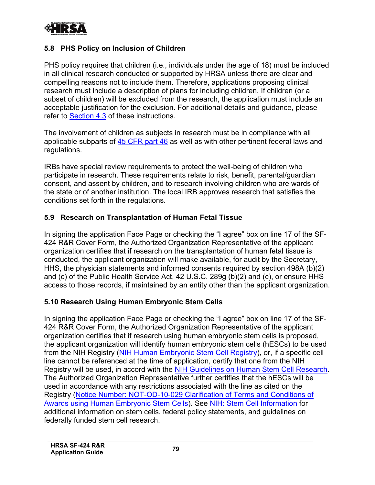

#### **5.8 PHS Policy on Inclusion of Children**

PHS policy requires that children (i.e., individuals under the age of 18) must be included in all clinical research conducted or supported by HRSA unless there are clear and compelling reasons not to include them. Therefore, applications proposing clinical research must include a description of plans for including children. If children (or a subset of children) will be excluded from the research, the application must include an acceptable justification for the exclusion. For additional details and guidance, please refer to **Section 4.3** of these instructions.

The involvement of children as subjects in research must be in compliance with all applicable subparts of [45 CFR part 46](http://www.ecfr.gov/cgi-bin/text-idx?tpl=/ecfrbrowse/Title45/45cfr46_main_02.tpl) as well as with other pertinent federal laws and regulations.

IRBs have special review requirements to protect the well-being of children who participate in research. These requirements relate to risk, benefit, parental/guardian consent, and assent by children, and to research involving children who are wards of the state or of another institution. The local IRB approves research that satisfies the conditions set forth in the regulations.

#### **5.9 Research on Transplantation of Human Fetal Tissue**

In signing the application Face Page or checking the "I agree" box on line 17 of the SF-424 R&R Cover Form, the Authorized Organization Representative of the applicant organization certifies that if research on the transplantation of human fetal tissue is conducted, the applicant organization will make available, for audit by the Secretary, HHS, the physician statements and informed consents required by section 498A (b)(2) and (c) of the Public Health Service Act, 42 U.S.C. 289g (b)(2) and (c), or ensure HHS access to those records, if maintained by an entity other than the applicant organization.

#### **5.10 Research Using Human Embryonic Stem Cells**

In signing the application Face Page or checking the "I agree" box on line 17 of the SF-424 R&R Cover Form, the Authorized Organization Representative of the applicant organization certifies that if research using human embryonic stem cells is proposed, the applicant organization will identify human embryonic stem cells (hESCs) to be used from the NIH Registry [\(NIH Human Embryonic Stem Cell Registry\)](http://stemcells.nih.gov/research/registry/), or, if a specific cell line cannot be referenced at the time of application, certify that one from the NIH Registry will be used, in accord with the [NIH Guidelines on Human Stem Cell Research.](https://stemcells.nih.gov/policy/2009-guidelines.htm) The Authorized Organization Representative further certifies that the hESCs will be used in accordance with any restrictions associated with the line as cited on the Registry [\(Notice Number: NOT-OD-10-029 Clarification of Terms and Conditions of](http://grants.nih.gov/grants/guide/notice-files/NOT-OD-10-029.html)  [Awards using Human Embryonic Stem Cells\)](http://grants.nih.gov/grants/guide/notice-files/NOT-OD-10-029.html). See [NIH: Stem Cell Information](http://stemcells.nih.gov/info/Pages/default.aspx) for additional information on stem cells, federal policy statements, and guidelines on federally funded stem cell research.